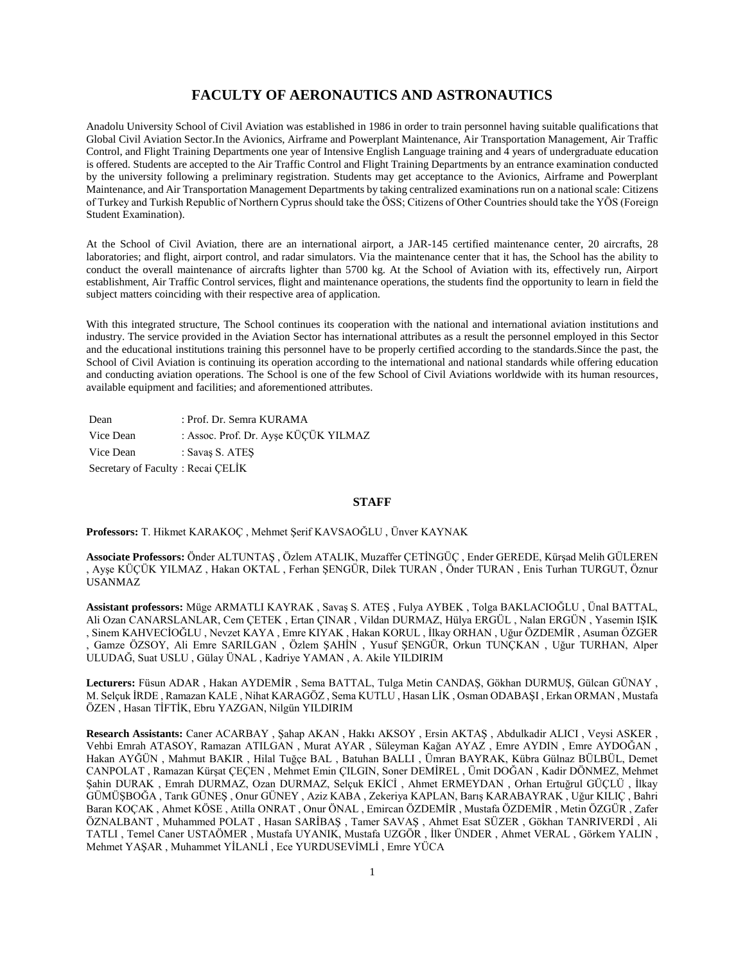# **FACULTY OF AERONAUTICS AND ASTRONAUTICS**

Anadolu University School of Civil Aviation was established in 1986 in order to train personnel having suitable qualifications that Global Civil Aviation Sector.In the Avionics, Airframe and Powerplant Maintenance, Air Transportation Management, Air Traffic Control, and Flight Training Departments one year of Intensive English Language training and 4 years of undergraduate education is offered. Students are accepted to the Air Traffic Control and Flight Training Departments by an entrance examination conducted by the university following a preliminary registration. Students may get acceptance to the Avionics, Airframe and Powerplant Maintenance, and Air Transportation Management Departments by taking centralized examinations run on a national scale: Citizens of Turkey and Turkish Republic of Northern Cyprus should take the ÖSS; Citizens of Other Countries should take the YÖS (Foreign Student Examination).

At the School of Civil Aviation, there are an international airport, a JAR-145 certified maintenance center, 20 aircrafts, 28 laboratories; and flight, airport control, and radar simulators. Via the maintenance center that it has, the School has the ability to conduct the overall maintenance of aircrafts lighter than 5700 kg. At the School of Aviation with its, effectively run, Airport establishment, Air Traffic Control services, flight and maintenance operations, the students find the opportunity to learn in field the subject matters coinciding with their respective area of application.

With this integrated structure, The School continues its cooperation with the national and international aviation institutions and industry. The service provided in the Aviation Sector has international attributes as a result the personnel employed in this Sector and the educational institutions training this personnel have to be properly certified according to the standards.Since the past, the School of Civil Aviation is continuing its operation according to the international and national standards while offering education and conducting aviation operations. The School is one of the few School of Civil Aviations worldwide with its human resources, available equipment and facilities; and aforementioned attributes.

| Dean                              | : Prof. Dr. Semra KURAMA             |
|-----------------------------------|--------------------------------------|
| Vice Dean                         | : Assoc. Prof. Dr. Ayşe KÜÇÜK YILMAZ |
| Vice Dean                         | : Savas S. ATES                      |
| Secretary of Faculty: Recai CELİK |                                      |

# **STAFF**

## **Professors:** T. Hikmet KARAKOÇ , Mehmet Şerif KAVSAOĞLU , Ünver KAYNAK

**Associate Professors:** Önder ALTUNTAŞ , Özlem ATALIK, Muzaffer ÇETİNGÜÇ , Ender GEREDE, Kürşad Melih GÜLEREN , Ayşe KÜÇÜK YILMAZ , Hakan OKTAL , Ferhan ŞENGÜR, Dilek TURAN , Önder TURAN , Enis Turhan TURGUT, Öznur USANMAZ

**Assistant professors:** Müge ARMATLI KAYRAK , Savaş S. ATEŞ , Fulya AYBEK , Tolga BAKLACIOĞLU , Ünal BATTAL, Ali Ozan CANARSLANLAR, Cem ÇETEK , Ertan ÇINAR , Vildan DURMAZ, Hülya ERGÜL , Nalan ERGÜN , Yasemin IŞIK , Sinem KAHVECİOĞLU , Nevzet KAYA , Emre KIYAK , Hakan KORUL , İlkay ORHAN , Uğur ÖZDEMİR , Asuman ÖZGER , Gamze ÖZSOY, Ali Emre SARILGAN , Özlem ŞAHİN , Yusuf ŞENGÜR, Orkun TUNÇKAN , Uğur TURHAN, Alper ULUDAĞ, Suat USLU , Gülay ÜNAL , Kadriye YAMAN , A. Akile YILDIRIM

**Lecturers:** Füsun ADAR , Hakan AYDEMİR , Sema BATTAL, Tulga Metin CANDAŞ, Gökhan DURMUŞ, Gülcan GÜNAY , M. Selçuk İRDE , Ramazan KALE , Nihat KARAGÖZ , Sema KUTLU , Hasan LİK , Osman ODABAŞI , Erkan ORMAN , Mustafa ÖZEN , Hasan TİFTİK, Ebru YAZGAN, Nilgün YILDIRIM

**Research Assistants:** Caner ACARBAY , Şahap AKAN , Hakkı AKSOY , Ersin AKTAŞ , Abdulkadir ALICI , Veysi ASKER , Vehbi Emrah ATASOY, Ramazan ATILGAN , Murat AYAR , Süleyman Kağan AYAZ , Emre AYDIN , Emre AYDOĞAN , Hakan AYĞÜN , Mahmut BAKIR , Hilal Tuğçe BAL , Batuhan BALLI , Ümran BAYRAK, Kübra Gülnaz BÜLBÜL, Demet CANPOLAT , Ramazan Kürşat ÇEÇEN , Mehmet Emin ÇILGIN, Soner DEMİREL , Ümit DOĞAN , Kadir DÖNMEZ, Mehmet Şahin DURAK , Emrah DURMAZ, Ozan DURMAZ, Selçuk EKİCİ , Ahmet ERMEYDAN , Orhan Ertuğrul GÜÇLÜ , İlkay GÜMÜŞBOĞA , Tarık GÜNEŞ , Onur GÜNEY , Aziz KABA , Zekeriya KAPLAN, Barış KARABAYRAK , Uğur KILIÇ , Bahri Baran KOÇAK , Ahmet KÖSE , Atilla ONRAT , Onur ÖNAL , Emircan ÖZDEMİR , Mustafa ÖZDEMİR , Metin ÖZGÜR , Zafer ÖZNALBANT , Muhammed POLAT , Hasan SARİBAŞ , Tamer SAVAŞ , Ahmet Esat SÜZER , Gökhan TANRIVERDİ , Ali TATLI , Temel Caner USTAÖMER , Mustafa UYANIK, Mustafa UZGÖR , İlker ÜNDER , Ahmet VERAL , Görkem YALIN , Mehmet YAŞAR , Muhammet YİLANLİ , Ece YURDUSEVİMLİ , Emre YÜCA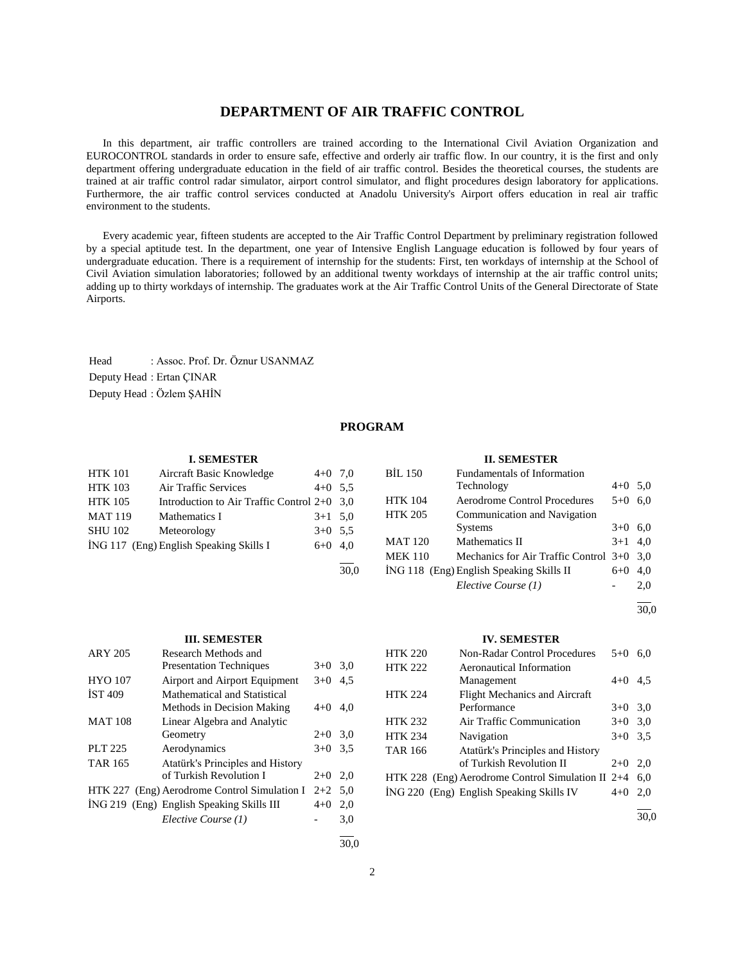# **DEPARTMENT OF AIR TRAFFIC CONTROL**

 In this department, air traffic controllers are trained according to the International Civil Aviation Organization and EUROCONTROL standards in order to ensure safe, effective and orderly air traffic flow. In our country, it is the first and only department offering undergraduate education in the field of air traffic control. Besides the theoretical courses, the students are trained at air traffic control radar simulator, airport control simulator, and flight procedures design laboratory for applications. Furthermore, the air traffic control services conducted at Anadolu University's Airport offers education in real air traffic environment to the students.

 Every academic year, fifteen students are accepted to the Air Traffic Control Department by preliminary registration followed by a special aptitude test. In the department, one year of Intensive English Language education is followed by four years of undergraduate education. There is a requirement of internship for the students: First, ten workdays of internship at the School of Civil Aviation simulation laboratories; followed by an additional twenty workdays of internship at the air traffic control units; adding up to thirty workdays of internship. The graduates work at the Air Traffic Control Units of the General Directorate of State Airports.

Head : Assoc. Prof. Dr. Öznur USANMAZ Deputy Head : Ertan ÇINAR Deputy Head : Özlem ŞAHİN

# **PROGRAM**

#### **I. SEMESTER**

| <b>HTK 101</b> | Aircraft Basic Knowledge                      | $4+0$ 7,0 |      |
|----------------|-----------------------------------------------|-----------|------|
| <b>HTK 103</b> | Air Traffic Services                          | $4+0$ 5.5 |      |
| <b>HTK 105</b> | Introduction to Air Traffic Control $2+0$ 3.0 |           |      |
| <b>MAT 119</b> | Mathematics I                                 | $3+1$ 5.0 |      |
| <b>SHU 102</b> | Meteorology                                   | $3+0$ 5.5 |      |
|                | ING 117 (Eng) English Speaking Skills I       | $6+0$ 4.0 |      |
|                |                                               |           |      |
|                |                                               |           | 30.0 |

#### **III. SEMESTER**

| <b>ARY 205</b> | Research Methods and                         |           |     |
|----------------|----------------------------------------------|-----------|-----|
|                | <b>Presentation Techniques</b>               | $3+0$     | 3,0 |
| <b>HYO 107</b> | Airport and Airport Equipment                | $3+0$     | 4.5 |
| <b>IST 409</b> | Mathematical and Statistical                 |           |     |
|                | Methods in Decision Making                   | $4 + 0$   | 4.0 |
| <b>MAT 108</b> | Linear Algebra and Analytic                  |           |     |
|                | Geometry                                     | $2+0$     | 3,0 |
| PLT 225        | Aerodynamics                                 | $3+0$     | 3.5 |
| <b>TAR 165</b> | Atatürk's Principles and History             |           |     |
|                | of Turkish Revolution I                      | $2+0$     | 2.0 |
|                | HTK 227 (Eng) Aerodrome Control Simulation I | $2+2$ 5.0 |     |
|                | ING 219 (Eng) English Speaking Skills III    | $4+0$     | 2.0 |
|                | Elective Course (1)                          |           | 3,0 |
|                |                                              |           |     |

# **II. SEMESTER**

| <b>BIL 150</b> | Fundamentals of Information               |           |     |
|----------------|-------------------------------------------|-----------|-----|
|                | Technology                                | $4+0$ 5.0 |     |
| <b>HTK 104</b> | <b>Aerodrome Control Procedures</b>       | $5 + 0$   | 6.0 |
| <b>HTK 205</b> | Communication and Navigation              |           |     |
|                | <b>Systems</b>                            | $3+0$     | 6,0 |
| <b>MAT 120</b> | Mathematics II                            | $3+1$ 4.0 |     |
| <b>MEK 110</b> | Mechanics for Air Traffic Control 3+0 3,0 |           |     |
|                | ING 118 (Eng) English Speaking Skills II  | $6 + 0$   | 4.0 |
|                | Elective Course (1)                       |           | 2.0 |

l 30,0

#### **IV. SEMESTER**

| <b>HTK 220</b> | <b>Non-Radar Control Procedures</b>               | $5+0$   | 6.0 |
|----------------|---------------------------------------------------|---------|-----|
| <b>HTK 222</b> | Aeronautical Information                          |         |     |
|                | Management                                        | $4 + 0$ | 4.5 |
| <b>HTK 224</b> | <b>Flight Mechanics and Aircraft</b>              |         |     |
|                | Performance                                       | $3+0$   | 3,0 |
| <b>HTK 232</b> | Air Traffic Communication                         | $3+0$   | 3,0 |
| <b>HTK 234</b> | Navigation                                        | $3+0$   | 3.5 |
| <b>TAR 166</b> | Atatürk's Principles and History                  |         |     |
|                | of Turkish Revolution II                          | $2+0$   | 2.0 |
|                | HTK 228 (Eng) Aerodrome Control Simulation II 2+4 |         | 6.0 |
|                | ING 220 (Eng) English Speaking Skills IV          | $4+0$   | 2.0 |
|                |                                                   |         |     |

30,0

30,0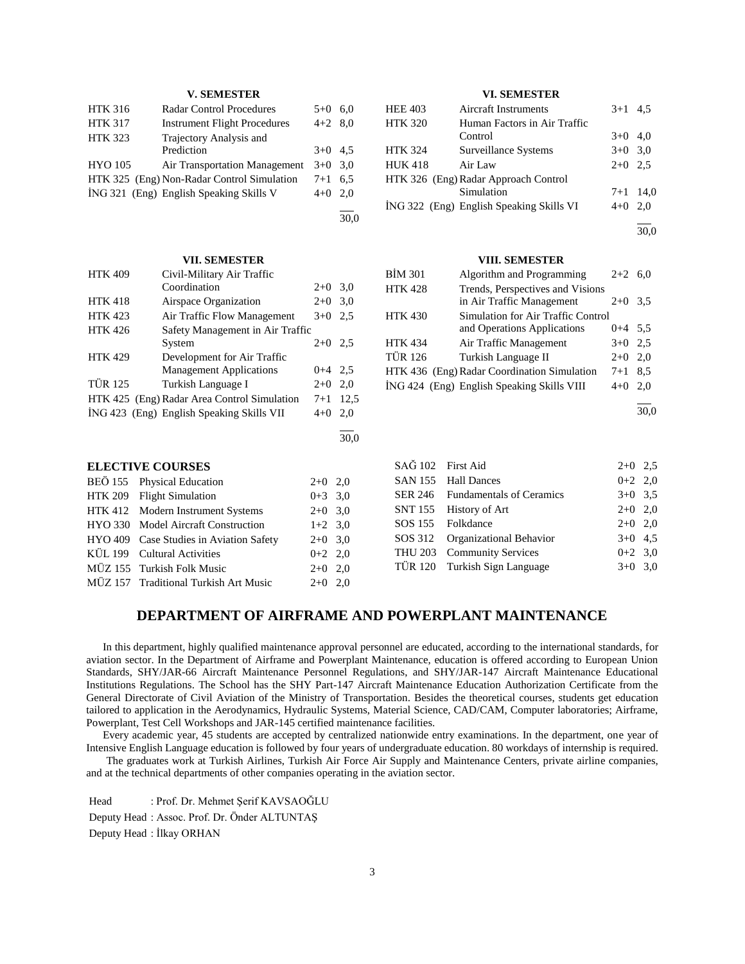# **V. SEMESTER**

| <b>HTK 316</b> | <b>Radar Control Procedures</b>            | $5+0$     | 6.0 |
|----------------|--------------------------------------------|-----------|-----|
| <b>HTK 317</b> | <b>Instrument Flight Procedures</b>        | $4+2$ 8.0 |     |
| <b>HTK 323</b> | Trajectory Analysis and                    |           |     |
|                | Prediction                                 | $3+0$ 4.5 |     |
| <b>HYO 105</b> | <b>Air Transportation Management</b>       | $3+0$ 3.0 |     |
|                | HTK 325 (Eng) Non-Radar Control Simulation | $7 + 1$   | 6.5 |
|                | ING 321 (Eng) English Speaking Skills V    | $4+0$     | 2.0 |
|                |                                            |           |     |

30,0

# **VII. SEMESTER**

| <b>HTK 409</b> | Civil-Military Air Traffic                  |           |      |
|----------------|---------------------------------------------|-----------|------|
|                | Coordination                                | $2+0$     | 3,0  |
| <b>HTK 418</b> | Airspace Organization                       | $2+0$     | 3,0  |
| <b>HTK 423</b> | Air Traffic Flow Management                 | $3+0$     | 2.5  |
| <b>HTK 426</b> | Safety Management in Air Traffic            |           |      |
|                | System                                      | $2+0$     | 2.5  |
| <b>HTK 429</b> | Development for Air Traffic                 |           |      |
|                | <b>Management Applications</b>              | $0+4$ 2.5 |      |
| <b>TÜR 125</b> | Turkish Language I                          | $2+0$     | 2,0  |
|                | HTK 425 (Eng) Radar Area Control Simulation | $7 + 1$   | 12,5 |
|                | ING 423 (Eng) English Speaking Skills VII   | $4+0$     | 2.0  |
|                |                                             |           |      |
|                |                                             |           | 30.0 |
|                |                                             |           |      |

#### **ELECTIVE COURSES**

| BEÖ 155 Physical Education              | $2+0$ 2,0 |  |
|-----------------------------------------|-----------|--|
| HTK 209 Flight Simulation               | $0+3$ 3,0 |  |
| HTK 412 Modern Instrument Systems       | $2+0$ 3.0 |  |
| HYO 330 Model Aircraft Construction     | $1+2$ 3.0 |  |
| HYO 409 Case Studies in Aviation Safety | $2+0$ 3.0 |  |
| KÜL 199 Cultural Activities             | $0+2$ 2,0 |  |
| MÜZ 155 Turkish Folk Music              | $2+0$ 2.0 |  |
| MÜZ 157 Traditional Turkish Art Music   | $2+0$ 2,0 |  |

# **VI. SEMESTER**

| <b>HEE 403</b> | <b>Aircraft Instruments</b>              | $3+1$ 4.5  |     |
|----------------|------------------------------------------|------------|-----|
| <b>HTK 320</b> | Human Factors in Air Traffic             |            |     |
|                | Control                                  | $3+0$ 4,0  |     |
| <b>HTK 324</b> | Surveillance Systems                     | $3+0$ 3.0  |     |
| <b>HUK418</b>  | Air Law                                  | $2+0$ 2.5  |     |
|                | HTK 326 (Eng) Radar Approach Control     |            |     |
|                | Simulation                               | $7+1$ 14.0 |     |
|                | İNG 322 (Eng) English Speaking Skills VI | $4+0$      | 2.0 |

l 30,0

# **VIII. SEMESTER**

| BİM 301        | Algorithm and Programming                                     | $2+2$     | 6.0           |
|----------------|---------------------------------------------------------------|-----------|---------------|
| <b>HTK 428</b> | Trends, Perspectives and Visions<br>in Air Traffic Management | $2+0$     | $3.5^{\circ}$ |
| HTK 430        | Simulation for Air Traffic Control                            |           |               |
|                | and Operations Applications                                   | $0+4$ 5.5 |               |
| HTK 434        | Air Traffic Management                                        | $3+0$ 2.5 |               |
| TÜR 126        | Turkish Language II                                           | $2+0$     | 2.0           |
|                | HTK 436 (Eng) Radar Coordination Simulation                   | $7 + 1$   | 8.5           |
|                | ING 424 (Eng) English Speaking Skills VIII                    | $4 + 0$   | 2.0           |

30,0

l

| SAĞ 102 First Aid |                                  | $2+0$ 2,5 |  |
|-------------------|----------------------------------|-----------|--|
|                   | SAN 155 Hall Dances              | $0+2$ 2,0 |  |
|                   | SER 246 Fundamentals of Ceramics | $3+0$ 3.5 |  |
|                   | SNT 155 History of Art           | $2+0$ 2.0 |  |
|                   | SOS 155 Folkdance                | $2+0$ 2,0 |  |
|                   | SOS 312 Organizational Behavior  | $3+0$ 4.5 |  |
|                   | THU 203 Community Services       | $0+2$ 3.0 |  |
|                   | TÜR 120 Turkish Sign Language    | $3+0$ 3.0 |  |
|                   |                                  |           |  |

# **DEPARTMENT OF AIRFRAME AND POWERPLANT MAINTENANCE**

 In this department, highly qualified maintenance approval personnel are educated, according to the international standards, for aviation sector. In the Department of Airframe and Powerplant Maintenance, education is offered according to European Union Standards, SHY/JAR-66 Aircraft Maintenance Personnel Regulations, and SHY/JAR-147 Aircraft Maintenance Educational Institutions Regulations. The School has the SHY Part-147 Aircraft Maintenance Education Authorization Certificate from the General Directorate of Civil Aviation of the Ministry of Transportation. Besides the theoretical courses, students get education tailored to application in the Aerodynamics, Hydraulic Systems, Material Science, CAD/CAM, Computer laboratories; Airframe, Powerplant, Test Cell Workshops and JAR-145 certified maintenance facilities.

 Every academic year, 45 students are accepted by centralized nationwide entry examinations. In the department, one year of Intensive English Language education is followed by four years of undergraduate education. 80 workdays of internship is required.

 The graduates work at Turkish Airlines, Turkish Air Force Air Supply and Maintenance Centers, private airline companies, and at the technical departments of other companies operating in the aviation sector.

Head : Prof. Dr. Mehmet Şerif KAVSAOĞLU Deputy Head : Assoc. Prof. Dr. Önder ALTUNTAŞ Deputy Head : İlkay ORHAN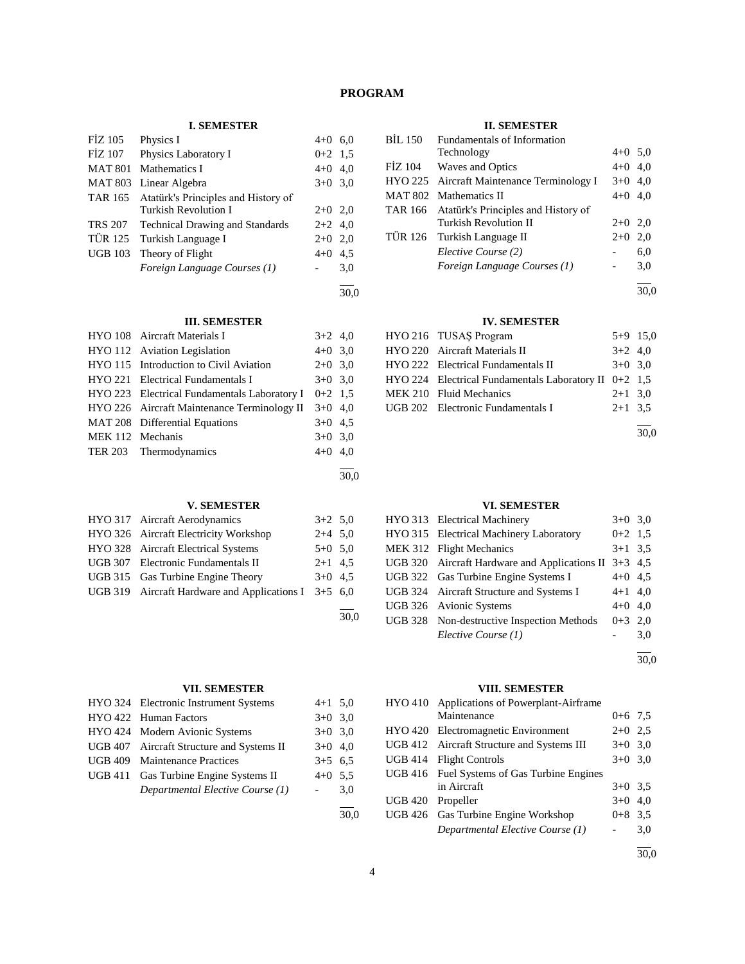# **PROGRAM**

# **I. SEMESTER**

|                | ь оследня па                                |           |     |
|----------------|---------------------------------------------|-----------|-----|
| <b>FIZ 105</b> | Physics I                                   | $4+0$ 6,0 |     |
| FİZ 107        | Physics Laboratory I                        | $0+2$ 1.5 |     |
|                | MAT 801 Mathematics I                       | $4+0$ 4,0 |     |
|                | MAT 803 Linear Algebra                      | $3+0$ 3.0 |     |
|                | TAR 165 Atatürk's Principles and History of |           |     |
|                | Turkish Revolution I                        | $2+0$ 2,0 |     |
|                | TRS 207 Technical Drawing and Standards     | $2+2$ 4,0 |     |
| TÜR 125        | Turkish Language I                          | $2+0$     | 2,0 |
| <b>UGB 103</b> | Theory of Flight                            | $4 + 0$   | 4,5 |
|                | Foreign Language Courses (1)                |           | 3,0 |
|                |                                             |           |     |

# **III. SEMESTER**

|                  | HYO 108 Aircraft Materials I                 | $3+2$ 4,0 |  |
|------------------|----------------------------------------------|-----------|--|
|                  | HYO 112 Aviation Legislation                 | $4+0$ 3,0 |  |
|                  | HYO 115 Introduction to Civil Aviation       | $2+0$ 3,0 |  |
|                  | HYO 221 Electrical Fundamentals I            | $3+0$ 3,0 |  |
|                  | HYO 223 Electrical Fundamentals Laboratory I | $0+2$ 1.5 |  |
|                  | HYO 226 Aircraft Maintenance Terminology II  | $3+0$ 4,0 |  |
|                  | MAT 208 Differential Equations               | $3+0$ 4.5 |  |
| MEK 112 Mechanis |                                              | $3+0$ 3,0 |  |
|                  | TER 203 Thermodynamics                       | $4+0$ 4,0 |  |
|                  |                                              |           |  |

# **V. SEMESTER**

| HYO 317 Aircraft Aerodynamics                          | $3+2$ 5,0 |  |
|--------------------------------------------------------|-----------|--|
| HYO 326 Aircraft Electricity Workshop                  | $2+4$ 5.0 |  |
| HYO 328 Aircraft Electrical Systems                    | $5+0$ 5.0 |  |
| UGB 307 Electronic Fundamentals II                     | $2+1$ 4.5 |  |
| UGB 315 Gas Turbine Engine Theory                      | $3+0$ 4.5 |  |
| UGB 319 Aircraft Hardware and Applications I $3+5$ 6,0 |           |  |
|                                                        |           |  |

# **VII. SEMESTER**

| HYO 324 Electronic Instrument Systems     | $4+1$ 5.0           |     |
|-------------------------------------------|---------------------|-----|
| HYO 422 Human Factors                     | $3+0$ 3.0           |     |
| HYO 424 Modern Avionic Systems            | $3+0$ 3.0           |     |
| UGB 407 Aircraft Structure and Systems II | $3+0$ 4,0           |     |
| UGB 409 Maintenance Practices             | $3+5$ 6.5           |     |
| UGB 411 Gas Turbine Engine Systems II     | $4+0$ 5.5           |     |
| Departmental Elective Course (1)          | $\omega_{\rm{max}}$ | 3,0 |
|                                           |                     |     |

# **II. SEMESTER**

|                          |     |                | п. эелезгэн                                 |           |     |
|--------------------------|-----|----------------|---------------------------------------------|-----------|-----|
| $4+0$ 6,0                |     | <b>BIL 150</b> | Fundamentals of Information                 |           |     |
| $0+2$ 1.5                |     |                | Technology                                  | $4+0$ 5.0 |     |
| $4+0$ 4,0                |     | FIZ 104        | Waves and Optics                            | $4+0$ 4,0 |     |
| $3+0$ 3.0                |     |                | HYO 225 Aircraft Maintenance Terminology I  | $3+0$ 4,0 |     |
|                          |     |                | MAT 802 Mathematics II                      | $4+0$ 4,0 |     |
| $2+0$ 2,0                |     |                | TAR 166 Atatürk's Principles and History of |           |     |
| $2+2$ 4,0                |     |                | <b>Turkish Revolution II</b>                | $2+0$ 2,0 |     |
| $2+0$ 2,0                |     |                | TÜR 126 Turkish Language II                 | $2+0$     | 2,0 |
| $4+0$ 4.5                |     |                | Elective Course (2)                         |           | 6,0 |
| $\overline{\phantom{0}}$ | 3,0 |                | Foreign Language Courses (1)                |           | 3,0 |
|                          |     |                |                                             |           |     |

30,0

30,0

30,0

# **IV. SEMESTER**

| HYO 216 TUSAŞ Program                                     |           | $5+9$ 15,0 |
|-----------------------------------------------------------|-----------|------------|
| HYO 220 Aircraft Materials II                             | $3+2$ 4,0 |            |
| HYO 222 Electrical Fundamentals II                        | $3+0$ 3.0 |            |
| $HYO 224$ Electrical Fundamentals Laboratory II $0+2$ 1,5 |           |            |
| MEK 210 Fluid Mechanics                                   | $2+1$ 3.0 |            |
| UGB 202 Electronic Fundamentals I                         | $2+1$ 3.5 |            |
|                                                           |           |            |

30,0

30,0

# **VI. SEMESTER**

|  | HYO 313 Electrical Machinery                          | $3+0$ 3,0 |     |
|--|-------------------------------------------------------|-----------|-----|
|  | HYO 315 Electrical Machinery Laboratory               | $0+2$ 1.5 |     |
|  | MEK 312 Flight Mechanics                              | $3+1$ 3.5 |     |
|  | UGB 320 Aircraft Hardware and Applications II 3+3 4,5 |           |     |
|  | UGB 322 Gas Turbine Engine Systems I                  | $4+0$ 4.5 |     |
|  | UGB 324 Aircraft Structure and Systems I              | $4+1$ 4,0 |     |
|  | UGB 326 Avionic Systems                               | $4+0$ 4.0 |     |
|  | UGB 328 Non-destructive Inspection Methods            | $0+3$ 2.0 |     |
|  | Elective Course (1)                                   |           | 3,0 |
|  |                                                       |           |     |

30,0

# **VIII. SEMESTER**

|                | <b>111:</b> <i>DERIED</i> <b>1 ER</b>       |           |     |
|----------------|---------------------------------------------|-----------|-----|
|                | HYO 410 Applications of Powerplant-Airframe |           |     |
|                | Maintenance                                 | $0+6$ 7.5 |     |
|                | HYO 420 Electromagnetic Environment         | $2+0$ 2.5 |     |
|                | UGB 412 Aircraft Structure and Systems III  | $3+0$ 3.0 |     |
|                | UGB 414 Flight Controls                     | $3+0$ 3.0 |     |
|                | UGB 416 Fuel Systems of Gas Turbine Engines |           |     |
|                | in Aircraft                                 | $3+0$ 3.5 |     |
| <b>UGB 420</b> | Propeller                                   | $3+0$     | 4.0 |
|                | UGB 426 Gas Turbine Engine Workshop         | $0+8$ 3.5 |     |
|                | Departmental Elective Course (1)            |           | 3,0 |
|                |                                             |           |     |

30,0

30,0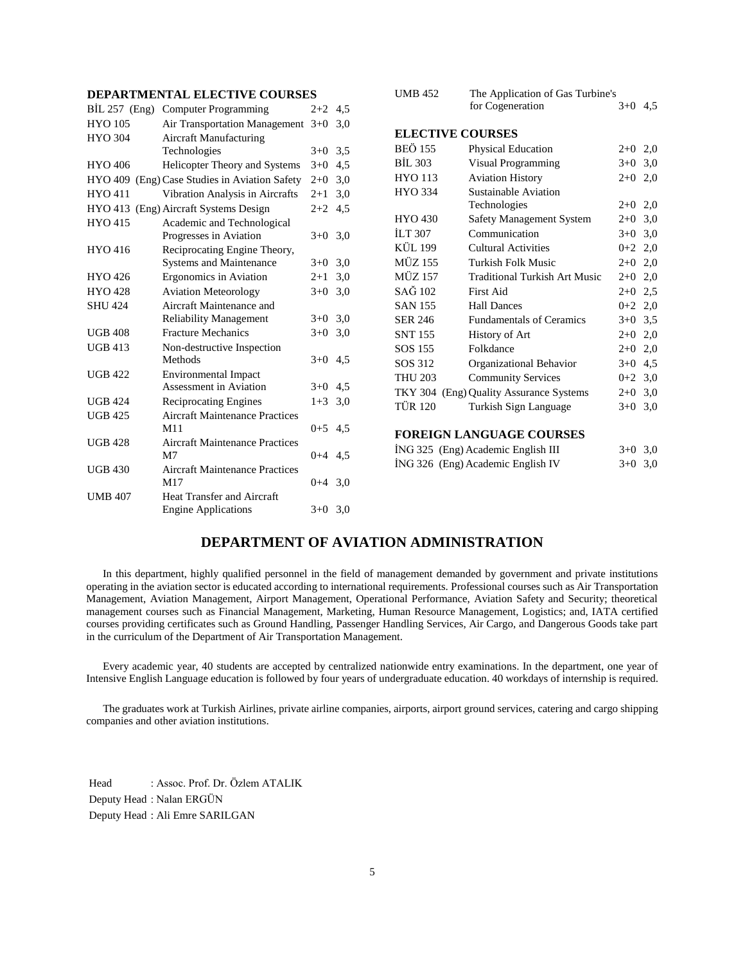# **DEPARTMENTAL ELECTIVE COURSES**

| $BIL 257$ (Eng) | <b>Computer Programming</b>                   | $2 + 2$   | 4,5 |
|-----------------|-----------------------------------------------|-----------|-----|
| <b>HYO 105</b>  | Air Transportation Management $3+0$           |           | 3,0 |
| <b>HYO 304</b>  | Aircraft Manufacturing                        |           |     |
|                 | Technologies                                  | $3+0$     | 3,5 |
| <b>HYO 406</b>  | <b>Helicopter Theory and Systems</b>          | $3+0$     | 4,5 |
|                 | HYO 409 (Eng) Case Studies in Aviation Safety | $2+0$     | 3,0 |
| <b>HYO 411</b>  | Vibration Analysis in Aircrafts               | $2+1$     | 3,0 |
|                 | HYO 413 (Eng) Aircraft Systems Design         | $2+2$     | 4,5 |
| HYO 415         | Academic and Technological                    |           |     |
|                 | Progresses in Aviation                        | $3+0$     | 3,0 |
| <b>HYO 416</b>  | Reciprocating Engine Theory,                  |           |     |
|                 | <b>Systems and Maintenance</b>                | $3+0$     | 3,0 |
| HYO 426         | Ergonomics in Aviation                        | $2 + 1$   | 3,0 |
| <b>HYO 428</b>  | <b>Aviation Meteorology</b>                   | $3+0$     | 3,0 |
| <b>SHU 424</b>  | Aircraft Maintenance and                      |           |     |
|                 | <b>Reliability Management</b>                 | $3+0$     | 3,0 |
| <b>UGB 408</b>  | <b>Fracture Mechanics</b>                     | $3+0$     | 3,0 |
| <b>UGB 413</b>  | Non-destructive Inspection                    |           |     |
|                 | Methods                                       | $3+0$     | 4,5 |
| <b>UGB 422</b>  | <b>Environmental Impact</b>                   |           |     |
|                 | Assessment in Aviation                        | $3+0$     | 4.5 |
| <b>UGB 424</b>  | <b>Reciprocating Engines</b>                  | $1 + 3$   | 3,0 |
| <b>UGB 425</b>  | <b>Aircraft Maintenance Practices</b>         |           |     |
|                 | M11                                           | $0+5$ 4.5 |     |
| <b>UGB 428</b>  | <b>Aircraft Maintenance Practices</b>         |           |     |
|                 | M7                                            | $0+4$ 4.5 |     |
| <b>UGB 430</b>  | <b>Aircraft Maintenance Practices</b>         |           |     |
|                 | M17                                           | $0+4$ 3.0 |     |
| <b>UMB 407</b>  | Heat Transfer and Aircraft                    |           |     |
|                 | <b>Engine Applications</b>                    | $3+0$     | 3,0 |

| <b>UMB 452</b> | The Application of Gas Turbine's     |           |     |
|----------------|--------------------------------------|-----------|-----|
|                | for Cogeneration                     | $3+0$     | 4,5 |
|                |                                      |           |     |
|                | <b>ELECTIVE COURSES</b>              |           |     |
| <b>BEÖ 155</b> | Physical Education                   | $2+0$ 2,0 |     |
| <b>BİL 303</b> | Visual Programming                   | $3+0$     | 3,0 |
| <b>HYO 113</b> | <b>Aviation History</b>              | $2+0$     | 2,0 |
| <b>HYO 334</b> | Sustainable Aviation                 |           |     |
|                | Technologies                         | $2+0$ 2,0 |     |
| <b>HYO 430</b> | Safety Management System             | $2+0$     | 3,0 |
| <b>ILT 307</b> | Communication                        | $3 + 0$   | 3,0 |
| KÜL 199        | Cultural Activities                  | $0+2$ 2,0 |     |
| <b>MÜZ 155</b> | Turkish Folk Music                   | $2+0$ 2,0 |     |
| <b>MÜZ 157</b> | <b>Traditional Turkish Art Music</b> | $2+0$ 2,0 |     |
| SAĞ 102        | First Aid                            | $2+0$ 2,5 |     |
| <b>SAN 155</b> | <b>Hall Dances</b>                   | $0+2$ 2,0 |     |
| <b>SER 246</b> | <b>Fundamentals of Ceramics</b>      | $3+0$ 3,5 |     |
| <b>SNT 155</b> | History of Art                       | $2+0$     | 2,0 |
| SOS 155        | Folkdance                            | $2+0$ 2,0 |     |
| SOS 312        | Organizational Behavior              | $3+0$     | 4,5 |
| <b>THU 203</b> | <b>Community Services</b>            | $0+2$ 3,0 |     |
| <b>TKY 304</b> | (Eng) Quality Assurance Systems      | $2+0$ 3,0 |     |
| <b>TÜR 120</b> | Turkish Sign Language                | $3+0$     | 3,0 |
|                |                                      |           |     |
|                | EODEICN LANCHACE COUPEE              |           |     |

#### **FOREIGN LANGUAGE COURSES**

| ING 325 (Eng) Academic English III | $3+0$ 3.0 |  |
|------------------------------------|-----------|--|
| ING 326 (Eng) Academic English IV  | $3+0$ 3.0 |  |

# **DEPARTMENT OF AVIATION ADMINISTRATION**

 In this department, highly qualified personnel in the field of management demanded by government and private institutions operating in the aviation sector is educated according to international requirements. Professional courses such as Air Transportation Management, Aviation Management, Airport Management, Operational Performance, Aviation Safety and Security; theoretical management courses such as Financial Management, Marketing, Human Resource Management, Logistics; and, IATA certified courses providing certificates such as Ground Handling, Passenger Handling Services, Air Cargo, and Dangerous Goods take part in the curriculum of the Department of Air Transportation Management.

 Every academic year, 40 students are accepted by centralized nationwide entry examinations. In the department, one year of Intensive English Language education is followed by four years of undergraduate education. 40 workdays of internship is required.

 The graduates work at Turkish Airlines, private airline companies, airports, airport ground services, catering and cargo shipping companies and other aviation institutions.

Head : Assoc. Prof. Dr. Özlem ATALIK Deputy Head : Nalan ERGÜN Deputy Head : Ali Emre SARILGAN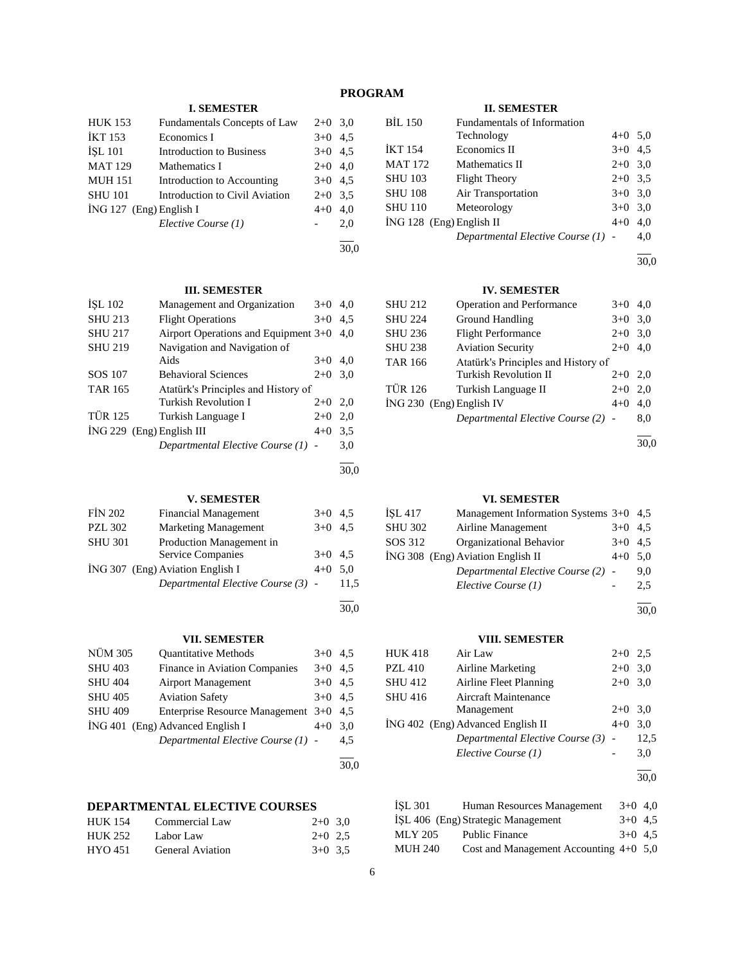# **PROGRAM**

# **I. SEMESTER**

| <b>HUK 153</b>            | Fundamentals Concepts of Law    | $2+0$ 3,0 |     |
|---------------------------|---------------------------------|-----------|-----|
| <b>IKT 153</b>            | Economics I                     | $3+0$ 4.5 |     |
| İŞL 101                   | <b>Introduction to Business</b> | $3+0$ 4.5 |     |
| <b>MAT 129</b>            | Mathematics I                   | $2+0$ 4,0 |     |
| <b>MUH 151</b>            | Introduction to Accounting      | $3+0$ 4.5 |     |
| <b>SHU 101</b>            | Introduction to Civil Aviation  | $2+0$ 3.5 |     |
| $ING 127$ (Eng) English I |                                 | $4+0$     | 4,0 |
|                           | Elective Course (1)             |           | 2,0 |
|                           |                                 |           |     |

30,0

30,0

30,0

# **III. SEMESTER**

| ISL 102                     | Management and Organization            | $3+0$ | 4.0 |
|-----------------------------|----------------------------------------|-------|-----|
| <b>SHU 213</b>              | <b>Flight Operations</b>               | $3+0$ | 4.5 |
| <b>SHU 217</b>              | Airport Operations and Equipment $3+0$ |       | 4.0 |
| <b>SHU 219</b>              | Navigation and Navigation of           |       |     |
|                             | Aids                                   | $3+0$ | 4.0 |
| SOS 107                     | <b>Behavioral Sciences</b>             | $2+0$ | 3,0 |
| <b>TAR 165</b>              | Atatürk's Principles and History of    |       |     |
|                             | Turkish Revolution I                   | $2+0$ | 2.0 |
| <b>TÜR 125</b>              | Turkish Language I                     | $2+0$ | 2,0 |
| $ING 229$ (Eng) English III |                                        | $4+0$ | 3.5 |
|                             | Departmental Elective Course (1) -     |       | 3,0 |
|                             |                                        |       |     |

# **V. SEMESTER**

| <b>FIN 202</b> | <b>Financial Management</b>        | $3+0$ 4.5 |      |
|----------------|------------------------------------|-----------|------|
| <b>PZL 302</b> | <b>Marketing Management</b>        | $3+0$ 4.5 |      |
| <b>SHU 301</b> | Production Management in           |           |      |
|                | Service Companies                  | $3+0$ 4.5 |      |
|                | ING 307 (Eng) Aviation English I   | $4+0$ 5.0 |      |
|                | Departmental Elective Course (3) - |           | 11.5 |
|                |                                    |           |      |

# **VII. SEMESTER**

| NÜM 305        | <b>Ouantitative Methods</b>        | $3+0$     | 4.5  |
|----------------|------------------------------------|-----------|------|
| <b>SHU 403</b> | Finance in Aviation Companies      | $3+0$     | 4.5  |
| <b>SHU 404</b> | <b>Airport Management</b>          | $3+0$ 4.5 |      |
| <b>SHU 405</b> | <b>Aviation Safety</b>             | $3+0$     | 4.5  |
| <b>SHU 409</b> | Enterprise Resource Management 3+0 |           | 4.5  |
|                | ING 401 (Eng) Advanced English I   | $4 + 0$   | 3.0  |
|                | Departmental Elective Course (1) - |           | 4,5  |
|                |                                    |           | 30.0 |

# **DEPARTMENTAL ELECTIVE COURSES**

| <b>HUK 154</b> | Commercial Law   | $2+0$ 3.0 |  |
|----------------|------------------|-----------|--|
| <b>HUK 252</b> | Labor Law        | $2+0$ 2.5 |  |
| HYO 451        | General Aviation | $3+0$ 3.5 |  |

# **II. SEMESTER**

| <b>BIL 150</b>             | Fundamentals of Information        |           |     |
|----------------------------|------------------------------------|-----------|-----|
|                            | Technology                         | $4+0$ 5.0 |     |
| <b>IKT 154</b>             | Economics II                       | $3+0$ 4.5 |     |
| <b>MAT 172</b>             | Mathematics II                     | $2+0$ 3.0 |     |
| <b>SHU 103</b>             | <b>Flight Theory</b>               | $2+0$ 3.5 |     |
| <b>SHU 108</b>             | Air Transportation                 | $3+0$ 3.0 |     |
| <b>SHU 110</b>             | Meteorology                        | $3+0$ 3.0 |     |
| $ING 128$ (Eng) English II |                                    | $4 + 0$   | 4,0 |
|                            | Departmental Elective Course (1) - |           | 4.0 |

l 30,0

# **IV. SEMESTER**

| <b>SHU 212</b>           | Operation and Performance           | $3+0$   | 4,0 |
|--------------------------|-------------------------------------|---------|-----|
| <b>SHU 224</b>           | Ground Handling                     | $3+0$   | 3,0 |
| <b>SHU 236</b>           | <b>Flight Performance</b>           | $2+0$   | 3,0 |
| <b>SHU 238</b>           | <b>Aviation Security</b>            | $2+0$   | 4,0 |
| TAR 166                  | Atatürk's Principles and History of |         |     |
|                          | <b>Turkish Revolution II</b>        | $2+0$   | 2,0 |
| TÜR 126                  | Turkish Language II                 | $2+0$   | 2,0 |
| İNG 230 (Eng) English IV |                                     | $4 + 0$ | 4.0 |
|                          | Departmental Elective Course (2) -  |         | 8,0 |
|                          |                                     |         |     |

30,0

# **VI. SEMESTER**

| İŞL 417 | Management Information Systems 3+0 4,5 |           |     |
|---------|----------------------------------------|-----------|-----|
| SHU 302 | Airline Management                     | $3+0$ 4.5 |     |
| SOS 312 | Organizational Behavior                | $3+0$ 4.5 |     |
|         | İNG 308 (Eng) Aviation English II      | $4+0$ 5,0 |     |
|         | Departmental Elective Course (2) -     |           | 9.0 |
|         | Elective Course (1)                    |           | 2,5 |
|         |                                        |           |     |

30,0

# **VIII. SEMESTER**

| HUK 418 | Air Law                            | $2+0$ 2.5 |      |
|---------|------------------------------------|-----------|------|
| PZL 410 | Airline Marketing                  | $2+0$ 3.0 |      |
| SHU 412 | Airline Fleet Planning             | $2+0$ 3.0 |      |
| SHU 416 | <b>Aircraft Maintenance</b>        |           |      |
|         | Management                         | $2+0$ 3.0 |      |
|         | ING 402 (Eng) Advanced English II  | $4 + 0$   | 3.0  |
|         | Departmental Elective Course (3) - |           | 12,5 |
|         | Elective Course (1)                |           | 3,0  |
|         |                                    |           |      |

30,0

| İSL 301 | Human Resources Management               | $3+0$ 4.0 |  |
|---------|------------------------------------------|-----------|--|
|         | ISL 406 (Eng) Strategic Management       | $3+0$ 4.5 |  |
| MLY 205 | <b>Public Finance</b>                    | $3+0$ 4.5 |  |
| MUH 240 | Cost and Management Accounting $4+0$ 5,0 |           |  |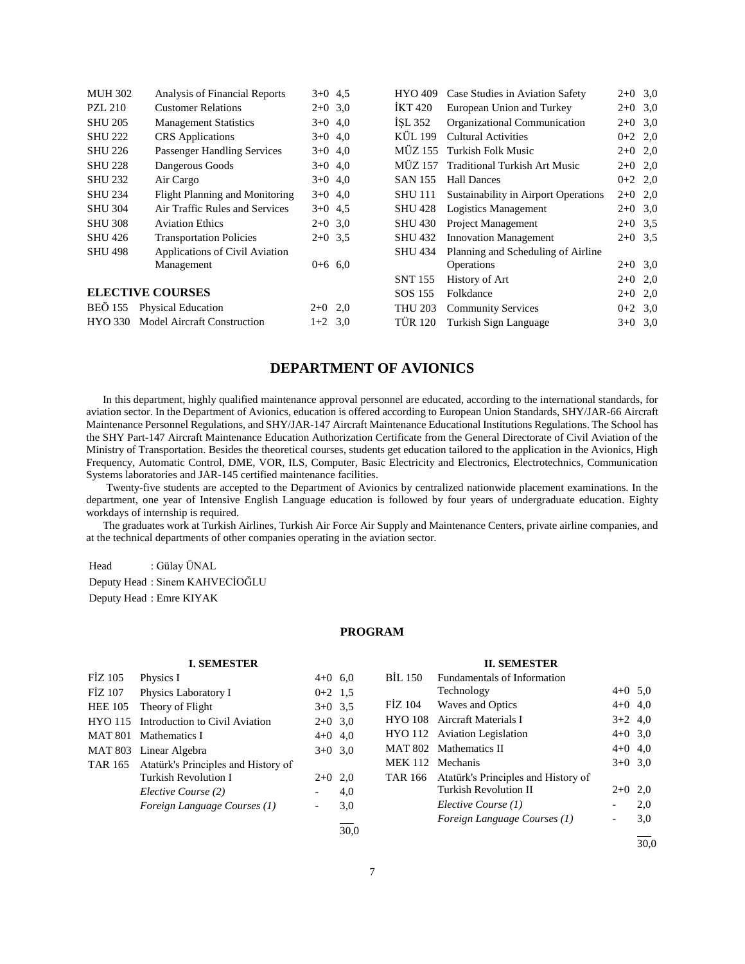| <b>MUH 302</b> | Analysis of Financial Reports      | $3+0$ 4.5 | <b>HYO 409</b> | Case Studies in Aviation Safety      | $2+0$ 3,0 |  |
|----------------|------------------------------------|-----------|----------------|--------------------------------------|-----------|--|
| PZL 210        | <b>Customer Relations</b>          | $2+0$ 3.0 | IKT 420        | European Union and Turkey            | $2+0$ 3,0 |  |
| <b>SHU 205</b> | <b>Management Statistics</b>       | $3+0$ 4,0 | ISL 352        | Organizational Communication         | $2+0$ 3,0 |  |
| <b>SHU 222</b> | <b>CRS</b> Applications            | $3+0$ 4,0 | KÜL 199        | Cultural Activities                  | $0+2$ 2,0 |  |
| <b>SHU 226</b> | <b>Passenger Handling Services</b> | $3+0$ 4,0 | <b>MÜZ 155</b> | Turkish Folk Music                   | $2+0$ 2,0 |  |
| <b>SHU 228</b> | Dangerous Goods                    | $3+0$ 4,0 | MÜZ 157        | <b>Traditional Turkish Art Music</b> | $2+0$ 2,0 |  |
| <b>SHU 232</b> | Air Cargo                          | $3+0$ 4.0 | <b>SAN 155</b> | <b>Hall Dances</b>                   | $0+2$ 2,0 |  |
| <b>SHU 234</b> | Flight Planning and Monitoring     | $3+0$ 4,0 | <b>SHU 111</b> | Sustainability in Airport Operations | $2+0$ 2,0 |  |
| <b>SHU 304</b> | Air Traffic Rules and Services     | $3+0$ 4.5 | <b>SHU 428</b> | Logistics Management                 | $2+0$ 3.0 |  |
| <b>SHU 308</b> | <b>Aviation Ethics</b>             | $2+0$ 3.0 | <b>SHU 430</b> | <b>Project Management</b>            | $2+0$ 3.5 |  |
| <b>SHU 426</b> | <b>Transportation Policies</b>     | $2+0$ 3.5 | <b>SHU 432</b> | <b>Innovation Management</b>         | $2+0$ 3.5 |  |
| <b>SHU 498</b> | Applications of Civil Aviation     |           | <b>SHU 434</b> | Planning and Scheduling of Airline   |           |  |
|                | Management                         | $0+6$ 6.0 |                | Operations                           | $2+0$ 3,0 |  |
|                |                                    |           | <b>SNT 155</b> | History of Art                       | $2+0$ 2,0 |  |
|                | <b>ELECTIVE COURSES</b>            |           | SOS 155        | Folkdance                            | $2+0$ 2,0 |  |
|                | BEÖ 155 Physical Education         | $2+0$ 2,0 | <b>THU 203</b> | <b>Community Services</b>            | $0+2$ 3.0 |  |
| <b>HYO 330</b> | <b>Model Aircraft Construction</b> | $1+2$ 3.0 | <b>TÜR 120</b> | Turkish Sign Language                | $3+0$ 3.0 |  |
|                |                                    |           |                |                                      |           |  |

# **DEPARTMENT OF AVIONICS**

 In this department, highly qualified maintenance approval personnel are educated, according to the international standards, for aviation sector. In the Department of Avionics, education is offered according to European Union Standards, SHY/JAR-66 Aircraft Maintenance Personnel Regulations, and SHY/JAR-147 Aircraft Maintenance Educational Institutions Regulations. The School has the SHY Part-147 Aircraft Maintenance Education Authorization Certificate from the General Directorate of Civil Aviation of the Ministry of Transportation. Besides the theoretical courses, students get education tailored to the application in the Avionics, High Frequency, Automatic Control, DME, VOR, ILS, Computer, Basic Electricity and Electronics, Electrotechnics, Communication Systems laboratories and JAR-145 certified maintenance facilities.

 Twenty-five students are accepted to the Department of Avionics by centralized nationwide placement examinations. In the department, one year of Intensive English Language education is followed by four years of undergraduate education. Eighty workdays of internship is required.

 The graduates work at Turkish Airlines, Turkish Air Force Air Supply and Maintenance Centers, private airline companies, and at the technical departments of other companies operating in the aviation sector.

Head : Gülay ÜNAL

Deputy Head : Sinem KAHVECİOĞLU Deputy Head : Emre KIYAK

# **PROGRAM**

|                | <b>I. SEMESTER</b>                  |                          |      |                | <b>II. SEMESTER</b>                 |                          |      |
|----------------|-------------------------------------|--------------------------|------|----------------|-------------------------------------|--------------------------|------|
| <b>FİZ 105</b> | Physics I                           | $4+0$ 6.0                |      | BIL 150        | Fundamentals of Information         |                          |      |
| FIZ 107        | Physics Laboratory I                | $0+2$ 1.5                |      |                | Technology                          | $4+0$ 5.0                |      |
| <b>HEE 105</b> | Theory of Flight                    | $3+0$ 3.5                |      | FIZ 104        | Waves and Optics                    | $4+0$ 4,0                |      |
| <b>HYO 115</b> | Introduction to Civil Aviation      | $2+0$ 3.0                |      | <b>HYO 108</b> | Aircraft Materials I                | $3+2$ 4,0                |      |
| <b>MAT 801</b> | Mathematics I                       | $4+0$ 4,0                |      |                | HYO 112 Aviation Legislation        | $4+0$ 3.0                |      |
| MAT 803        | Linear Algebra                      | $3+0$ 3.0                |      |                | MAT 802 Mathematics II              | $4+0$ 4,0                |      |
| TAR 165        | Atatürk's Principles and History of |                          |      |                | MEK 112 Mechanis                    | $3+0$ 3.0                |      |
|                | Turkish Revolution I                | $2+0$ 2,0                |      | TAR 166        | Atatürk's Principles and History of |                          |      |
|                | Elective Course (2)                 |                          | 4,0  |                | <b>Turkish Revolution II</b>        | $2+0$ 2,0                |      |
|                | Foreign Language Courses (1)        | $\overline{\phantom{a}}$ | 3,0  |                | Elective Course (1)                 |                          | 2,0  |
|                |                                     |                          |      |                | Foreign Language Courses (1)        | $\overline{\phantom{a}}$ | 3,0  |
|                |                                     |                          | 30,0 |                |                                     |                          |      |
|                |                                     |                          |      |                |                                     |                          | 30.0 |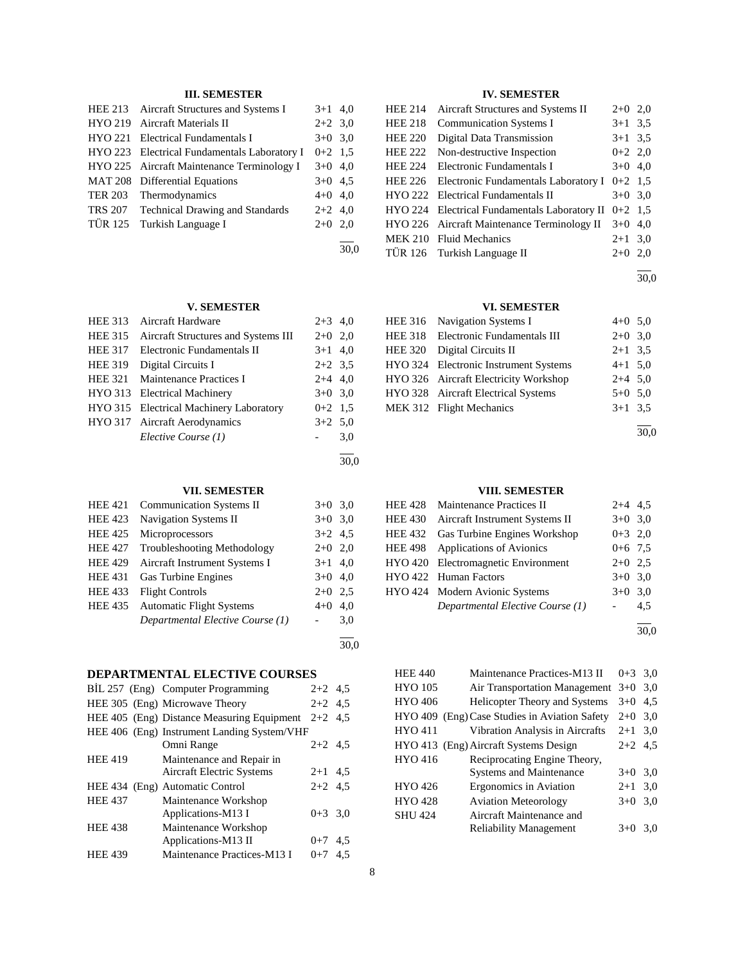# **III. SEMESTER**

|         | HEE 213 Aircraft Structures and Systems I    | $3+1$ 4,0 |      |
|---------|----------------------------------------------|-----------|------|
|         | HYO 219 Aircraft Materials II                | $2+2$ 3.0 |      |
|         | HYO 221 Electrical Fundamentals I            | $3+0$ 3,0 |      |
|         | HYO 223 Electrical Fundamentals Laboratory I | $0+2$ 1.5 |      |
|         | HYO 225 Aircraft Maintenance Terminology I   | $3+0$ 4,0 |      |
|         | MAT 208 Differential Equations               | $3+0$ 4.5 |      |
|         | TER 203 Thermodynamics                       | $4+0$ 4,0 |      |
| TRS 207 | Technical Drawing and Standards              | $2+2$ 4.0 |      |
| TÜR 125 | Turkish Language I                           | $2+0$ 2,0 |      |
|         |                                              |           |      |
|         |                                              |           | 30,0 |

# **V. SEMESTER**

| <b>HEE 313</b> | Aircraft Hardware                       | $2+3$ 4,0 |     |
|----------------|-----------------------------------------|-----------|-----|
| <b>HEE 315</b> | Aircraft Structures and Systems III     | $2+0$ 2,0 |     |
| <b>HEE 317</b> | Electronic Fundamentals II              | $3+1$ 4,0 |     |
| <b>HEE 319</b> | Digital Circuits I                      | $2+2$ 3.5 |     |
| <b>HEE 321</b> | Maintenance Practices I                 | $2+4$ 4,0 |     |
|                | HYO 313 Electrical Machinery            | $3+0$ 3.0 |     |
|                | HYO 315 Electrical Machinery Laboratory | $0+2$ 1.5 |     |
|                | HYO 317 Aircraft Aerodynamics           | $3+2$ 5.0 |     |
|                | Elective Course (1)                     |           | 3,0 |
|                |                                         |           |     |
|                |                                         |           |     |

# **VII. SEMESTER**

| <b>HEE 421</b> | <b>Communication Systems II</b>    | $3+0$ 3.0 |     |
|----------------|------------------------------------|-----------|-----|
| <b>HEE 423</b> | <b>Navigation Systems II</b>       | $3+0$ 3.0 |     |
| <b>HEE 425</b> | Microprocessors                    | $3+2$ 4.5 |     |
| <b>HEE 427</b> | <b>Troubleshooting Methodology</b> | $2+0$ 2,0 |     |
| <b>HEE 429</b> | Aircraft Instrument Systems I      | $3+1$ 4.0 |     |
| <b>HEE 431</b> | Gas Turbine Engines                | $3+0$ 4.0 |     |
| <b>HEE 433</b> | <b>Flight Controls</b>             | $2+0$ 2.5 |     |
| <b>HEE 435</b> | <b>Automatic Flight Systems</b>    | $4 + 0$   | 4,0 |
|                | Departmental Elective Course (1)   |           | 3,0 |
|                |                                    |           |     |

# **DEPARTMENTAL ELECTIVE COURSES**

|                | BIL 257 (Eng) Computer Programming          | $2+2$ 4.5 |     |
|----------------|---------------------------------------------|-----------|-----|
|                | HEE 305 (Eng) Microwave Theory              | $2+2$ 4.5 |     |
|                | HEE 405 (Eng) Distance Measuring Equipment  | $2+2$ 4.5 |     |
|                | HEE 406 (Eng) Instrument Landing System/VHF |           |     |
|                | Omni Range                                  | $2+2$ 4.5 |     |
| <b>HEE 419</b> | Maintenance and Repair in                   |           |     |
|                | Aircraft Electric Systems                   | $2+1$ 4.5 |     |
|                | HEE 434 (Eng) Automatic Control             | $2+2$ 4.5 |     |
| <b>HEE 437</b> | Maintenance Workshop                        |           |     |
|                | Applications-M13 I                          | $0+3$ 3.0 |     |
| <b>HEE 438</b> | Maintenance Workshop                        |           |     |
|                | Applications-M13 II                         | $0+7$ 4.5 |     |
| <b>HEE 439</b> | Maintenance Practices-M13 I                 | $0+7$     | 4.5 |

# **IV. SEMESTER**

| <b>HEE 214</b> | Aircraft Structures and Systems II            | $2+0$ 2,0 |     |
|----------------|-----------------------------------------------|-----------|-----|
| <b>HEE 218</b> | <b>Communication Systems I</b>                | $3+1$ 3.5 |     |
| <b>HEE 220</b> | Digital Data Transmission                     | $3+1$ 3.5 |     |
| <b>HEE 222</b> | Non-destructive Inspection                    | $0+2$ 2,0 |     |
| <b>HEE 224</b> | Electronic Fundamentals I                     | $3+0$ 4,0 |     |
| <b>HEE 226</b> | Electronic Fundamentals Laboratory I          | $0+2$ 1.5 |     |
|                | HYO 222 Electrical Fundamentals II            | $3+0$ 3.0 |     |
|                | HYO 224 Electrical Fundamentals Laboratory II | $0+2$ 1.5 |     |
|                | HYO 226 Aircraft Maintenance Terminology II   | $3+0$     | 4,0 |
|                | MEK 210 Fluid Mechanics                       | $2+1$ 3.0 |     |
|                | TÜR 126 Turkish Language II                   | $2+0$     | 2.0 |
|                |                                               |           |     |

 $\overline{a}$ 30,0

# **VI. SEMESTER**

| HEE 316 Navigation Systems I          | $4+0$ 5.0 |  |
|---------------------------------------|-----------|--|
| HEE 318 Electronic Fundamentals III   | $2+0$ 3.0 |  |
| HEE 320 Digital Circuits II           | $2+1$ 3.5 |  |
| HYO 324 Electronic Instrument Systems | $4+1$ 5.0 |  |
| HYO 326 Aircraft Electricity Workshop | $2+4$ 5.0 |  |
| HYO 328 Aircraft Electrical Systems   | $5+0$ 5.0 |  |
| MEK 312 Flight Mechanics              | $3+1$ 3.5 |  |
|                                       |           |  |

30,0

# **VIII. SEMESTER**

|                | HEE 428 Maintenance Practices II     | $2+4$ 4.5 |     |
|----------------|--------------------------------------|-----------|-----|
| <b>HEE 430</b> | Aircraft Instrument Systems II       | $3+0$ 3.0 |     |
|                | HEE 432 Gas Turbine Engines Workshop | $0+3$ 2,0 |     |
|                | HEE 498 Applications of Avionics     | $0+6$ 7.5 |     |
|                | HYO 420 Electromagnetic Environment  | $2+0$ 2.5 |     |
|                | HYO 422 Human Factors                | $3+0$ 3.0 |     |
|                | HYO 424 Modern Avionic Systems       | $3+0$ 3.0 |     |
|                | Departmental Elective Course (1)     |           | 4,5 |
|                |                                      |           |     |

30,0

| <b>HEE 440</b> | Maintenance Practices-M13 II                  | $0 + 3$   | 3.0 |
|----------------|-----------------------------------------------|-----------|-----|
| HYO 105        | Air Transportation Management                 | $3+0$     | 3.0 |
| HYO 406        | <b>Helicopter Theory and Systems</b>          | $3+0$     | 4.5 |
|                | HYO 409 (Eng) Case Studies in Aviation Safety | $2+0$     | 3,0 |
| HYO 411        | Vibration Analysis in Aircrafts               | $2+1$ 3.0 |     |
|                | HYO 413 (Eng) Aircraft Systems Design         | $2+2$ 4.5 |     |
| HYO 416        | Reciprocating Engine Theory,                  |           |     |
|                | <b>Systems and Maintenance</b>                | $3+0$ 3.0 |     |
| HYO 426        | Ergonomics in Aviation                        | $2 + 1$   | 3,0 |
| <b>HYO 428</b> | <b>Aviation Meteorology</b>                   | $3+0$     | 3,0 |
| SHU 424        | Aircraft Maintenance and                      |           |     |
|                | <b>Reliability Management</b>                 | $3+0$     | 3,0 |
|                |                                               |           |     |

30,0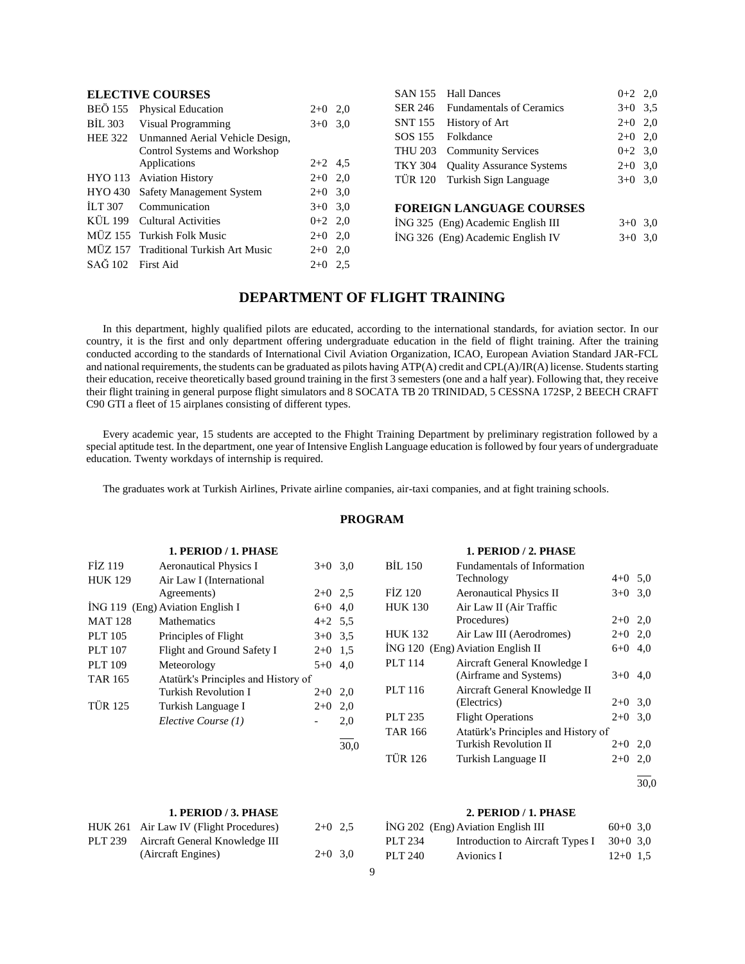# **ELECTIVE COURSES**

| <b>BEÖ</b> 155    | <b>Physical Education</b>             | $2+0$     | 2,0 |
|-------------------|---------------------------------------|-----------|-----|
| BIL 303           | Visual Programming                    | $3+0$ 3,0 |     |
| <b>HEE 322</b>    | Unmanned Aerial Vehicle Design,       |           |     |
|                   | Control Systems and Workshop          |           |     |
|                   | Applications                          | $2+2$ 4.5 |     |
|                   | HYO 113 Aviation History              | $2+0$ 2,0 |     |
| <b>HYO 430</b>    | Safety Management System              | $2+0$ 3.0 |     |
| ILT 307           | Communication                         | $3+0$ 3.0 |     |
|                   | KÜL 199 Cultural Activities           | $0+2$ 2,0 |     |
|                   | MÜZ 155 Turkish Folk Music            | $2+0$ 2,0 |     |
|                   | MÜZ 157 Traditional Turkish Art Music | $2+0$     | 2,0 |
| SAG 102 First Aid |                                       | $2+0$ 2.5 |     |

| SAN 155 Hall Dances               | $0+2$ 2,0 |  |
|-----------------------------------|-----------|--|
| SER 246 Fundamentals of Ceramics  | $3+0$ 3.5 |  |
| SNT 155 History of Art            | $2+0$ 2,0 |  |
| SOS 155 Folkdance                 | $2+0$ 2.0 |  |
| THU 203 Community Services        | $0+2$ 3.0 |  |
| TKY 304 Quality Assurance Systems | $2+0$ 3,0 |  |
| TÜR 120 Turkish Sign Language     | $3+0$ 3.0 |  |
|                                   |           |  |

# **FOREIGN LANGUAGE COURSES**

|  | ING 325 (Eng) Academic English III | $3+0$ 3.0 |  |
|--|------------------------------------|-----------|--|
|  | ING 326 (Eng) Academic English IV  | $3+0$ 3.0 |  |

# **DEPARTMENT OF FLIGHT TRAINING**

 In this department, highly qualified pilots are educated, according to the international standards, for aviation sector. In our country, it is the first and only department offering undergraduate education in the field of flight training. After the training conducted according to the standards of International Civil Aviation Organization, ICAO, European Aviation Standard JAR-FCL and national requirements, the students can be graduated as pilots having ATP(A) credit and CPL(A)/IR(A) license. Students starting their education, receive theoretically based ground training in the first 3 semesters (one and a half year). Following that, they receive their flight training in general purpose flight simulators and 8 SOCATA TB 20 TRINIDAD, 5 CESSNA 172SP, 2 BEECH CRAFT C90 GTI a fleet of 15 airplanes consisting of different types.

 Every academic year, 15 students are accepted to the Fhight Training Department by preliminary registration followed by a special aptitude test. In the department, one year of Intensive English Language education is followed by four years of undergraduate education. Twenty workdays of internship is required.

The graduates work at Turkish Airlines, Private airline companies, air-taxi companies, and at fight training schools.

# **PROGRAM**

|                | 1. PERIOD / 1. PHASE                |                          |      |                | 1. PERIOD / 2. PHASE                |           |  |
|----------------|-------------------------------------|--------------------------|------|----------------|-------------------------------------|-----------|--|
| FİZ 119        | <b>Aeronautical Physics I</b>       | $3+0$ 3.0                |      | <b>BIL 150</b> | Fundamentals of Information         |           |  |
| <b>HUK 129</b> | Air Law I (International            |                          |      |                | Technology                          | $4+0$ 5,0 |  |
|                | Agreements)                         | $2+0$ 2.5                |      | FIZ 120        | <b>Aeronautical Physics II</b>      | $3+0$ 3.0 |  |
|                | İNG 119 (Eng) Aviation English I    | $6+0$ 4.0                |      | <b>HUK 130</b> | Air Law II (Air Traffic             |           |  |
| <b>MAT 128</b> | <b>Mathematics</b>                  | $4+2$ 5.5                |      |                | Procedures)                         | $2+0$ 2,0 |  |
| PLT 105        | Principles of Flight                | $3+0$ 3.5                |      | <b>HUK 132</b> | Air Law III (Aerodromes)            | $2+0$ 2,0 |  |
| <b>PLT</b> 107 | Flight and Ground Safety I          | $2+0$ 1.5                |      |                | ING 120 (Eng) Aviation English II   | $6+0$ 4,0 |  |
| <b>PLT 109</b> | Meteorology                         | $5+0$ 4.0                |      | PLT 114        | Aircraft General Knowledge I        |           |  |
| <b>TAR 165</b> | Atatürk's Principles and History of |                          |      |                | (Airframe and Systems)              | $3+0$ 4,0 |  |
|                | <b>Turkish Revolution I</b>         | $2+0$ 2,0                |      | PLT 116        | Aircraft General Knowledge II       |           |  |
| <b>TÜR 125</b> | Turkish Language I                  | $2+0$ 2,0                |      |                | (Electrics)                         | $2+0$ 3.0 |  |
|                | Elective Course (1)                 | $\overline{\phantom{a}}$ | 2,0  | PLT 235        | <b>Flight Operations</b>            | $2+0$ 3.0 |  |
|                |                                     |                          |      | <b>TAR 166</b> | Atatürk's Principles and History of |           |  |
|                |                                     |                          | 30,0 |                | <b>Turkish Revolution II</b>        | $2+0$ 2,0 |  |
|                |                                     |                          |      | <b>TÜR 126</b> | Turkish Language II                 | $2+0$ 2,0 |  |

#### **1. PERIOD / 3. PHASE**

| HUK 261 Air Law IV (Flight Procedures) | $2+0$ 2.5 |  |
|----------------------------------------|-----------|--|
| PLT 239 Aircraft General Knowledge III |           |  |
| (Aircraft Engines)                     | $2+0$ 3,0 |  |

# **2. PERIOD / 1. PHASE**

l  $\frac{1}{30.0}$ 

|         | ING 202 (Eng) Aviation English III | $60+0$ 3.0 |  |
|---------|------------------------------------|------------|--|
| PLT 234 | Introduction to Aircraft Types I   | $30+0$ 3.0 |  |
| PLT 240 | Avionics I                         | $12+0$ 1.5 |  |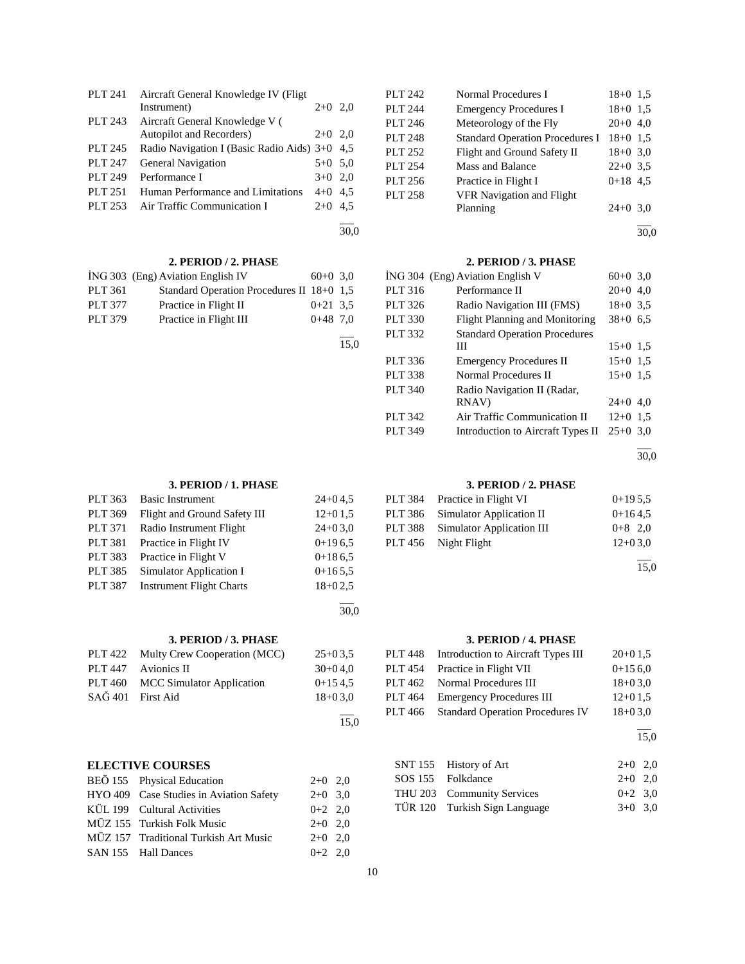| <b>PLT 241</b> | Aircraft General Knowledge IV (Fligt)         |           |     |
|----------------|-----------------------------------------------|-----------|-----|
|                | Instrument)                                   | $2+0$     | 2.0 |
| PLT 243        | Aircraft General Knowledge V (                |           |     |
|                | Autopilot and Recorders)                      | $2+0$ 2.0 |     |
| <b>PLT 245</b> | Radio Navigation I (Basic Radio Aids) 3+0 4,5 |           |     |
| PLT 247        | <b>General Navigation</b>                     | $5+0$ 5.0 |     |
| PLT 249        | Performance I                                 | $3+0$ 2.0 |     |
| PLT 251        | Human Performance and Limitations             | $4+0$ 4.5 |     |
| PLT 253        | Air Traffic Communication I                   | $2+0$ 4.5 |     |
|                |                                               |           |     |

30,0

15,0

30,0

15,0

# **2. PERIOD / 2. PHASE**

|                | ING 303 (Eng) Aviation English IV         | $60+0$ 3.0 |  |
|----------------|-------------------------------------------|------------|--|
| PLT 361        | Standard Operation Procedures II 18+0 1,5 |            |  |
| <b>PLT 377</b> | Practice in Flight II                     | $0+21$ 3.5 |  |
| PLT 379        | Practice in Flight III                    | $0+48$ 7.0 |  |
|                |                                           |            |  |

| PLT 363        | <b>Basic Instrument</b>         | $24+04.5$ |
|----------------|---------------------------------|-----------|
| PLT 369        | Flight and Ground Safety III    | $12+01.5$ |
| <b>PLT 371</b> | Radio Instrument Flight         | $24+03.0$ |
| <b>PLT 381</b> | Practice in Flight IV           | $0+196.5$ |
| PLT 383        | Practice in Flight V            | $0+186.5$ |
| PLT 385        | Simulator Application I         | $0+165.5$ |
| <b>PLT 387</b> | <b>Instrument Flight Charts</b> | $18+02.5$ |
|                |                                 |           |

**3. PERIOD / 3. PHASE**

| PLT 422 Multy Crew Cooperation (MCC) | $25+03.5$  |
|--------------------------------------|------------|
| PLT 447 Avionics II                  | $30+0.4.0$ |
| PLT 460 MCC Simulator Application    | $0+154.5$  |
| SAĞ 401 First Aid                    | $18+03.0$  |
|                                      |            |

# **ELECTIVE COURSES**

| BEÖ 155 Physical Education              | $2+0$ 2,0 |  |
|-----------------------------------------|-----------|--|
| HYO 409 Case Studies in Aviation Safety | $2+0$ 3.0 |  |
| KÜL 199 Cultural Activities             | $0+2$ 2,0 |  |
| MÜZ 155 Turkish Folk Music              | $2+0$ 2.0 |  |
| MÜZ 157 Traditional Turkish Art Music   | $2+0$ 2.0 |  |
| SAN 155 Hall Dances                     | $0+2$ 2.0 |  |

| PLT 242        | Normal Procedures I                    | $18+0$ 1.5 |  |
|----------------|----------------------------------------|------------|--|
| <b>PLT 244</b> | <b>Emergency Procedures I</b>          | $18+0$ 1.5 |  |
| PLT 246        | Meteorology of the Fly                 | $20+0$ 4,0 |  |
| <b>PLT 248</b> | <b>Standard Operation Procedures I</b> | $18+0$ 1.5 |  |
| PLT 252        | Flight and Ground Safety II            | $18+0$ 3.0 |  |
| PLT 254        | Mass and Balance                       | $22+0$ 3.5 |  |
| PLT 256        | Practice in Flight I                   | $0+18$ 4.5 |  |
| PLT 258        | VFR Navigation and Flight              |            |  |
|                | Planning                               | $24+0$ 3.0 |  |

l 30,0

# **2. PERIOD / 3. PHASE**

|         | ING 304 (Eng) Aviation English V     | $60+0$ 3.0 |  |
|---------|--------------------------------------|------------|--|
| PLT 316 | Performance II                       | $20+0$ 4,0 |  |
| PLT 326 | Radio Navigation III (FMS)           | $18+0$ 3.5 |  |
| PLT 330 | Flight Planning and Monitoring       | $38+0$ 6.5 |  |
| PLT 332 | <b>Standard Operation Procedures</b> |            |  |
|         | Ш                                    | $15+0$ 1.5 |  |
| PLT 336 | <b>Emergency Procedures II</b>       | $15+0$ 1.5 |  |
| PLT 338 | Normal Procedures II                 | $15+0$ 1.5 |  |
| PLT 340 | Radio Navigation II (Radar,          |            |  |
|         | RNAV)                                | $24+0$ 4,0 |  |
| PLT 342 | Air Traffic Communication II         | $12+0$ 1.5 |  |
| PLT 349 | Introduction to Aircraft Types II    | $25+0.30$  |  |

30,0

l

# **3. PERIOD / 2. PHASE**

| PLT 384 Practice in Flight VI     | $0+195.5$ |
|-----------------------------------|-----------|
| PLT 386 Simulator Application II  | $0+164.5$ |
| PLT 388 Simulator Application III | $0+8$ 2,0 |
| PLT 456 Night Flight              | $12+03.0$ |
|                                   |           |

15,0

# **3. PERIOD / 4. PHASE**

|         | PLT 448 Introduction to Aircraft Types III | $20+0.15$ |
|---------|--------------------------------------------|-----------|
|         | PLT 454 Practice in Flight VII             | $0+156.0$ |
|         | PLT 462 Normal Procedures III              | $18+03.0$ |
|         | PLT 464 Emergency Procedures III           | $12+01.5$ |
| PLT 466 | <b>Standard Operation Procedures IV</b>    | $18+03.0$ |
|         |                                            |           |

15,0

| SNT 155 History of Art        | $2+0$ 2.0 |  |
|-------------------------------|-----------|--|
| SOS 155 Folkdance             | $2+0$ 2.0 |  |
| THU 203 Community Services    | $0+2$ 3.0 |  |
| TÜR 120 Turkish Sign Language | $3+0$ 3.0 |  |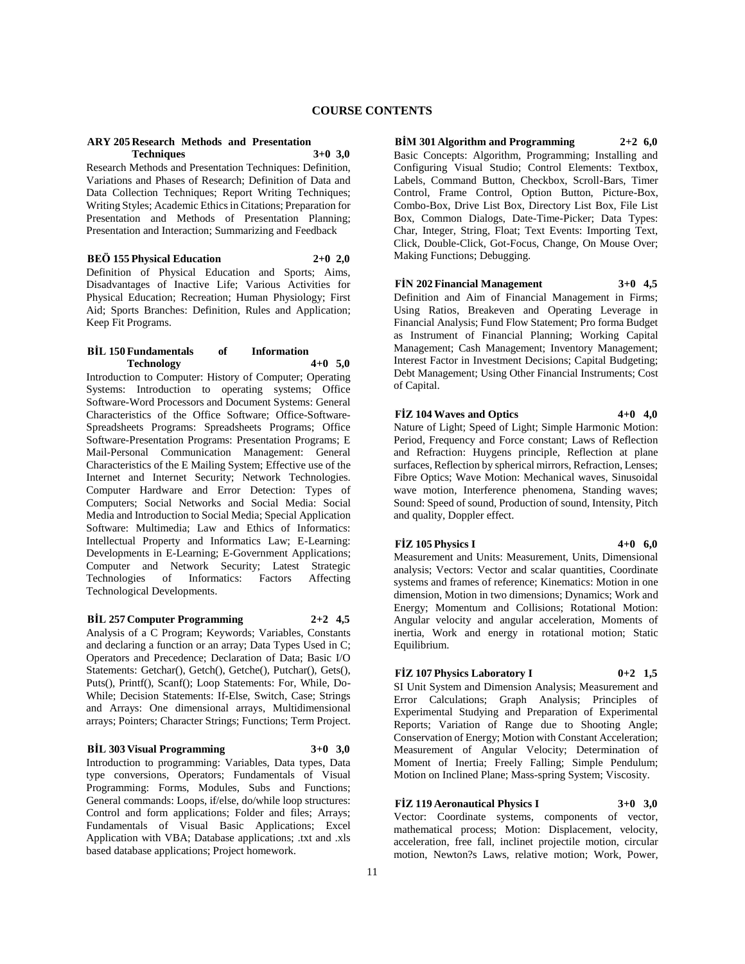#### **ARY 205 Research Methods and Presentation Techniques 3+0 3,0**

Research Methods and Presentation Techniques: Definition, Variations and Phases of Research; Definition of Data and Data Collection Techniques; Report Writing Techniques; Writing Styles; Academic Ethics in Citations; Preparation for Presentation and Methods of Presentation Planning; Presentation and Interaction; Summarizing and Feedback

**BEÖ 155 Physical Education 2+0 2,0** Definition of Physical Education and Sports; Aims, Disadvantages of Inactive Life; Various Activities for Physical Education; Recreation; Human Physiology; First Aid; Sports Branches: Definition, Rules and Application; Keep Fit Programs.

# **BİL 150 Fundamentals of Information Technology 4+0 5,0**

Introduction to Computer: History of Computer; Operating Systems: Introduction to operating systems; Office Software-Word Processors and Document Systems: General Characteristics of the Office Software; Office-Software-Spreadsheets Programs: Spreadsheets Programs; Office Software-Presentation Programs: Presentation Programs; E Mail-Personal Communication Management: General Characteristics of the E Mailing System; Effective use of the Internet and Internet Security; Network Technologies. Computer Hardware and Error Detection: Types of Computers; Social Networks and Social Media: Social Media and Introduction to Social Media; Special Application Software: Multimedia; Law and Ethics of Informatics: Intellectual Property and Informatics Law; E-Learning: Developments in E-Learning; E-Government Applications; Computer and Network Security; Latest Strategic Technologies of Informatics: Factors Affecting Technological Developments.

**BİL 257 Computer Programming 2+2 4,5** Analysis of a C Program; Keywords; Variables, Constants and declaring a function or an array; Data Types Used in C; Operators and Precedence; Declaration of Data; Basic I/O Statements: Getchar(), Getch(), Getche(), Putchar(), Gets(), Puts(), Printf(), Scanf(); Loop Statements: For, While, Do-While; Decision Statements: If-Else, Switch, Case; Strings and Arrays: One dimensional arrays, Multidimensional arrays; Pointers; Character Strings; Functions; Term Project.

# **BİL 303 Visual Programming 3+0 3,0**

Introduction to programming: Variables, Data types, Data type conversions, Operators; Fundamentals of Visual Programming: Forms, Modules, Subs and Functions; General commands: Loops, if/else, do/while loop structures: Control and form applications; Folder and files; Arrays; Fundamentals of Visual Basic Applications; Excel Application with VBA; Database applications; .txt and .xls based database applications; Project homework.

**BİM 301 Algorithm and Programming 2+2 6,0** Basic Concepts: Algorithm, Programming; Installing and Configuring Visual Studio; Control Elements: Textbox, Labels, Command Button, Checkbox, Scroll-Bars, Timer Control, Frame Control, Option Button, Picture-Box, Combo-Box, Drive List Box, Directory List Box, File List Box, Common Dialogs, Date-Time-Picker; Data Types: Char, Integer, String, Float; Text Events: Importing Text, Click, Double-Click, Got-Focus, Change, On Mouse Over; Making Functions; Debugging.

**FİN 202 Financial Management 3+0 4,5** Definition and Aim of Financial Management in Firms; Using Ratios, Breakeven and Operating Leverage in Financial Analysis; Fund Flow Statement; Pro forma Budget as Instrument of Financial Planning; Working Capital Management; Cash Management; Inventory Management; Interest Factor in Investment Decisions; Capital Budgeting; Debt Management; Using Other Financial Instruments; Cost of Capital.

# **FİZ 104 Waves and Optics 4+0 4,0**

Nature of Light; Speed of Light; Simple Harmonic Motion: Period, Frequency and Force constant; Laws of Reflection and Refraction: Huygens principle, Reflection at plane surfaces, Reflection by spherical mirrors, Refraction, Lenses; Fibre Optics; Wave Motion: Mechanical waves, Sinusoidal wave motion, Interference phenomena, Standing waves; Sound: Speed of sound, Production of sound, Intensity, Pitch and quality, Doppler effect.

#### **FİZ 105 Physics I 4+0 6,0**

Measurement and Units: Measurement, Units, Dimensional analysis; Vectors: Vector and scalar quantities, Coordinate systems and frames of reference; Kinematics: Motion in one dimension, Motion in two dimensions; Dynamics; Work and Energy; Momentum and Collisions; Rotational Motion: Angular velocity and angular acceleration, Moments of inertia, Work and energy in rotational motion; Static Equilibrium.

# **FİZ 107 Physics Laboratory I 0+2 1,5**

SI Unit System and Dimension Analysis; Measurement and Error Calculations; Graph Analysis; Principles of Experimental Studying and Preparation of Experimental Reports; Variation of Range due to Shooting Angle; Conservation of Energy; Motion with Constant Acceleration; Measurement of Angular Velocity; Determination of Moment of Inertia; Freely Falling; Simple Pendulum; Motion on Inclined Plane; Mass-spring System; Viscosity.

# **FİZ 119 Aeronautical Physics I 3+0 3,0**

Vector: Coordinate systems, components of vector, mathematical process; Motion: Displacement, velocity, acceleration, free fall, inclinet projectile motion, circular motion, Newton?s Laws, relative motion; Work, Power,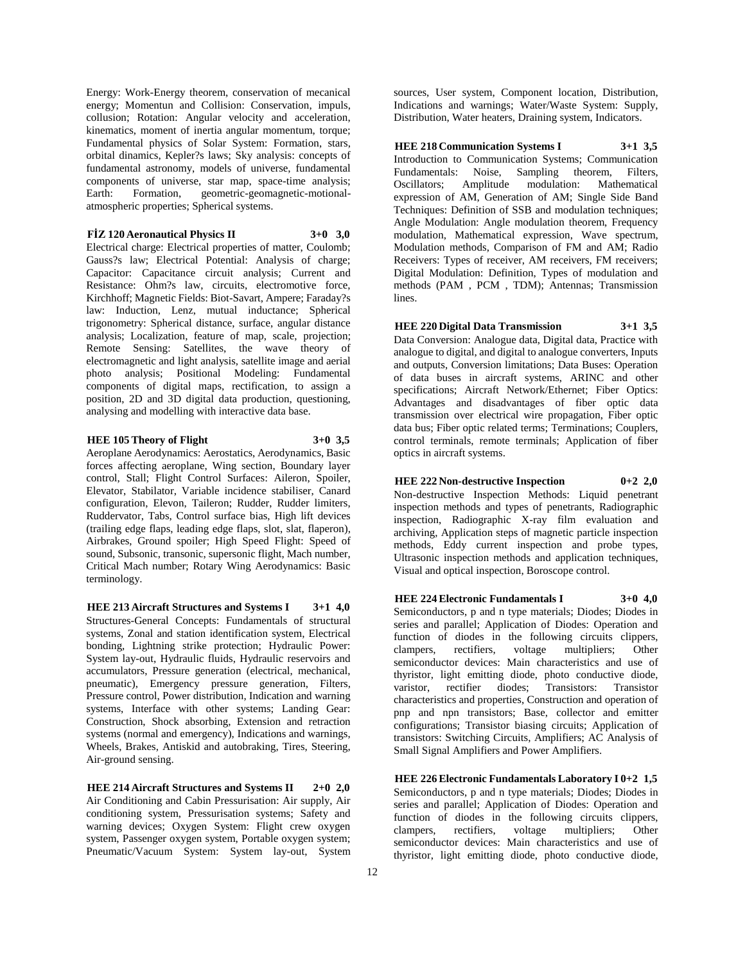Energy: Work-Energy theorem, conservation of mecanical energy; Momentun and Collision: Conservation, impuls, collusion; Rotation: Angular velocity and acceleration, kinematics, moment of inertia angular momentum, torque; Fundamental physics of Solar System: Formation, stars, orbital dinamics, Kepler?s laws; Sky analysis: concepts of fundamental astronomy, models of universe, fundamental components of universe, star map, space-time analysis; Earth: Formation, geometric-geomagnetic-motionalatmospheric properties; Spherical systems.

#### **FİZ 120 Aeronautical Physics II 3+0 3,0**

Electrical charge: Electrical properties of matter, Coulomb; Gauss?s law; Electrical Potential: Analysis of charge; Capacitor: Capacitance circuit analysis; Current and Resistance: Ohm?s law, circuits, electromotive force, Kirchhoff; Magnetic Fields: Biot-Savart, Ampere; Faraday?s law: Induction, Lenz, mutual inductance; Spherical trigonometry: Spherical distance, surface, angular distance analysis; Localization, feature of map, scale, projection; Remote Sensing: Satellites, the wave theory of electromagnetic and light analysis, satellite image and aerial photo analysis; Positional Modeling: Fundamental components of digital maps, rectification, to assign a position, 2D and 3D digital data production, questioning, analysing and modelling with interactive data base.

# **HEE 105 Theory of Flight 3+0 3,5**

Aeroplane Aerodynamics: Aerostatics, Aerodynamics, Basic forces affecting aeroplane, Wing section, Boundary layer control, Stall; Flight Control Surfaces: Aileron, Spoiler, Elevator, Stabilator, Variable incidence stabiliser, Canard configuration, Elevon, Taileron; Rudder, Rudder limiters, Ruddervator, Tabs, Control surface bias, High lift devices (trailing edge flaps, leading edge flaps, slot, slat, flaperon), Airbrakes, Ground spoiler; High Speed Flight: Speed of sound, Subsonic, transonic, supersonic flight, Mach number, Critical Mach number; Rotary Wing Aerodynamics: Basic terminology.

**HEE 213 Aircraft Structures and Systems I 3+1 4,0** Structures-General Concepts: Fundamentals of structural systems, Zonal and station identification system, Electrical bonding, Lightning strike protection; Hydraulic Power: System lay-out, Hydraulic fluids, Hydraulic reservoirs and accumulators, Pressure generation (electrical, mechanical, pneumatic), Emergency pressure generation, Filters, Pressure control, Power distribution, Indication and warning systems, Interface with other systems; Landing Gear: Construction, Shock absorbing, Extension and retraction systems (normal and emergency), Indications and warnings, Wheels, Brakes, Antiskid and autobraking, Tires, Steering, Air-ground sensing.

**HEE 214 Aircraft Structures and Systems II 2+0 2,0** Air Conditioning and Cabin Pressurisation: Air supply, Air conditioning system, Pressurisation systems; Safety and warning devices: Oxygen System: Flight crew oxygen system, Passenger oxygen system, Portable oxygen system; Pneumatic/Vacuum System: System lay-out, System

sources, User system, Component location, Distribution, Indications and warnings; Water/Waste System: Supply, Distribution, Water heaters, Draining system, Indicators.

**HEE 218 Communication Systems I 3+1 3,5** Introduction to Communication Systems; Communication Fundamentals: Noise, Sampling theorem, Filters, Oscillators; Amplitude modulation: Mathematical expression of AM, Generation of AM; Single Side Band Techniques: Definition of SSB and modulation techniques: Angle Modulation: Angle modulation theorem, Frequency modulation, Mathematical expression, Wave spectrum, Modulation methods, Comparison of FM and AM; Radio Receivers: Types of receiver, AM receivers, FM receivers; Digital Modulation: Definition, Types of modulation and methods (PAM , PCM , TDM); Antennas; Transmission lines.

**HEE 220 Digital Data Transmission 3+1 3,5** Data Conversion: Analogue data, Digital data, Practice with analogue to digital, and digital to analogue converters, Inputs and outputs, Conversion limitations; Data Buses: Operation of data buses in aircraft systems, ARINC and other specifications; Aircraft Network/Ethernet; Fiber Optics: Advantages and disadvantages of fiber optic data transmission over electrical wire propagation, Fiber optic data bus; Fiber optic related terms; Terminations; Couplers, control terminals, remote terminals; Application of fiber optics in aircraft systems.

**HEE 222 Non-destructive Inspection 0+2 2,0** Non-destructive Inspection Methods: Liquid penetrant inspection methods and types of penetrants, Radiographic inspection, Radiographic X-ray film evaluation and archiving, Application steps of magnetic particle inspection methods, Eddy current inspection and probe types, Ultrasonic inspection methods and application techniques, Visual and optical inspection, Boroscope control.

**HEE 224 Electronic Fundamentals I 3+0 4,0** Semiconductors, p and n type materials; Diodes; Diodes in series and parallel; Application of Diodes: Operation and function of diodes in the following circuits clippers, clampers, rectifiers, voltage multipliers; Other semiconductor devices: Main characteristics and use of thyristor, light emitting diode, photo conductive diode, varistor, rectifier diodes; Transistors: Transistor characteristics and properties, Construction and operation of pnp and npn transistors; Base, collector and emitter configurations; Transistor biasing circuits; Application of transistors: Switching Circuits, Amplifiers; AC Analysis of Small Signal Amplifiers and Power Amplifiers.

**HEE 226 Electronic Fundamentals Laboratory I 0+2 1,5** Semiconductors, p and n type materials; Diodes; Diodes in series and parallel; Application of Diodes: Operation and function of diodes in the following circuits clippers, clampers, rectifiers, voltage multipliers; Other semiconductor devices: Main characteristics and use of thyristor, light emitting diode, photo conductive diode,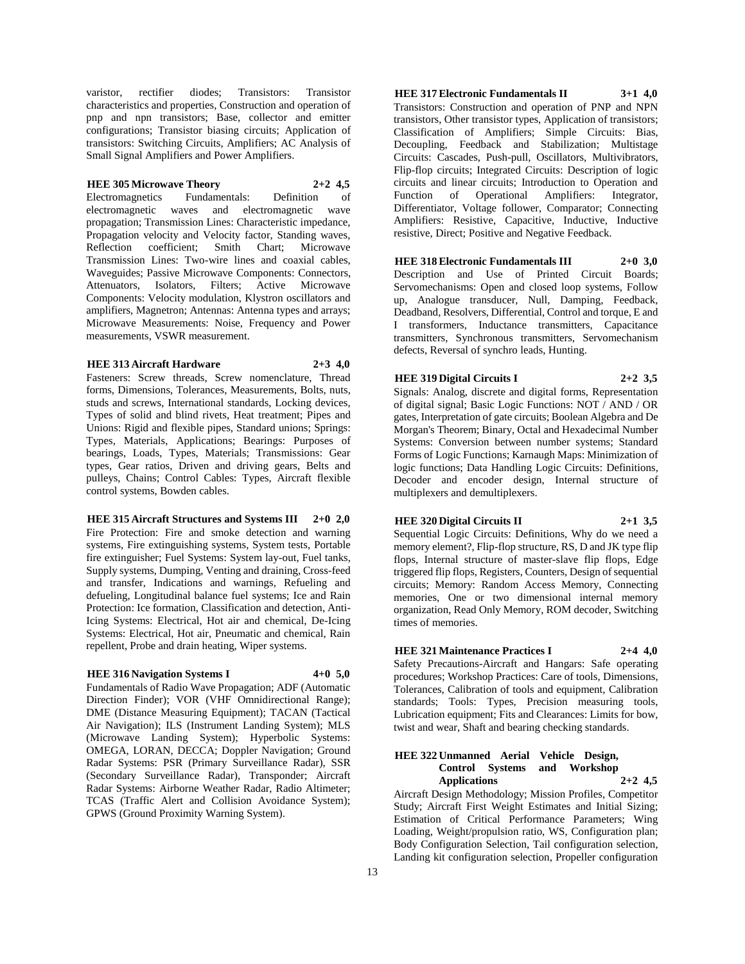varistor, rectifier diodes; Transistors: Transistor characteristics and properties, Construction and operation of pnp and npn transistors; Base, collector and emitter configurations; Transistor biasing circuits; Application of transistors: Switching Circuits, Amplifiers; AC Analysis of Small Signal Amplifiers and Power Amplifiers.

# **HEE 305 Microwave Theory 2+2 4,5**

Electromagnetics Fundamentals: Definition of electromagnetic waves and electromagnetic wave propagation; Transmission Lines: Characteristic impedance, Propagation velocity and Velocity factor, Standing waves, Reflection coefficient; Smith Chart; Microwave Transmission Lines: Two-wire lines and coaxial cables, Waveguides; Passive Microwave Components: Connectors, Attenuators, Isolators, Filters; Active Microwave Components: Velocity modulation, Klystron oscillators and amplifiers, Magnetron; Antennas: Antenna types and arrays; Microwave Measurements: Noise, Frequency and Power measurements, VSWR measurement.

#### **HEE 313 Aircraft Hardware 2+3 4,0**

Fasteners: Screw threads, Screw nomenclature, Thread forms, Dimensions, Tolerances, Measurements, Bolts, nuts, studs and screws, International standards, Locking devices, Types of solid and blind rivets, Heat treatment; Pipes and Unions: Rigid and flexible pipes, Standard unions; Springs: Types, Materials, Applications; Bearings: Purposes of bearings, Loads, Types, Materials; Transmissions: Gear types, Gear ratios, Driven and driving gears, Belts and pulleys, Chains; Control Cables: Types, Aircraft flexible control systems, Bowden cables.

# **HEE 315 Aircraft Structures and Systems III 2+0 2,0** Fire Protection: Fire and smoke detection and warning systems, Fire extinguishing systems, System tests, Portable fire extinguisher; Fuel Systems: System lay-out, Fuel tanks, Supply systems, Dumping, Venting and draining, Cross-feed and transfer, Indications and warnings, Refueling and

defueling, Longitudinal balance fuel systems; Ice and Rain Protection: Ice formation, Classification and detection, Anti-Icing Systems: Electrical, Hot air and chemical, De-Icing Systems: Electrical, Hot air, Pneumatic and chemical, Rain repellent, Probe and drain heating, Wiper systems.

# **HEE 316 Navigation Systems I 4+0 5,0**

Fundamentals of Radio Wave Propagation; ADF (Automatic Direction Finder); VOR (VHF Omnidirectional Range); DME (Distance Measuring Equipment); TACAN (Tactical Air Navigation); ILS (Instrument Landing System); MLS (Microwave Landing System); Hyperbolic Systems: OMEGA, LORAN, DECCA; Doppler Navigation; Ground Radar Systems: PSR (Primary Surveillance Radar), SSR (Secondary Surveillance Radar), Transponder; Aircraft Radar Systems: Airborne Weather Radar, Radio Altimeter; TCAS (Traffic Alert and Collision Avoidance System); GPWS (Ground Proximity Warning System).

**HEE 317 Electronic Fundamentals II 3+1 4,0** Transistors: Construction and operation of PNP and NPN transistors, Other transistor types, Application of transistors; Classification of Amplifiers; Simple Circuits: Bias, Decoupling, Feedback and Stabilization; Multistage Circuits: Cascades, Push-pull, Oscillators, Multivibrators, Flip-flop circuits; Integrated Circuits: Description of logic circuits and linear circuits; Introduction to Operation and Function of Operational Amplifiers: Integrator, Differentiator, Voltage follower, Comparator; Connecting Amplifiers: Resistive, Capacitive, Inductive, Inductive resistive, Direct; Positive and Negative Feedback.

# **HEE 318 Electronic Fundamentals III 2+0 3,0**

Description and Use of Printed Circuit Boards; Servomechanisms: Open and closed loop systems, Follow up, Analogue transducer, Null, Damping, Feedback, Deadband, Resolvers, Differential, Control and torque, E and I transformers, Inductance transmitters, Capacitance transmitters, Synchronous transmitters, Servomechanism defects, Reversal of synchro leads, Hunting.

**HEE 319 Digital Circuits I 2+2 3,5**

Signals: Analog, discrete and digital forms, Representation of digital signal; Basic Logic Functions: NOT / AND / OR gates, Interpretation of gate circuits; Boolean Algebra and De Morgan's Theorem; Binary, Octal and Hexadecimal Number Systems: Conversion between number systems; Standard Forms of Logic Functions; Karnaugh Maps: Minimization of logic functions; Data Handling Logic Circuits: Definitions, Decoder and encoder design, Internal structure of multiplexers and demultiplexers.

**HEE 320 Digital Circuits II 2+1 3,5**

Sequential Logic Circuits: Definitions, Why do we need a memory element?, Flip-flop structure, RS, D and JK type flip flops, Internal structure of master-slave flip flops, Edge triggered flip flops, Registers, Counters, Design of sequential circuits; Memory: Random Access Memory, Connecting memories, One or two dimensional internal memory organization, Read Only Memory, ROM decoder, Switching times of memories.

**HEE 321 Maintenance Practices I 2+4 4,0** Safety Precautions-Aircraft and Hangars: Safe operating procedures; Workshop Practices: Care of tools, Dimensions, Tolerances, Calibration of tools and equipment, Calibration standards; Tools: Types, Precision measuring tools, Lubrication equipment; Fits and Clearances: Limits for bow, twist and wear, Shaft and bearing checking standards.

#### **HEE 322 Unmanned Aerial Vehicle Design, Control Systems and Workshop Applications 2+2 4,5**

Aircraft Design Methodology; Mission Profiles, Competitor Study; Aircraft First Weight Estimates and Initial Sizing; Estimation of Critical Performance Parameters; Wing Loading, Weight/propulsion ratio, WS, Configuration plan; Body Configuration Selection, Tail configuration selection, Landing kit configuration selection, Propeller configuration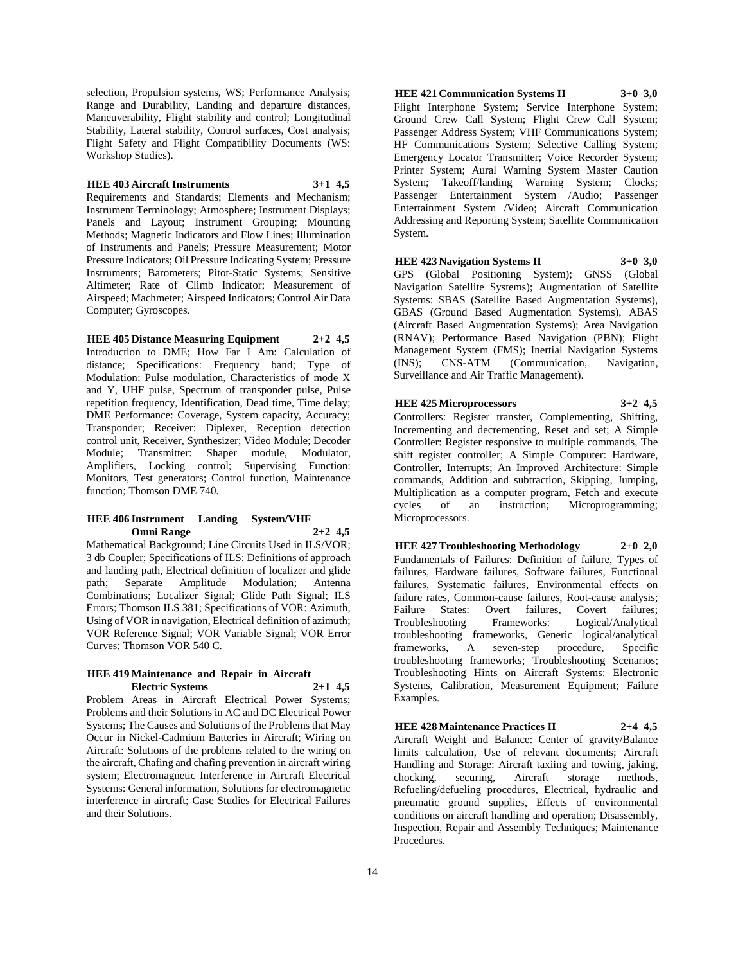selection, Propulsion systems, WS; Performance Analysis; Range and Durability, Landing and departure distances, Maneuverability, Flight stability and control; Longitudinal Stability, Lateral stability, Control surfaces, Cost analysis; Flight Safety and Flight Compatibility Documents (WS: Workshop Studies).

# **HEE 403 Aircraft Instruments 3+1 4,5**

Requirements and Standards; Elements and Mechanism; Instrument Terminology; Atmosphere; Instrument Displays; Panels and Layout; Instrument Grouping; Mounting Methods; Magnetic Indicators and Flow Lines; Illumination of Instruments and Panels; Pressure Measurement; Motor Pressure Indicators; Oil Pressure Indicating System; Pressure Instruments; Barometers; Pitot-Static Systems; Sensitive Altimeter; Rate of Climb Indicator; Measurement of Airspeed; Machmeter; Airspeed Indicators; Control Air Data Computer; Gyroscopes.

# **HEE 405 Distance Measuring Equipment 2+2 4,5**

Introduction to DME; How Far I Am: Calculation of distance; Specifications: Frequency band; Type of Modulation: Pulse modulation, Characteristics of mode X and Y, UHF pulse, Spectrum of transponder pulse, Pulse repetition frequency, Identification, Dead time, Time delay; DME Performance: Coverage, System capacity, Accuracy; Transponder; Receiver: Diplexer, Reception detection control unit, Receiver, Synthesizer; Video Module; Decoder Module; Transmitter: Shaper module, Modulator, Amplifiers, Locking control; Supervising Function: Monitors, Test generators; Control function, Maintenance function; Thomson DME 740.

#### **HEE 406 Instrument Landing System/VHF Omni Range 2+2 4,5**

Mathematical Background; Line Circuits Used in ILS/VOR; 3 db Coupler; Specifications of ILS: Definitions of approach and landing path, Electrical definition of localizer and glide path; Separate Amplitude Modulation; Antenna Combinations; Localizer Signal; Glide Path Signal; ILS Errors; Thomson ILS 381; Specifications of VOR: Azimuth, Using of VOR in navigation, Electrical definition of azimuth; VOR Reference Signal; VOR Variable Signal; VOR Error Curves; Thomson VOR 540 C.

#### **HEE 419 Maintenance and Repair in Aircraft Electric Systems 2+1 4,5**

Problem Areas in Aircraft Electrical Power Systems; Problems and their Solutions in AC and DC Electrical Power Systems; The Causes and Solutions of the Problems that May Occur in Nickel-Cadmium Batteries in Aircraft; Wiring on Aircraft: Solutions of the problems related to the wiring on the aircraft, Chafing and chafing prevention in aircraft wiring system; Electromagnetic Interference in Aircraft Electrical Systems: General information, Solutions for electromagnetic interference in aircraft; Case Studies for Electrical Failures and their Solutions.

**HEE 421 Communication Systems II 3+0 3,0** Flight Interphone System; Service Interphone System; Ground Crew Call System; Flight Crew Call System; Passenger Address System; VHF Communications System; HF Communications System; Selective Calling System; Emergency Locator Transmitter; Voice Recorder System; Printer System; Aural Warning System Master Caution System; Takeoff/landing Warning System; Clocks; Passenger Entertainment System /Audio; Passenger Entertainment System /Video; Aircraft Communication Addressing and Reporting System; Satellite Communication System.

#### **HEE 423 Navigation Systems II 3+0 3,0**

GPS (Global Positioning System); GNSS (Global Navigation Satellite Systems); Augmentation of Satellite Systems: SBAS (Satellite Based Augmentation Systems), GBAS (Ground Based Augmentation Systems), ABAS (Aircraft Based Augmentation Systems); Area Navigation (RNAV); Performance Based Navigation (PBN); Flight Management System (FMS); Inertial Navigation Systems (INS); CNS-ATM (Communication, Navigation, Surveillance and Air Traffic Management).

# **HEE 425 Microprocessors 3+2 4,5**

Controllers: Register transfer, Complementing, Shifting, Incrementing and decrementing, Reset and set; A Simple Controller: Register responsive to multiple commands, The shift register controller; A Simple Computer: Hardware, Controller, Interrupts; An Improved Architecture: Simple commands, Addition and subtraction, Skipping, Jumping, Multiplication as a computer program, Fetch and execute cycles of an instruction; Microprogramming; Microprocessors.

**HEE 427 Troubleshooting Methodology 2+0 2,0** Fundamentals of Failures: Definition of failure, Types of failures, Hardware failures, Software failures, Functional failures, Systematic failures, Environmental effects on failure rates, Common-cause failures, Root-cause analysis; Failure States: Overt failures, Covert failures; Troubleshooting Frameworks: Logical/Analytical troubleshooting frameworks, Generic logical/analytical frameworks, A seven-step procedure, Specific troubleshooting frameworks; Troubleshooting Scenarios; Troubleshooting Hints on Aircraft Systems: Electronic Systems, Calibration, Measurement Equipment; Failure Examples.

#### **HEE 428 Maintenance Practices II 2+4 4,5**

Aircraft Weight and Balance: Center of gravity/Balance limits calculation, Use of relevant documents; Aircraft Handling and Storage: Aircraft taxiing and towing, jaking, chocking, securing, Aircraft storage methods, Refueling/defueling procedures, Electrical, hydraulic and pneumatic ground supplies, Effects of environmental conditions on aircraft handling and operation; Disassembly, Inspection, Repair and Assembly Techniques; Maintenance Procedures.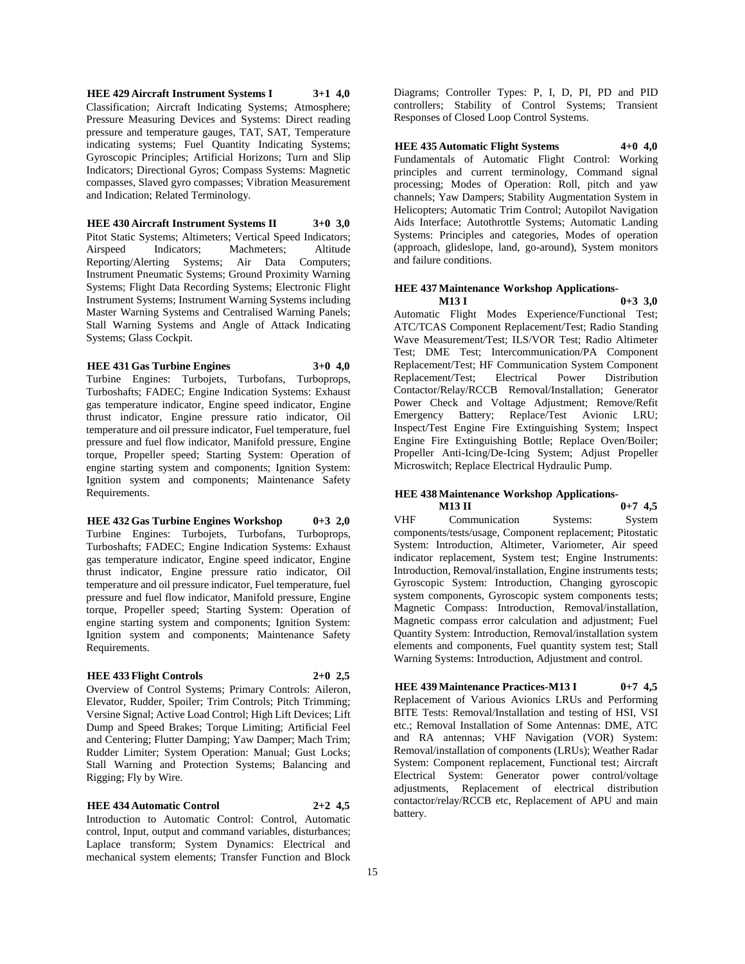**HEE 429 Aircraft Instrument Systems I 3+1 4,0** Classification; Aircraft Indicating Systems; Atmosphere; Pressure Measuring Devices and Systems: Direct reading pressure and temperature gauges, TAT, SAT, Temperature indicating systems; Fuel Quantity Indicating Systems; Gyroscopic Principles; Artificial Horizons; Turn and Slip Indicators; Directional Gyros; Compass Systems: Magnetic compasses, Slaved gyro compasses; Vibration Measurement and Indication; Related Terminology.

**HEE 430 Aircraft Instrument Systems II 3+0 3,0** Pitot Static Systems; Altimeters; Vertical Speed Indicators; Airspeed Indicators; Machmeters; Altitude Reporting/Alerting Systems; Air Data Computers; Instrument Pneumatic Systems; Ground Proximity Warning Systems; Flight Data Recording Systems; Electronic Flight Instrument Systems; Instrument Warning Systems including Master Warning Systems and Centralised Warning Panels; Stall Warning Systems and Angle of Attack Indicating Systems; Glass Cockpit.

#### **HEE 431 Gas Turbine Engines 3+0 4,0**

Turbine Engines: Turbojets, Turbofans, Turboprops, Turboshafts; FADEC; Engine Indication Systems: Exhaust gas temperature indicator, Engine speed indicator, Engine thrust indicator, Engine pressure ratio indicator, Oil temperature and oil pressure indicator, Fuel temperature, fuel pressure and fuel flow indicator, Manifold pressure, Engine torque, Propeller speed; Starting System: Operation of engine starting system and components; Ignition System: Ignition system and components; Maintenance Safety Requirements.

**HEE 432 Gas Turbine Engines Workshop 0+3 2,0** Turbine Engines: Turbojets, Turbofans, Turboprops, Turboshafts; FADEC; Engine Indication Systems: Exhaust gas temperature indicator, Engine speed indicator, Engine thrust indicator, Engine pressure ratio indicator, Oil temperature and oil pressure indicator, Fuel temperature, fuel pressure and fuel flow indicator, Manifold pressure, Engine torque, Propeller speed; Starting System: Operation of engine starting system and components; Ignition System: Ignition system and components; Maintenance Safety Requirements.

# **HEE 433 Flight Controls 2+0 2,5**

Overview of Control Systems; Primary Controls: Aileron, Elevator, Rudder, Spoiler; Trim Controls; Pitch Trimming; Versine Signal; Active Load Control; High Lift Devices; Lift Dump and Speed Brakes; Torque Limiting; Artificial Feel and Centering; Flutter Damping; Yaw Damper; Mach Trim; Rudder Limiter; System Operation: Manual; Gust Locks; Stall Warning and Protection Systems; Balancing and Rigging; Fly by Wire.

#### **HEE 434 Automatic Control 2+2 4,5**

Introduction to Automatic Control: Control, Automatic control, Input, output and command variables, disturbances; Laplace transform; System Dynamics: Electrical and mechanical system elements; Transfer Function and Block

Diagrams; Controller Types: P, I, D, PI, PD and PID controllers; Stability of Control Systems; Transient Responses of Closed Loop Control Systems.

# **HEE 435 Automatic Flight Systems 4+0 4,0** Fundamentals of Automatic Flight Control: Working principles and current terminology, Command signal processing; Modes of Operation: Roll, pitch and yaw channels; Yaw Dampers; Stability Augmentation System in Helicopters; Automatic Trim Control; Autopilot Navigation Aids Interface; Autothrottle Systems; Automatic Landing Systems: Principles and categories, Modes of operation (approach, glideslope, land, go-around), System monitors and failure conditions.

# **HEE 437 Maintenance Workshop Applications-**

**M13 I 0+3 3,0** Automatic Flight Modes Experience/Functional Test; ATC/TCAS Component Replacement/Test; Radio Standing Wave Measurement/Test; ILS/VOR Test; Radio Altimeter Test; DME Test; Intercommunication/PA Component Replacement/Test; HF Communication System Component Replacement/Test; Electrical Power Distribution Contactor/Relay/RCCB Removal/Installation; Generator Power Check and Voltage Adjustment; Remove/Refit Emergency Battery; Replace/Test Avionic LRU; Inspect/Test Engine Fire Extinguishing System; Inspect Engine Fire Extinguishing Bottle; Replace Oven/Boiler; Propeller Anti-Icing/De-Icing System; Adjust Propeller Microswitch; Replace Electrical Hydraulic Pump.

#### **HEE 438 Maintenance Workshop Applications-M13 II 0+7 4,5**

VHF Communication Systems: System components/tests/usage, Component replacement; Pitostatic System: Introduction, Altimeter, Variometer, Air speed indicator replacement, System test; Engine Instruments: Introduction, Removal/installation, Engine instruments tests; Gyroscopic System: Introduction, Changing gyroscopic system components, Gyroscopic system components tests; Magnetic Compass: Introduction, Removal/installation, Magnetic compass error calculation and adjustment; Fuel Quantity System: Introduction, Removal/installation system elements and components, Fuel quantity system test; Stall Warning Systems: Introduction, Adjustment and control.

**HEE 439 Maintenance Practices-M13 I 0+7 4,5** Replacement of Various Avionics LRUs and Performing BITE Tests: Removal/Installation and testing of HSI, VSI etc.; Removal Installation of Some Antennas: DME, ATC and RA antennas; VHF Navigation (VOR) System: Removal/installation of components (LRUs); Weather Radar System: Component replacement, Functional test; Aircraft Electrical System: Generator power control/voltage adjustments, Replacement of electrical distribution contactor/relay/RCCB etc, Replacement of APU and main battery.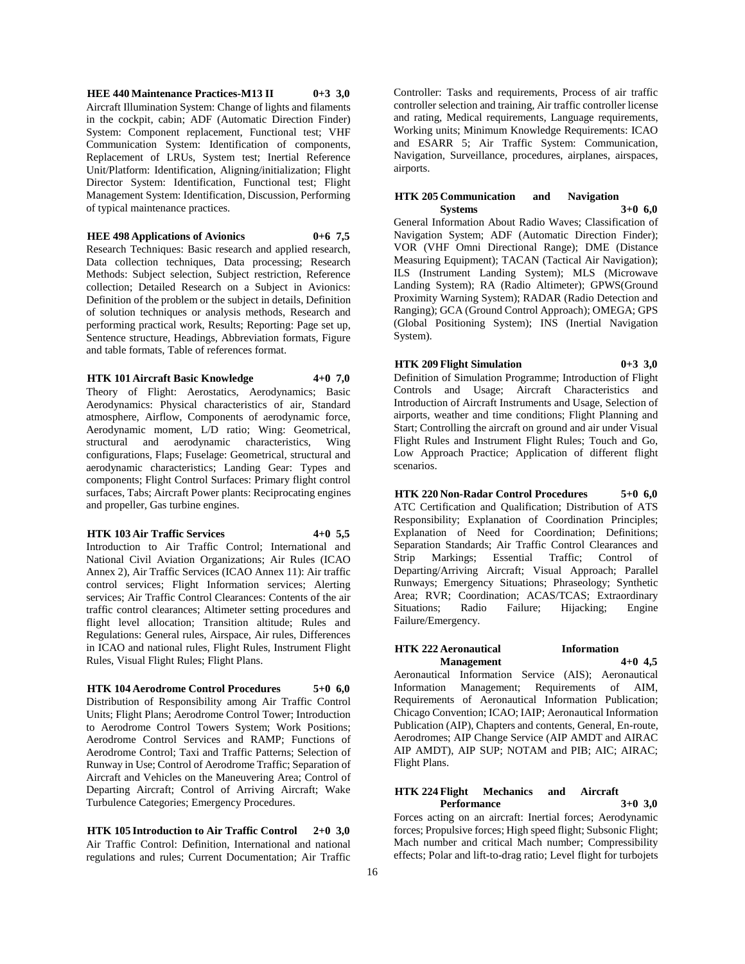**HEE 440 Maintenance Practices-M13 II 0+3 3,0** Aircraft Illumination System: Change of lights and filaments in the cockpit, cabin; ADF (Automatic Direction Finder) System: Component replacement, Functional test; VHF Communication System: Identification of components, Replacement of LRUs, System test; Inertial Reference Unit/Platform: Identification, Aligning/initialization; Flight Director System: Identification, Functional test; Flight Management System: Identification, Discussion, Performing of typical maintenance practices.

#### **HEE 498 Applications of Avionics 0+6 7,5**

Research Techniques: Basic research and applied research, Data collection techniques, Data processing; Research Methods: Subject selection, Subject restriction, Reference collection; Detailed Research on a Subject in Avionics: Definition of the problem or the subject in details, Definition of solution techniques or analysis methods, Research and performing practical work, Results; Reporting: Page set up, Sentence structure, Headings, Abbreviation formats, Figure and table formats, Table of references format.

#### **HTK 101 Aircraft Basic Knowledge 4+0 7,0**

Theory of Flight: Aerostatics, Aerodynamics; Basic Aerodynamics: Physical characteristics of air, Standard atmosphere, Airflow, Components of aerodynamic force, Aerodynamic moment, L/D ratio; Wing: Geometrical, structural and aerodynamic characteristics, Wing configurations, Flaps; Fuselage: Geometrical, structural and aerodynamic characteristics; Landing Gear: Types and components; Flight Control Surfaces: Primary flight control surfaces, Tabs; Aircraft Power plants: Reciprocating engines and propeller, Gas turbine engines.

#### **HTK 103 Air Traffic Services 4+0 5,5**

Introduction to Air Traffic Control; International and National Civil Aviation Organizations; Air Rules (ICAO Annex 2), Air Traffic Services (ICAO Annex 11): Air traffic control services; Flight Information services; Alerting services; Air Traffic Control Clearances: Contents of the air traffic control clearances; Altimeter setting procedures and flight level allocation; Transition altitude; Rules and Regulations: General rules, Airspace, Air rules, Differences in ICAO and national rules, Flight Rules, Instrument Flight Rules, Visual Flight Rules; Flight Plans.

# **HTK 104 Aerodrome Control Procedures 5+0 6,0**

Distribution of Responsibility among Air Traffic Control Units; Flight Plans; Aerodrome Control Tower; Introduction to Aerodrome Control Towers System; Work Positions; Aerodrome Control Services and RAMP; Functions of Aerodrome Control; Taxi and Traffic Patterns; Selection of Runway in Use; Control of Aerodrome Traffic; Separation of Aircraft and Vehicles on the Maneuvering Area; Control of Departing Aircraft; Control of Arriving Aircraft; Wake Turbulence Categories; Emergency Procedures.

**HTK 105 Introduction to Air Traffic Control 2+0 3,0** Air Traffic Control: Definition, International and national regulations and rules; Current Documentation; Air Traffic Controller: Tasks and requirements, Process of air traffic controller selection and training, Air traffic controller license and rating, Medical requirements, Language requirements, Working units; Minimum Knowledge Requirements: ICAO and ESARR 5; Air Traffic System: Communication, Navigation, Surveillance, procedures, airplanes, airspaces, airports.

#### **HTK 205 Communication and Navigation Systems 3+0 6,0**

General Information About Radio Waves; Classification of Navigation System; ADF (Automatic Direction Finder); VOR (VHF Omni Directional Range); DME (Distance Measuring Equipment); TACAN (Tactical Air Navigation); ILS (Instrument Landing System); MLS (Microwave Landing System); RA (Radio Altimeter); GPWS(Ground Proximity Warning System); RADAR (Radio Detection and Ranging); GCA (Ground Control Approach); OMEGA; GPS (Global Positioning System); INS (Inertial Navigation System).

# **HTK 209 Flight Simulation 0+3 3,0**

Definition of Simulation Programme; Introduction of Flight Controls and Usage; Aircraft Characteristics and Introduction of Aircraft Instruments and Usage, Selection of airports, weather and time conditions; Flight Planning and Start; Controlling the aircraft on ground and air under Visual Flight Rules and Instrument Flight Rules; Touch and Go, Low Approach Practice; Application of different flight scenarios.

**HTK 220 Non-Radar Control Procedures 5+0 6,0** ATC Certification and Qualification; Distribution of ATS Responsibility; Explanation of Coordination Principles; Explanation of Need for Coordination; Definitions; Separation Standards; Air Traffic Control Clearances and Strip Markings; Essential Traffic; Control of Departing/Arriving Aircraft; Visual Approach; Parallel Runways; Emergency Situations; Phraseology; Synthetic Area; RVR; Coordination; ACAS/TCAS; Extraordinary Situations; Radio Failure; Hijacking; Engine Failure/Emergency.

# **HTK 222 Aeronautical Information Management 4+0 4,5**

Aeronautical Information Service (AIS); Aeronautical Information Management; Requirements of AIM, Requirements of Aeronautical Information Publication; Chicago Convention; ICAO; IAIP; Aeronautical Information Publication (AIP), Chapters and contents, General, En-route, Aerodromes; AIP Change Service (AIP AMDT and AIRAC AIP AMDT), AIP SUP; NOTAM and PIB; AIC; AIRAC; Flight Plans.

# **HTK 224 Flight Mechanics and Aircraft Performance 3+0 3,0**

Forces acting on an aircraft: Inertial forces; Aerodynamic forces; Propulsive forces; High speed flight; Subsonic Flight; Mach number and critical Mach number; Compressibility effects; Polar and lift-to-drag ratio; Level flight for turbojets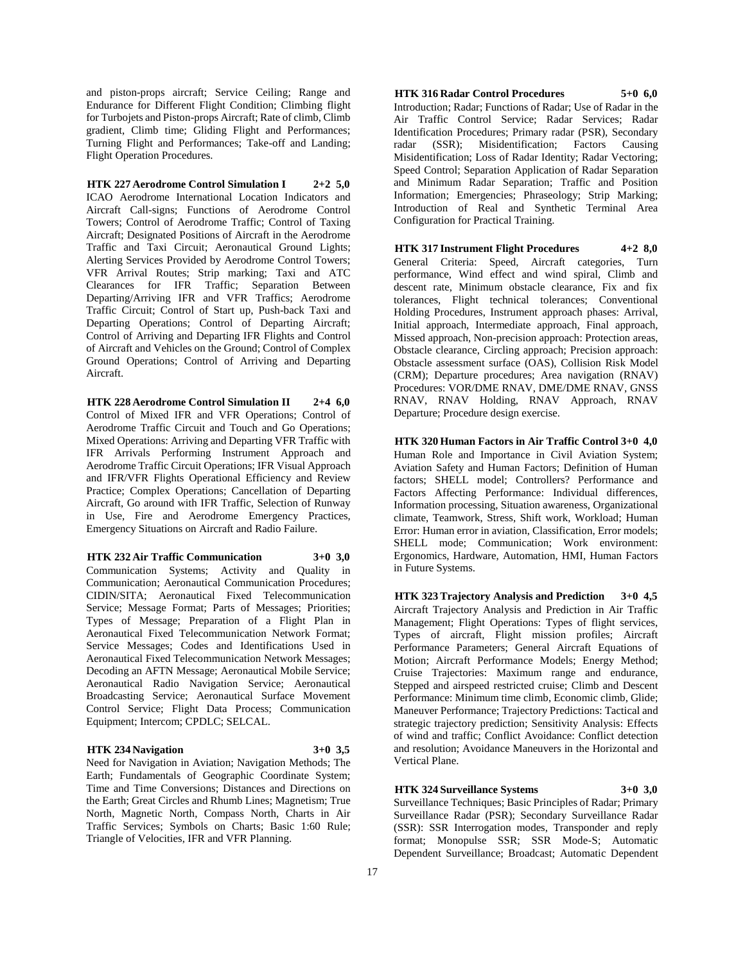and piston-props aircraft; Service Ceiling; Range and Endurance for Different Flight Condition; Climbing flight for Turbojets and Piston-props Aircraft; Rate of climb, Climb gradient, Climb time; Gliding Flight and Performances; Turning Flight and Performances; Take-off and Landing; Flight Operation Procedures.

**HTK 227 Aerodrome Control Simulation I 2+2 5,0** ICAO Aerodrome International Location Indicators and Aircraft Call-signs; Functions of Aerodrome Control Towers; Control of Aerodrome Traffic; Control of Taxing Aircraft; Designated Positions of Aircraft in the Aerodrome Traffic and Taxi Circuit; Aeronautical Ground Lights; Alerting Services Provided by Aerodrome Control Towers; VFR Arrival Routes; Strip marking; Taxi and ATC Clearances for IFR Traffic; Separation Between Departing/Arriving IFR and VFR Traffics; Aerodrome Traffic Circuit; Control of Start up, Push-back Taxi and Departing Operations; Control of Departing Aircraft; Control of Arriving and Departing IFR Flights and Control of Aircraft and Vehicles on the Ground; Control of Complex Ground Operations; Control of Arriving and Departing Aircraft.

**HTK 228 Aerodrome Control Simulation II 2+4 6,0** Control of Mixed IFR and VFR Operations; Control of Aerodrome Traffic Circuit and Touch and Go Operations; Mixed Operations: Arriving and Departing VFR Traffic with IFR Arrivals Performing Instrument Approach and Aerodrome Traffic Circuit Operations; IFR Visual Approach and IFR/VFR Flights Operational Efficiency and Review Practice; Complex Operations; Cancellation of Departing Aircraft, Go around with IFR Traffic, Selection of Runway in Use, Fire and Aerodrome Emergency Practices, Emergency Situations on Aircraft and Radio Failure.

**HTK 232 Air Traffic Communication 3+0 3,0** Communication Systems; Activity and Quality in

Communication; Aeronautical Communication Procedures; CIDIN/SITA; Aeronautical Fixed Telecommunication Service; Message Format; Parts of Messages; Priorities; Types of Message; Preparation of a Flight Plan in Aeronautical Fixed Telecommunication Network Format; Service Messages; Codes and Identifications Used in Aeronautical Fixed Telecommunication Network Messages; Decoding an AFTN Message; Aeronautical Mobile Service; Aeronautical Radio Navigation Service; Aeronautical Broadcasting Service; Aeronautical Surface Movement Control Service; Flight Data Process; Communication Equipment; Intercom; CPDLC; SELCAL.

# **HTK 234 Navigation 3+0 3,5**

Need for Navigation in Aviation; Navigation Methods; The Earth; Fundamentals of Geographic Coordinate System; Time and Time Conversions; Distances and Directions on the Earth; Great Circles and Rhumb Lines; Magnetism; True North, Magnetic North, Compass North, Charts in Air Traffic Services; Symbols on Charts; Basic 1:60 Rule; Triangle of Velocities, IFR and VFR Planning.

**HTK 316 Radar Control Procedures 5+0 6,0** Introduction; Radar; Functions of Radar; Use of Radar in the Air Traffic Control Service; Radar Services; Radar Identification Procedures; Primary radar (PSR), Secondary radar (SSR); Misidentification; Factors Causing Misidentification; Loss of Radar Identity; Radar Vectoring; Speed Control; Separation Application of Radar Separation and Minimum Radar Separation; Traffic and Position Information; Emergencies; Phraseology; Strip Marking; Introduction of Real and Synthetic Terminal Area Configuration for Practical Training.

**HTK 317 Instrument Flight Procedures 4+2 8,0** General Criteria: Speed, Aircraft categories, Turn performance, Wind effect and wind spiral, Climb and descent rate, Minimum obstacle clearance, Fix and fix tolerances, Flight technical tolerances; Conventional Holding Procedures, Instrument approach phases: Arrival, Initial approach, Intermediate approach, Final approach, Missed approach, Non-precision approach: Protection areas, Obstacle clearance, Circling approach; Precision approach: Obstacle assessment surface (OAS), Collision Risk Model (CRM); Departure procedures; Area navigation (RNAV) Procedures: VOR/DME RNAV, DME/DME RNAV, GNSS RNAV, RNAV Holding, RNAV Approach, RNAV Departure; Procedure design exercise.

**HTK 320 Human Factors in Air Traffic Control 3+0 4,0** Human Role and Importance in Civil Aviation System; Aviation Safety and Human Factors; Definition of Human factors; SHELL model; Controllers? Performance and Factors Affecting Performance: Individual differences, Information processing, Situation awareness, Organizational climate, Teamwork, Stress, Shift work, Workload; Human Error: Human error in aviation, Classification, Error models; SHELL mode; Communication; Work environment: Ergonomics, Hardware, Automation, HMI, Human Factors in Future Systems.

**HTK 323 Trajectory Analysis and Prediction 3+0 4,5** Aircraft Trajectory Analysis and Prediction in Air Traffic Management; Flight Operations: Types of flight services, Types of aircraft, Flight mission profiles; Aircraft Performance Parameters; General Aircraft Equations of Motion; Aircraft Performance Models; Energy Method; Cruise Trajectories: Maximum range and endurance, Stepped and airspeed restricted cruise; Climb and Descent Performance: Minimum time climb, Economic climb, Glide; Maneuver Performance; Trajectory Predictions: Tactical and strategic trajectory prediction; Sensitivity Analysis: Effects of wind and traffic; Conflict Avoidance: Conflict detection and resolution; Avoidance Maneuvers in the Horizontal and Vertical Plane.

# **HTK 324 Surveillance Systems 3+0 3,0**

Surveillance Techniques; Basic Principles of Radar; Primary Surveillance Radar (PSR); Secondary Surveillance Radar (SSR): SSR Interrogation modes, Transponder and reply format; Monopulse SSR; SSR Mode-S; Automatic Dependent Surveillance; Broadcast; Automatic Dependent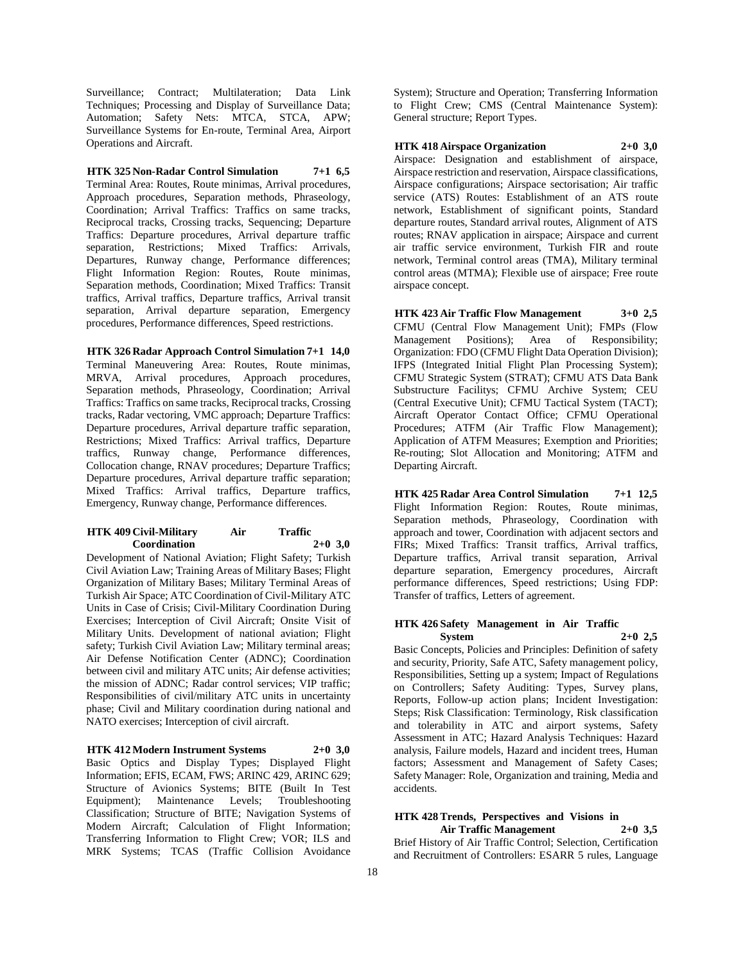Surveillance; Contract; Multilateration; Data Link Techniques; Processing and Display of Surveillance Data; Automation; Safety Nets: MTCA, STCA, APW; Surveillance Systems for En-route, Terminal Area, Airport Operations and Aircraft.

**HTK 325 Non-Radar Control Simulation 7+1 6,5** Terminal Area: Routes, Route minimas, Arrival procedures, Approach procedures, Separation methods, Phraseology, Coordination; Arrival Traffics: Traffics on same tracks, Reciprocal tracks, Crossing tracks, Sequencing; Departure Traffics: Departure procedures, Arrival departure traffic separation, Restrictions; Mixed Traffics: Arrivals, Departures, Runway change, Performance differences; Flight Information Region: Routes, Route minimas, Separation methods, Coordination; Mixed Traffics: Transit traffics, Arrival traffics, Departure traffics, Arrival transit separation, Arrival departure separation, Emergency procedures, Performance differences, Speed restrictions.

**HTK 326 Radar Approach Control Simulation 7+1 14,0** Terminal Maneuvering Area: Routes, Route minimas, MRVA, Arrival procedures, Approach procedures, Separation methods, Phraseology, Coordination; Arrival Traffics: Traffics on same tracks, Reciprocal tracks, Crossing tracks, Radar vectoring, VMC approach; Departure Traffics: Departure procedures, Arrival departure traffic separation, Restrictions; Mixed Traffics: Arrival traffics, Departure traffics, Runway change, Performance differences, Collocation change, RNAV procedures; Departure Traffics; Departure procedures, Arrival departure traffic separation; Mixed Traffics: Arrival traffics, Departure traffics, Emergency, Runway change, Performance differences.

#### **HTK 409 Civil-Military Air Traffic Coordination 2+0 3,0**

Development of National Aviation; Flight Safety; Turkish Civil Aviation Law; Training Areas of Military Bases; Flight Organization of Military Bases; Military Terminal Areas of Turkish Air Space; ATC Coordination of Civil-Military ATC Units in Case of Crisis; Civil-Military Coordination During Exercises; Interception of Civil Aircraft; Onsite Visit of Military Units. Development of national aviation; Flight safety; Turkish Civil Aviation Law; Military terminal areas; Air Defense Notification Center (ADNC); Coordination between civil and military ATC units; Air defense activities; the mission of ADNC; Radar control services; VIP traffic; Responsibilities of civil/military ATC units in uncertainty phase; Civil and Military coordination during national and NATO exercises; Interception of civil aircraft.

**HTK 412 Modern Instrument Systems 2+0 3,0** Basic Optics and Display Types; Displayed Flight Information; EFIS, ECAM, FWS; ARINC 429, ARINC 629; Structure of Avionics Systems; BITE (Built In Test Equipment); Maintenance Levels; Troubleshooting Classification; Structure of BITE; Navigation Systems of Modern Aircraft; Calculation of Flight Information; Transferring Information to Flight Crew; VOR; ILS and MRK Systems; TCAS (Traffic Collision Avoidance

System); Structure and Operation; Transferring Information to Flight Crew; CMS (Central Maintenance System): General structure; Report Types.

**HTK 418 Airspace Organization 2+0 3,0** Airspace: Designation and establishment of airspace, Airspace restriction and reservation, Airspace classifications, Airspace configurations; Airspace sectorisation; Air traffic service (ATS) Routes: Establishment of an ATS route network, Establishment of significant points, Standard departure routes, Standard arrival routes, Alignment of ATS routes; RNAV application in airspace; Airspace and current air traffic service environment, Turkish FIR and route network, Terminal control areas (TMA), Military terminal control areas (MTMA); Flexible use of airspace; Free route airspace concept.

**HTK 423 Air Traffic Flow Management 3+0 2,5** CFMU (Central Flow Management Unit); FMPs (Flow Management Positions); Area of Responsibility; Organization: FDO (CFMU Flight Data Operation Division); IFPS (Integrated Initial Flight Plan Processing System); CFMU Strategic System (STRAT); CFMU ATS Data Bank Substructure Facilitys; CFMU Archive System; CEU (Central Executive Unit); CFMU Tactical System (TACT); Aircraft Operator Contact Office; CFMU Operational Procedures; ATFM (Air Traffic Flow Management); Application of ATFM Measures; Exemption and Priorities; Re-routing; Slot Allocation and Monitoring; ATFM and Departing Aircraft.

**HTK 425 Radar Area Control Simulation 7+1 12,5** Flight Information Region: Routes, Route minimas, Separation methods, Phraseology, Coordination with approach and tower, Coordination with adjacent sectors and FIRs; Mixed Traffics: Transit traffics, Arrival traffics, Departure traffics, Arrival transit separation, Arrival departure separation, Emergency procedures, Aircraft performance differences, Speed restrictions; Using FDP: Transfer of traffics, Letters of agreement.

#### **HTK 426 Safety Management in Air Traffic System 2+0 2,5**

Basic Concepts, Policies and Principles: Definition of safety and security, Priority, Safe ATC, Safety management policy, Responsibilities, Setting up a system; Impact of Regulations on Controllers; Safety Auditing: Types, Survey plans, Reports, Follow-up action plans; Incident Investigation: Steps; Risk Classification: Terminology, Risk classification and tolerability in ATC and airport systems, Safety Assessment in ATC; Hazard Analysis Techniques: Hazard analysis, Failure models, Hazard and incident trees, Human factors; Assessment and Management of Safety Cases; Safety Manager: Role, Organization and training, Media and accidents.

# **HTK 428 Trends, Perspectives and Visions in Air Traffic Management 2+0 3,5**

Brief History of Air Traffic Control; Selection, Certification and Recruitment of Controllers: ESARR 5 rules, Language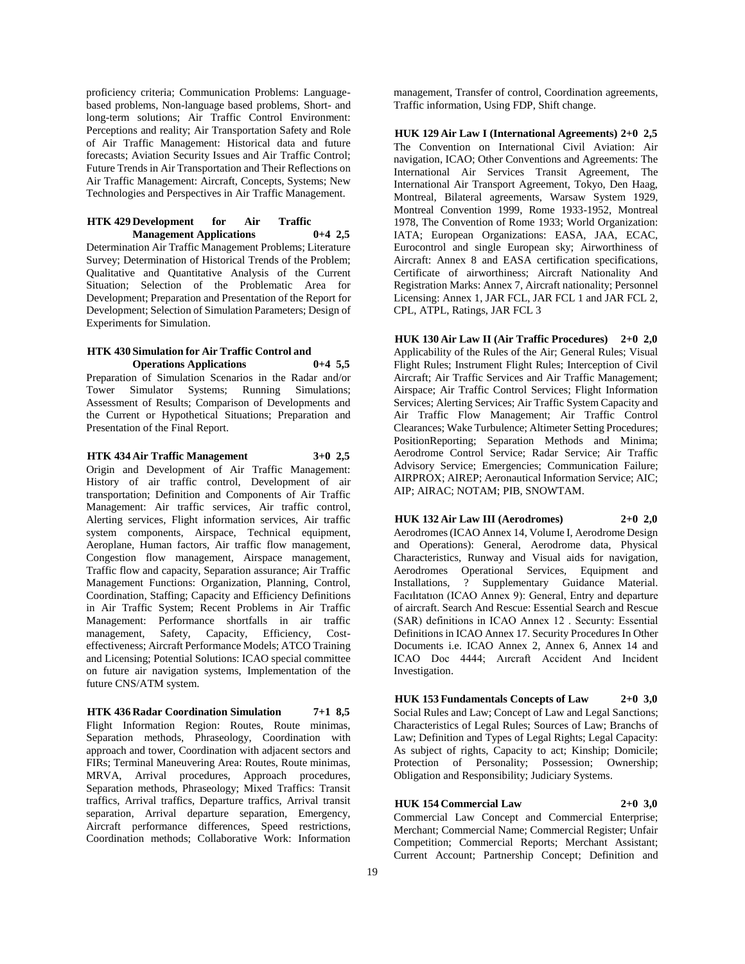proficiency criteria; Communication Problems: Languagebased problems, Non-language based problems, Short- and long-term solutions; Air Traffic Control Environment: Perceptions and reality; Air Transportation Safety and Role of Air Traffic Management: Historical data and future forecasts; Aviation Security Issues and Air Traffic Control; Future Trends in Air Transportation and Their Reflections on Air Traffic Management: Aircraft, Concepts, Systems; New Technologies and Perspectives in Air Traffic Management.

# **HTK 429 Development for Air Traffic Management Applications 0+4 2,5**

Determination Air Traffic Management Problems; Literature Survey; Determination of Historical Trends of the Problem; Qualitative and Quantitative Analysis of the Current Situation; Selection of the Problematic Area for Development; Preparation and Presentation of the Report for Development; Selection of Simulation Parameters; Design of Experiments for Simulation.

# **HTK 430 Simulation for Air Traffic Control and Operations Applications 0+4 5,5**

Preparation of Simulation Scenarios in the Radar and/or Tower Simulator Systems; Running Simulations; Assessment of Results; Comparison of Developments and the Current or Hypothetical Situations; Preparation and Presentation of the Final Report.

# **HTK 434 Air Traffic Management 3+0 2,5** Origin and Development of Air Traffic Management:

History of air traffic control, Development of air transportation; Definition and Components of Air Traffic Management: Air traffic services, Air traffic control, Alerting services, Flight information services, Air traffic system components, Airspace, Technical equipment, Aeroplane, Human factors, Air traffic flow management, Congestion flow management, Airspace management, Traffic flow and capacity, Separation assurance; Air Traffic Management Functions: Organization, Planning, Control, Coordination, Staffing; Capacity and Efficiency Definitions in Air Traffic System; Recent Problems in Air Traffic Management: Performance shortfalls in air traffic management, Safety, Capacity, Efficiency, Costeffectiveness; Aircraft Performance Models; ATCO Training and Licensing; Potential Solutions: ICAO special committee on future air navigation systems, Implementation of the future CNS/ATM system.

**HTK 436 Radar Coordination Simulation 7+1 8,5** Flight Information Region: Routes, Route minimas, Separation methods, Phraseology, Coordination with approach and tower, Coordination with adjacent sectors and FIRs; Terminal Maneuvering Area: Routes, Route minimas, MRVA, Arrival procedures, Approach procedures, Separation methods, Phraseology; Mixed Traffics: Transit traffics, Arrival traffics, Departure traffics, Arrival transit separation, Arrival departure separation, Emergency, Aircraft performance differences, Speed restrictions, Coordination methods; Collaborative Work: Information

management, Transfer of control, Coordination agreements, Traffic information, Using FDP, Shift change.

**HUK 129 Air Law I (International Agreements) 2+0 2,5** The Convention on International Civil Aviation: Air navigation, ICAO; Other Conventions and Agreements: The International Air Services Transit Agreement, The International Air Transport Agreement, Tokyo, Den Haag, Montreal, Bilateral agreements, Warsaw System 1929, Montreal Convention 1999, Rome 1933-1952, Montreal 1978, The Convention of Rome 1933; World Organization: IATA; European Organizations: EASA, JAA, ECAC, Eurocontrol and single European sky; Airworthiness of Aircraft: Annex 8 and EASA certification specifications, Certificate of airworthiness; Aircraft Nationality And Registration Marks: Annex 7, Aircraft nationality; Personnel Licensing: Annex 1, JAR FCL, JAR FCL 1 and JAR FCL 2, CPL, ATPL, Ratings, JAR FCL 3

**HUK 130 Air Law II (Air Traffic Procedures) 2+0 2,0** Applicability of the Rules of the Air; General Rules; Visual Flight Rules; Instrument Flight Rules; Interception of Civil Aircraft; Air Traffic Services and Air Traffic Management; Airspace; Air Traffic Control Services; Flight Information Services; Alerting Services; Air Traffic System Capacity and Air Traffic Flow Management; Air Traffic Control Clearances; Wake Turbulence; Altimeter Setting Procedures; PositionReporting; Separation Methods and Minima; Aerodrome Control Service; Radar Service; Air Traffic Advisory Service; Emergencies; Communication Failure; AIRPROX; AIREP; Aeronautical Information Service; AIC; AIP; AIRAC; NOTAM; PIB, SNOWTAM.

**HUK 132 Air Law III (Aerodromes) 2+0 2,0** Aerodromes (ICAO Annex 14, Volume I, Aerodrome Design and Operations): General, Aerodrome data, Physical Characteristics, Runway and Visual aids for navigation, Aerodromes Operational Services, Equipment and Installations. ? Supplementary Guidance Material. ? Supplementary Guidance Material. Facılıtatıon (ICAO Annex 9): General, Entry and departure of aircraft. Search And Rescue: Essential Search and Rescue (SAR) definitions in ICAO Annex 12 . Securıty: Essential Definitions in ICAO Annex 17. Security Procedures In Other Documents i.e. ICAO Annex 2, Annex 6, Annex 14 and ICAO Doc 4444; Aırcraft Accident And Incident Investigation.

**HUK 153 Fundamentals Concepts of Law 2+0 3,0** Social Rules and Law; Concept of Law and Legal Sanctions; Characteristics of Legal Rules; Sources of Law; Branchs of Law; Definition and Types of Legal Rights; Legal Capacity: As subject of rights, Capacity to act; Kinship; Domicile; Protection of Personality; Possession; Ownership; Obligation and Responsibility; Judiciary Systems.

# **HUK 154 Commercial Law 2+0 3,0**

Commercial Law Concept and Commercial Enterprise; Merchant; Commercial Name; Commercial Register; Unfair Competition; Commercial Reports; Merchant Assistant; Current Account; Partnership Concept; Definition and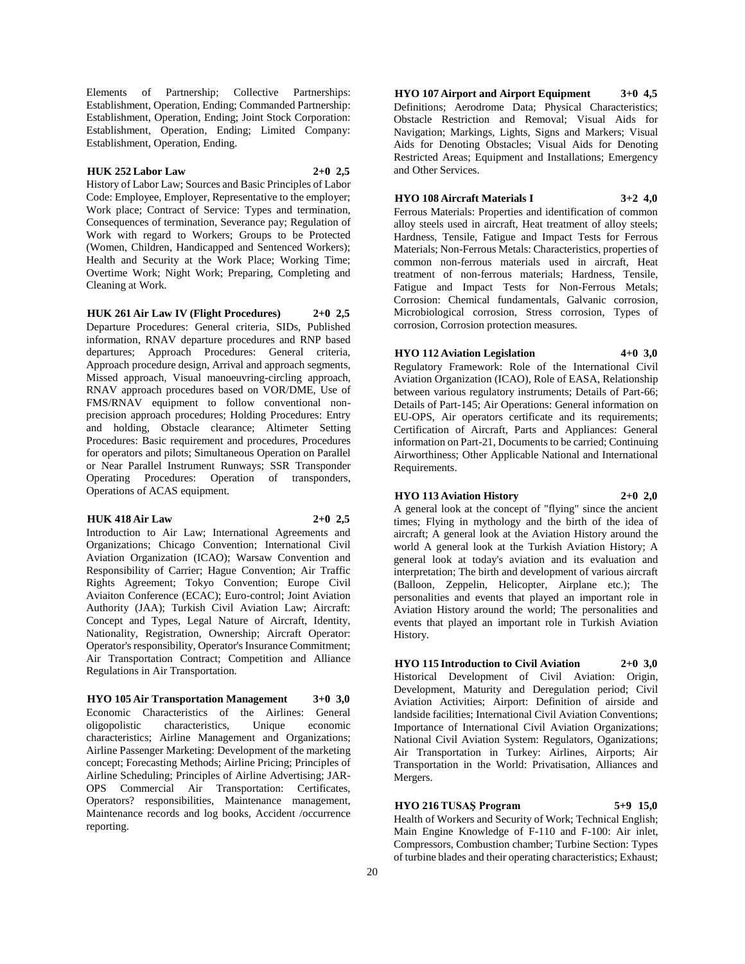Elements of Partnership; Collective Partnerships: Establishment, Operation, Ending; Commanded Partnership: Establishment, Operation, Ending; Joint Stock Corporation: Establishment, Operation, Ending; Limited Company: Establishment, Operation, Ending.

# **HUK 252 Labor Law 2+0 2,5**

History of Labor Law; Sources and Basic Principles of Labor Code: Employee, Employer, Representative to the employer; Work place; Contract of Service: Types and termination, Consequences of termination, Severance pay; Regulation of Work with regard to Workers; Groups to be Protected (Women, Children, Handicapped and Sentenced Workers); Health and Security at the Work Place; Working Time; Overtime Work; Night Work; Preparing, Completing and Cleaning at Work.

**HUK 261 Air Law IV (Flight Procedures) 2+0 2,5** Departure Procedures: General criteria, SIDs, Published information, RNAV departure procedures and RNP based departures; Approach Procedures: General criteria, Approach procedure design, Arrival and approach segments, Missed approach, Visual manoeuvring-circling approach, RNAV approach procedures based on VOR/DME, Use of FMS/RNAV equipment to follow conventional nonprecision approach procedures; Holding Procedures: Entry and holding, Obstacle clearance; Altimeter Setting Procedures: Basic requirement and procedures, Procedures for operators and pilots; Simultaneous Operation on Parallel or Near Parallel Instrument Runways; SSR Transponder Operating Procedures: Operation of transponders, Operations of ACAS equipment.

# **HUK 418 Air Law 2+0 2,5**

Introduction to Air Law; International Agreements and Organizations; Chicago Convention; International Civil Aviation Organization (ICAO); Warsaw Convention and Responsibility of Carrier; Hague Convention; Air Traffic Rights Agreement; Tokyo Convention; Europe Civil Aviaiton Conference (ECAC); Euro-control; Joint Aviation Authority (JAA); Turkish Civil Aviation Law; Aircraft: Concept and Types, Legal Nature of Aircraft, Identity, Nationality, Registration, Ownership; Aircraft Operator: Operator's responsibility, Operator's Insurance Commitment; Air Transportation Contract; Competition and Alliance Regulations in Air Transportation.

**HYO 105 Air Transportation Management 3+0 3,0** Economic Characteristics of the Airlines: General oligopolistic characteristics, Unique economic characteristics; Airline Management and Organizations; Airline Passenger Marketing: Development of the marketing concept; Forecasting Methods; Airline Pricing; Principles of Airline Scheduling; Principles of Airline Advertising; JAR-OPS Commercial Air Transportation: Certificates, Operators? responsibilities, Maintenance management, Maintenance records and log books, Accident /occurrence reporting.

**HYO 107 Airport and Airport Equipment 3+0 4,5** Definitions; Aerodrome Data; Physical Characteristics; Obstacle Restriction and Removal; Visual Aids for Navigation; Markings, Lights, Signs and Markers; Visual Aids for Denoting Obstacles; Visual Aids for Denoting Restricted Areas; Equipment and Installations; Emergency and Other Services.

# **HYO 108 Aircraft Materials I 3+2 4,0**

Ferrous Materials: Properties and identification of common alloy steels used in aircraft, Heat treatment of alloy steels; Hardness, Tensile, Fatigue and Impact Tests for Ferrous Materials; Non-Ferrous Metals: Characteristics, properties of common non-ferrous materials used in aircraft, Heat treatment of non-ferrous materials; Hardness, Tensile, Fatigue and Impact Tests for Non-Ferrous Metals; Corrosion: Chemical fundamentals, Galvanic corrosion, Microbiological corrosion, Stress corrosion, Types of corrosion, Corrosion protection measures.

# **HYO 112 Aviation Legislation 4+0 3,0**

Regulatory Framework: Role of the International Civil Aviation Organization (ICAO), Role of EASA, Relationship between various regulatory instruments; Details of Part-66; Details of Part-145; Air Operations: General information on EU-OPS, Air operators certificate and its requirements; Certification of Aircraft, Parts and Appliances: General information on Part-21, Documents to be carried; Continuing Airworthiness; Other Applicable National and International Requirements.

# **HYO 113 Aviation History 2+0 2,0**

A general look at the concept of "flying" since the ancient times; Flying in mythology and the birth of the idea of aircraft; A general look at the Aviation History around the world A general look at the Turkish Aviation History; A general look at today's aviation and its evaluation and interpretation; The birth and development of various aircraft (Balloon, Zeppelin, Helicopter, Airplane etc.); The personalities and events that played an important role in Aviation History around the world; The personalities and events that played an important role in Turkish Aviation History.

**HYO 115 Introduction to Civil Aviation 2+0 3,0** Historical Development of Civil Aviation: Origin, Development, Maturity and Deregulation period; Civil Aviation Activities; Airport: Definition of airside and landside facilities; International Civil Aviation Conventions; Importance of International Civil Aviation Organizations; National Civil Aviation System: Regulators, Oganizations; Air Transportation in Turkey: Airlines, Airports; Air Transportation in the World: Privatisation, Alliances and Mergers.

# **HYO 216 TUSAŞ Program 5+9 15,0**

Health of Workers and Security of Work; Technical English; Main Engine Knowledge of F-110 and F-100: Air inlet, Compressors, Combustion chamber; Turbine Section: Types of turbine blades and their operating characteristics; Exhaust;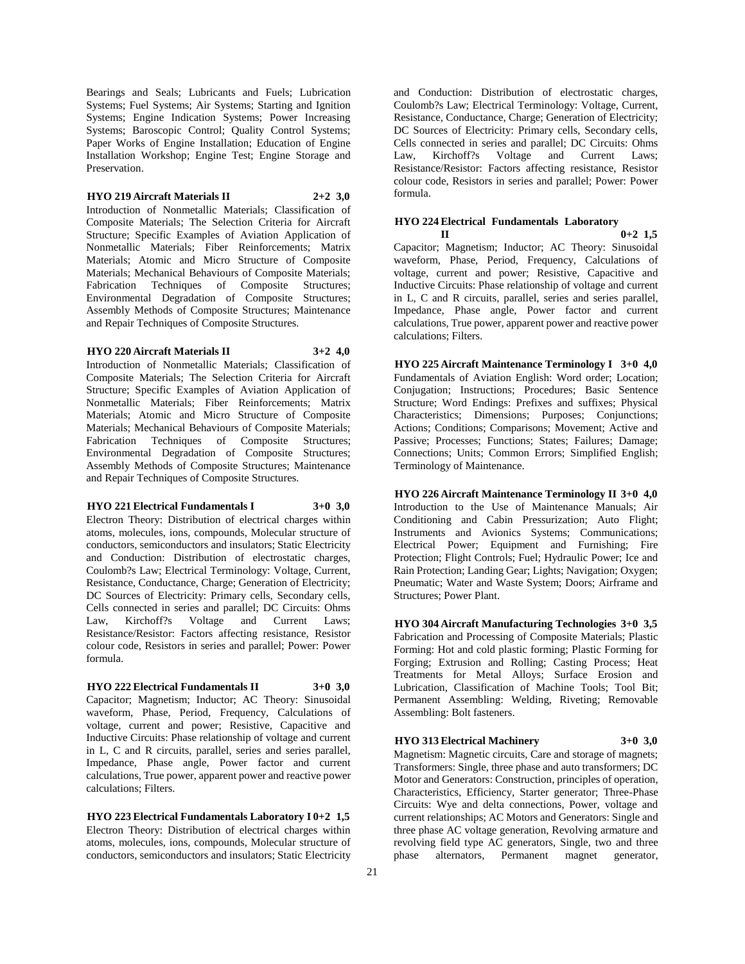Bearings and Seals; Lubricants and Fuels; Lubrication Systems; Fuel Systems; Air Systems; Starting and Ignition Systems; Engine Indication Systems; Power Increasing Systems; Baroscopic Control; Quality Control Systems; Paper Works of Engine Installation; Education of Engine Installation Workshop; Engine Test; Engine Storage and Preservation.

#### **HYO 219 Aircraft Materials II 2+2 3,0**

Introduction of Nonmetallic Materials; Classification of Composite Materials; The Selection Criteria for Aircraft Structure; Specific Examples of Aviation Application of Nonmetallic Materials; Fiber Reinforcements; Matrix Materials; Atomic and Micro Structure of Composite Materials; Mechanical Behaviours of Composite Materials; Fabrication Techniques of Composite Structures; Environmental Degradation of Composite Structures; Assembly Methods of Composite Structures; Maintenance and Repair Techniques of Composite Structures.

# **HYO 220 Aircraft Materials II 3+2 4,0**

Introduction of Nonmetallic Materials; Classification of Composite Materials; The Selection Criteria for Aircraft Structure; Specific Examples of Aviation Application of Nonmetallic Materials; Fiber Reinforcements; Matrix Materials; Atomic and Micro Structure of Composite Materials; Mechanical Behaviours of Composite Materials; Fabrication Techniques of Composite Structures; Environmental Degradation of Composite Structures; Assembly Methods of Composite Structures; Maintenance and Repair Techniques of Composite Structures.

# **HYO 221 Electrical Fundamentals I 3+0 3,0**

Electron Theory: Distribution of electrical charges within atoms, molecules, ions, compounds, Molecular structure of conductors, semiconductors and insulators; Static Electricity and Conduction: Distribution of electrostatic charges, Coulomb?s Law; Electrical Terminology: Voltage, Current, Resistance, Conductance, Charge; Generation of Electricity; DC Sources of Electricity: Primary cells, Secondary cells, Cells connected in series and parallel; DC Circuits: Ohms Law, Kirchoff?s Voltage and Current Laws; Resistance/Resistor: Factors affecting resistance, Resistor colour code, Resistors in series and parallel; Power: Power formula.

#### **HYO 222 Electrical Fundamentals II 3+0 3,0**

Capacitor; Magnetism; Inductor; AC Theory: Sinusoidal waveform, Phase, Period, Frequency, Calculations of voltage, current and power; Resistive, Capacitive and Inductive Circuits: Phase relationship of voltage and current in L, C and R circuits, parallel, series and series parallel, Impedance, Phase angle, Power factor and current calculations, True power, apparent power and reactive power calculations; Filters.

**HYO 223 Electrical Fundamentals Laboratory I 0+2 1,5** Electron Theory: Distribution of electrical charges within atoms, molecules, ions, compounds, Molecular structure of conductors, semiconductors and insulators; Static Electricity

and Conduction: Distribution of electrostatic charges, Coulomb?s Law; Electrical Terminology: Voltage, Current, Resistance, Conductance, Charge; Generation of Electricity; DC Sources of Electricity: Primary cells, Secondary cells, Cells connected in series and parallel; DC Circuits: Ohms<br>
Law, Kirchoff?s Voltage and Current Laws; and Current Laws; Resistance/Resistor: Factors affecting resistance, Resistor colour code, Resistors in series and parallel; Power: Power formula.

# **HYO 224 Electrical Fundamentals Laboratory**

**II 0+2 1,5** Capacitor; Magnetism; Inductor; AC Theory: Sinusoidal waveform, Phase, Period, Frequency, Calculations of voltage, current and power; Resistive, Capacitive and Inductive Circuits: Phase relationship of voltage and current in L, C and R circuits, parallel, series and series parallel, Impedance, Phase angle, Power factor and current calculations, True power, apparent power and reactive power calculations; Filters.

**HYO 225 Aircraft Maintenance Terminology I 3+0 4,0** Fundamentals of Aviation English: Word order; Location; Conjugation; Instructions; Procedures; Basic Sentence Structure; Word Endings: Prefixes and suffixes; Physical Characteristics; Dimensions; Purposes; Conjunctions; Actions; Conditions; Comparisons; Movement; Active and Passive; Processes; Functions; States; Failures; Damage; Connections; Units; Common Errors; Simplified English; Terminology of Maintenance.

**HYO 226 Aircraft Maintenance Terminology II 3+0 4,0** Introduction to the Use of Maintenance Manuals; Air Conditioning and Cabin Pressurization; Auto Flight; Instruments and Avionics Systems; Communications; Electrical Power; Equipment and Furnishing; Fire Protection; Flight Controls; Fuel; Hydraulic Power; Ice and Rain Protection; Landing Gear; Lights; Navigation; Oxygen; Pneumatic; Water and Waste System; Doors; Airframe and Structures; Power Plant.

**HYO 304 Aircraft Manufacturing Technologies 3+0 3,5** Fabrication and Processing of Composite Materials; Plastic Forming: Hot and cold plastic forming; Plastic Forming for Forging; Extrusion and Rolling; Casting Process; Heat Treatments for Metal Alloys; Surface Erosion and Lubrication, Classification of Machine Tools; Tool Bit; Permanent Assembling: Welding, Riveting; Removable Assembling: Bolt fasteners.

**HYO 313 Electrical Machinery 3+0 3,0**

Magnetism: Magnetic circuits, Care and storage of magnets; Transformers: Single, three phase and auto transformers; DC Motor and Generators: Construction, principles of operation, Characteristics, Efficiency, Starter generator; Three-Phase Circuits: Wye and delta connections, Power, voltage and current relationships; AC Motors and Generators: Single and three phase AC voltage generation, Revolving armature and revolving field type AC generators, Single, two and three phase alternators, Permanent magnet generator,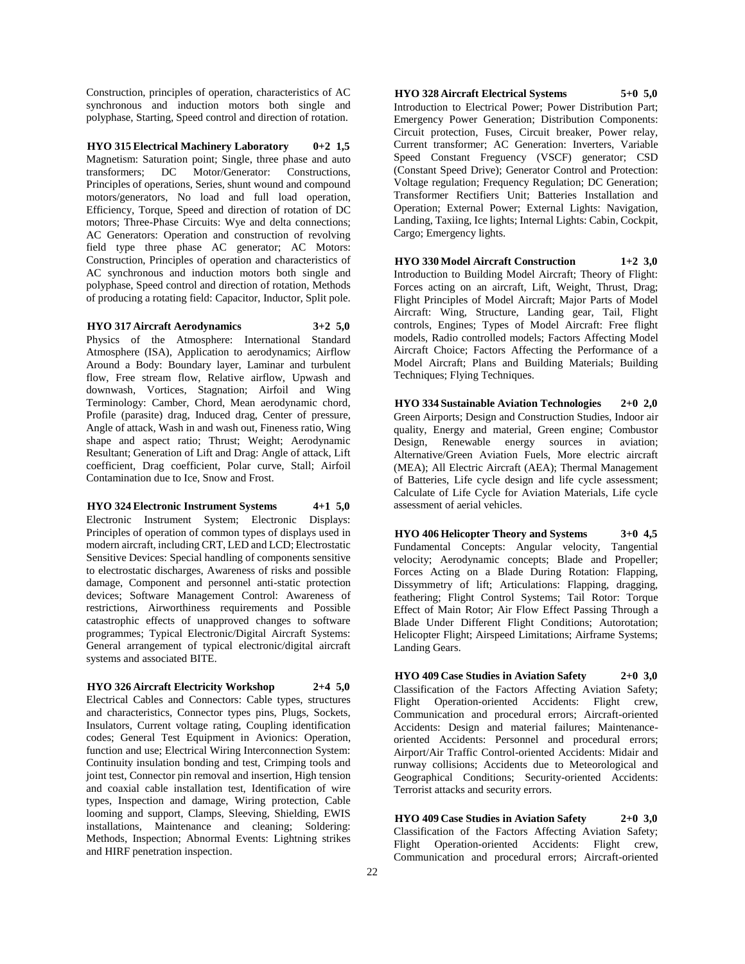Construction, principles of operation, characteristics of AC synchronous and induction motors both single and polyphase, Starting, Speed control and direction of rotation.

**HYO 315 Electrical Machinery Laboratory 0+2 1,5** Magnetism: Saturation point; Single, three phase and auto transformers; DC Motor/Generator: Constructions, Principles of operations, Series, shunt wound and compound motors/generators, No load and full load operation, Efficiency, Torque, Speed and direction of rotation of DC motors; Three-Phase Circuits: Wye and delta connections; AC Generators: Operation and construction of revolving field type three phase AC generator; AC Motors: Construction, Principles of operation and characteristics of AC synchronous and induction motors both single and polyphase, Speed control and direction of rotation, Methods of producing a rotating field: Capacitor, Inductor, Split pole.

#### **HYO 317 Aircraft Aerodynamics 3+2 5,0**

Physics of the Atmosphere: International Standard Atmosphere (ISA), Application to aerodynamics; Airflow Around a Body: Boundary layer, Laminar and turbulent flow, Free stream flow, Relative airflow, Upwash and downwash, Vortices, Stagnation; Airfoil and Wing Terminology: Camber, Chord, Mean aerodynamic chord, Profile (parasite) drag, Induced drag, Center of pressure, Angle of attack, Wash in and wash out, Fineness ratio, Wing shape and aspect ratio; Thrust; Weight; Aerodynamic Resultant; Generation of Lift and Drag: Angle of attack, Lift coefficient, Drag coefficient, Polar curve, Stall; Airfoil Contamination due to Ice, Snow and Frost.

#### **HYO 324 Electronic Instrument Systems 4+1 5,0**

Electronic Instrument System; Electronic Displays: Principles of operation of common types of displays used in modern aircraft, including CRT, LED and LCD; Electrostatic Sensitive Devices: Special handling of components sensitive to electrostatic discharges, Awareness of risks and possible damage, Component and personnel anti-static protection devices; Software Management Control: Awareness of restrictions, Airworthiness requirements and Possible catastrophic effects of unapproved changes to software programmes; Typical Electronic/Digital Aircraft Systems: General arrangement of typical electronic/digital aircraft systems and associated BITE.

#### **HYO 326 Aircraft Electricity Workshop 2+4 5,0**

Electrical Cables and Connectors: Cable types, structures and characteristics, Connector types pins, Plugs, Sockets, Insulators, Current voltage rating, Coupling identification codes; General Test Equipment in Avionics: Operation, function and use; Electrical Wiring Interconnection System: Continuity insulation bonding and test, Crimping tools and joint test, Connector pin removal and insertion, High tension and coaxial cable installation test, Identification of wire types, Inspection and damage, Wiring protection, Cable looming and support, Clamps, Sleeving, Shielding, EWIS installations, Maintenance and cleaning; Soldering: Methods, Inspection; Abnormal Events: Lightning strikes and HIRF penetration inspection.

**HYO 328 Aircraft Electrical Systems 5+0 5,0** Introduction to Electrical Power; Power Distribution Part; Emergency Power Generation; Distribution Components: Circuit protection, Fuses, Circuit breaker, Power relay, Current transformer; AC Generation: Inverters, Variable Speed Constant Freguency (VSCF) generator; CSD (Constant Speed Drive); Generator Control and Protection: Voltage regulation; Frequency Regulation; DC Generation; Transformer Rectifiers Unit; Batteries Installation and Operation; External Power; External Lights: Navigation, Landing, Taxiing, Ice lights; Internal Lights: Cabin, Cockpit, Cargo; Emergency lights.

**HYO 330 Model Aircraft Construction 1+2 3,0** Introduction to Building Model Aircraft; Theory of Flight: Forces acting on an aircraft, Lift, Weight, Thrust, Drag; Flight Principles of Model Aircraft; Major Parts of Model Aircraft: Wing, Structure, Landing gear, Tail, Flight controls, Engines; Types of Model Aircraft: Free flight models, Radio controlled models; Factors Affecting Model Aircraft Choice; Factors Affecting the Performance of a Model Aircraft; Plans and Building Materials; Building Techniques; Flying Techniques.

**HYO 334 Sustainable Aviation Technologies 2+0 2,0** Green Airports; Design and Construction Studies, Indoor air quality, Energy and material, Green engine; Combustor Design, Renewable energy sources in aviation; Alternative/Green Aviation Fuels, More electric aircraft (MEA); All Electric Aircraft (AEA); Thermal Management of Batteries, Life cycle design and life cycle assessment; Calculate of Life Cycle for Aviation Materials, Life cycle assessment of aerial vehicles.

**HYO 406 Helicopter Theory and Systems 3+0 4,5** Fundamental Concepts: Angular velocity, Tangential velocity; Aerodynamic concepts; Blade and Propeller; Forces Acting on a Blade During Rotation: Flapping, Dissymmetry of lift; Articulations: Flapping, dragging, feathering; Flight Control Systems; Tail Rotor: Torque Effect of Main Rotor; Air Flow Effect Passing Through a Blade Under Different Flight Conditions; Autorotation; Helicopter Flight; Airspeed Limitations; Airframe Systems; Landing Gears.

**HYO 409 Case Studies in Aviation Safety 2+0 3,0** Classification of the Factors Affecting Aviation Safety; Flight Operation-oriented Accidents: Flight crew, Communication and procedural errors; Aircraft-oriented Accidents: Design and material failures; Maintenanceoriented Accidents: Personnel and procedural errors; Airport/Air Traffic Control-oriented Accidents: Midair and runway collisions; Accidents due to Meteorological and Geographical Conditions; Security-oriented Accidents: Terrorist attacks and security errors.

**HYO 409 Case Studies in Aviation Safety 2+0 3,0** Classification of the Factors Affecting Aviation Safety; Flight Operation-oriented Accidents: Flight crew, Communication and procedural errors; Aircraft-oriented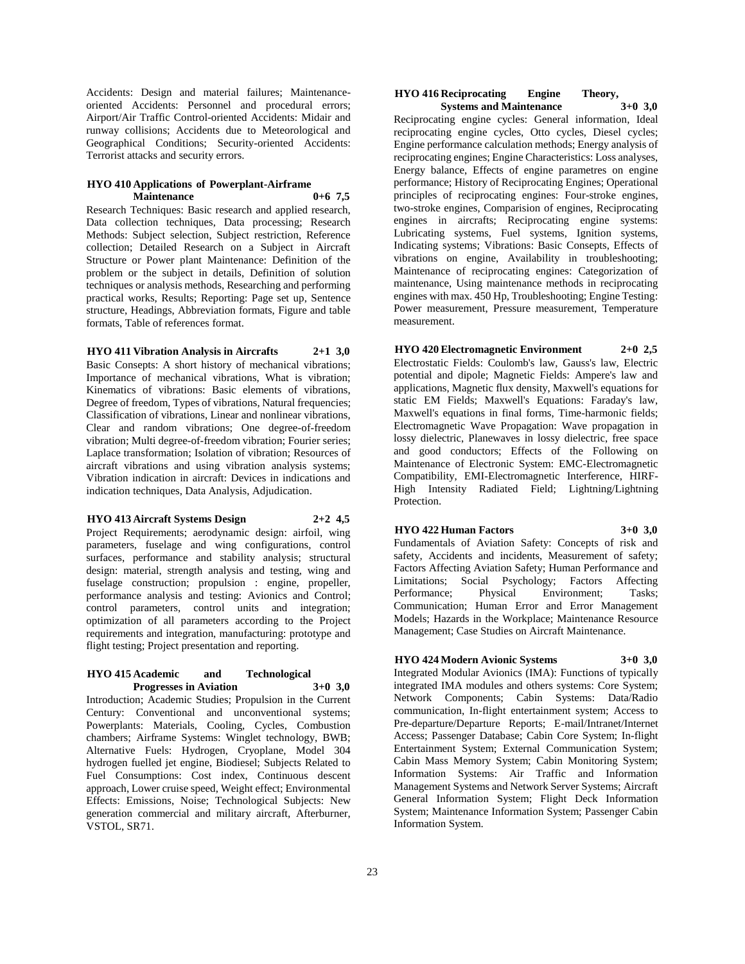Accidents: Design and material failures; Maintenanceoriented Accidents: Personnel and procedural errors; Airport/Air Traffic Control-oriented Accidents: Midair and runway collisions; Accidents due to Meteorological and Geographical Conditions; Security-oriented Accidents: Terrorist attacks and security errors.

#### **HYO 410 Applications of Powerplant-Airframe Maintenance 0+6 7,5**

Research Techniques: Basic research and applied research, Data collection techniques, Data processing; Research Methods: Subject selection, Subject restriction, Reference collection; Detailed Research on a Subject in Aircraft Structure or Power plant Maintenance: Definition of the problem or the subject in details, Definition of solution techniques or analysis methods, Researching and performing practical works, Results; Reporting: Page set up, Sentence structure, Headings, Abbreviation formats, Figure and table formats, Table of references format.

# **HYO 411 Vibration Analysis in Aircrafts 2+1 3,0**

Basic Consepts: A short history of mechanical vibrations; Importance of mechanical vibrations, What is vibration; Kinematics of vibrations: Basic elements of vibrations, Degree of freedom, Types of vibrations, Natural frequencies; Classification of vibrations, Linear and nonlinear vibrations, Clear and random vibrations; One degree-of-freedom vibration; Multi degree-of-freedom vibration; Fourier series; Laplace transformation; Isolation of vibration; Resources of aircraft vibrations and using vibration analysis systems; Vibration indication in aircraft: Devices in indications and indication techniques, Data Analysis, Adjudication.

#### **HYO 413 Aircraft Systems Design 2+2 4,5**

Project Requirements; aerodynamic design: airfoil, wing parameters, fuselage and wing configurations, control surfaces, performance and stability analysis; structural design: material, strength analysis and testing, wing and fuselage construction; propulsion : engine, propeller, performance analysis and testing: Avionics and Control; control parameters, control units and integration; optimization of all parameters according to the Project requirements and integration, manufacturing: prototype and flight testing; Project presentation and reporting.

#### **HYO 415 Academic and Technological Progresses in Aviation 3+0 3,0**

Introduction; Academic Studies; Propulsion in the Current Century: Conventional and unconventional systems; Powerplants: Materials, Cooling, Cycles, Combustion chambers; Airframe Systems: Winglet technology, BWB; Alternative Fuels: Hydrogen, Cryoplane, Model 304 hydrogen fuelled jet engine, Biodiesel; Subjects Related to Fuel Consumptions: Cost index, Continuous descent approach, Lower cruise speed, Weight effect; Environmental Effects: Emissions, Noise; Technological Subjects: New generation commercial and military aircraft, Afterburner, VSTOL, SR71.

#### **HYO 416 Reciprocating Engine Theory, Systems and Maintenance**

Reciprocating engine cycles: General information, Ideal reciprocating engine cycles, Otto cycles, Diesel cycles; Engine performance calculation methods; Energy analysis of reciprocating engines; Engine Characteristics: Loss analyses, Energy balance, Effects of engine parametres on engine performance; History of Reciprocating Engines; Operational principles of reciprocating engines: Four-stroke engines, two-stroke engines, Comparision of engines, Reciprocating engines in aircrafts; Reciprocating engine systems: Lubricating systems, Fuel systems, Ignition systems, Indicating systems; Vibrations: Basic Consepts, Effects of vibrations on engine, Availability in troubleshooting; Maintenance of reciprocating engines: Categorization of maintenance, Using maintenance methods in reciprocating engines with max. 450 Hp, Troubleshooting; Engine Testing: Power measurement, Pressure measurement, Temperature measurement.

**HYO 420 Electromagnetic Environment 2+0 2,5** Electrostatic Fields: Coulomb's law, Gauss's law, Electric potential and dipole; Magnetic Fields: Ampere's law and applications, Magnetic flux density, Maxwell's equations for static EM Fields; Maxwell's Equations: Faraday's law, Maxwell's equations in final forms, Time-harmonic fields; Electromagnetic Wave Propagation: Wave propagation in lossy dielectric, Planewaves in lossy dielectric, free space and good conductors; Effects of the Following on Maintenance of Electronic System: EMC-Electromagnetic Compatibility, EMI-Electromagnetic Interference, HIRF-High Intensity Radiated Field; Lightning/Lightning Protection.

# **HYO 422 Human Factors 3+0 3,0**

Fundamentals of Aviation Safety: Concepts of risk and safety, Accidents and incidents, Measurement of safety; Factors Affecting Aviation Safety; Human Performance and Limitations; Social Psychology; Factors Affecting Performance; Physical Environment; Tasks; Communication; Human Error and Error Management Models; Hazards in the Workplace; Maintenance Resource Management; Case Studies on Aircraft Maintenance.

# **HYO 424 Modern Avionic Systems 3+0 3,0**

Integrated Modular Avionics (IMA): Functions of typically integrated IMA modules and others systems: Core System; Network Components; Cabin Systems: Data/Radio communication, In-flight entertainment system; Access to Pre-departure/Departure Reports; E-mail/Intranet/Internet Access; Passenger Database; Cabin Core System; In-flight Entertainment System; External Communication System; Cabin Mass Memory System; Cabin Monitoring System; Information Systems: Air Traffic and Information Management Systems and Network Server Systems; Aircraft General Information System; Flight Deck Information System; Maintenance Information System; Passenger Cabin Information System.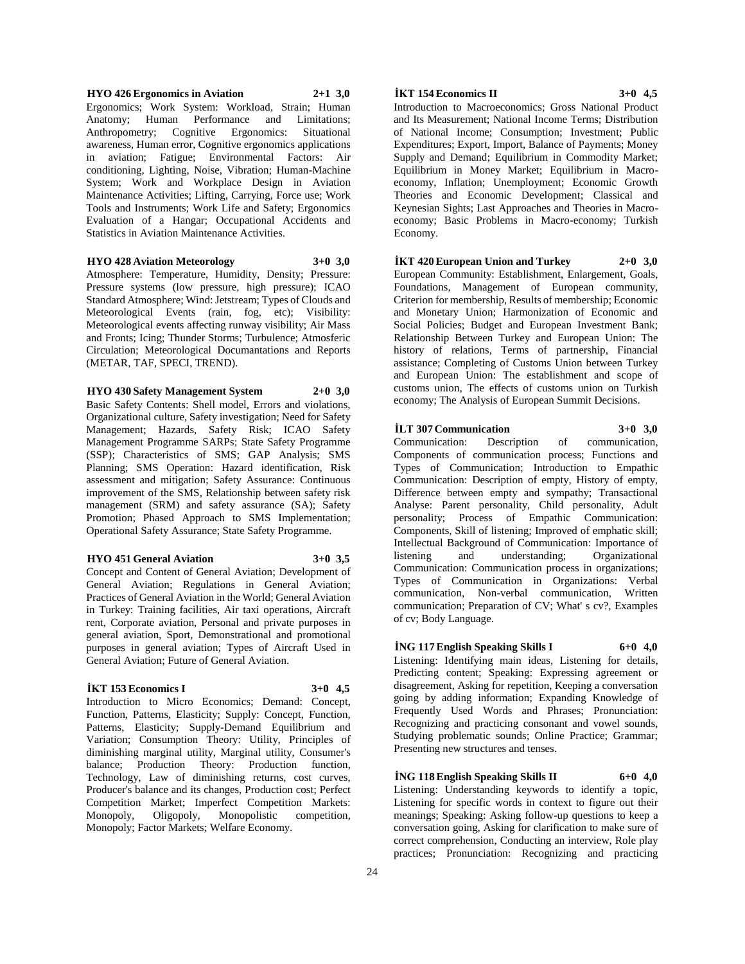**HYO 426 Ergonomics in Aviation 2+1 3,0** Ergonomics; Work System: Workload, Strain; Human Anatomy; Human Performance and Limitations; Anthropometry; Cognitive Ergonomics: Situational awareness, Human error, Cognitive ergonomics applications in aviation; Fatigue; Environmental Factors: Air conditioning, Lighting, Noise, Vibration; Human-Machine System; Work and Workplace Design in Aviation Maintenance Activities; Lifting, Carrying, Force use; Work Tools and Instruments; Work Life and Safety; Ergonomics Evaluation of a Hangar; Occupational Accidents and Statistics in Aviation Maintenance Activities.

# **HYO 428 Aviation Meteorology 3+0 3,0**

Atmosphere: Temperature, Humidity, Density; Pressure: Pressure systems (low pressure, high pressure); ICAO Standard Atmosphere; Wind: Jetstream; Types of Clouds and Meteorological Events (rain, fog, etc); Visibility: Meteorological events affecting runway visibility; Air Mass and Fronts; Icing; Thunder Storms; Turbulence; Atmosferic Circulation; Meteorological Documantations and Reports (METAR, TAF, SPECI, TREND).

#### **HYO 430 Safety Management System 2+0 3,0**

Basic Safety Contents: Shell model, Errors and violations, Organizational culture, Safety investigation; Need for Safety Management; Hazards, Safety Risk; ICAO Safety Management Programme SARPs; State Safety Programme (SSP); Characteristics of SMS; GAP Analysis; SMS Planning; SMS Operation: Hazard identification, Risk assessment and mitigation; Safety Assurance: Continuous improvement of the SMS, Relationship between safety risk management (SRM) and safety assurance (SA); Safety Promotion; Phased Approach to SMS Implementation; Operational Safety Assurance; State Safety Programme.

#### **HYO 451 General Aviation 3+0 3,5**

Concept and Content of General Aviation; Development of General Aviation; Regulations in General Aviation; Practices of General Aviation in the World; General Aviation in Turkey: Training facilities, Air taxi operations, Aircraft rent, Corporate aviation, Personal and private purposes in general aviation, Sport, Demonstrational and promotional purposes in general aviation; Types of Aircraft Used in General Aviation; Future of General Aviation.

# **İKT 153 Economics I 3+0 4,5**

Introduction to Micro Economics; Demand: Concept, Function, Patterns, Elasticity; Supply: Concept, Function, Patterns, Elasticity; Supply-Demand Equilibrium and Variation; Consumption Theory: Utility, Principles of diminishing marginal utility, Marginal utility, Consumer's balance; Production Theory: Production function, Technology, Law of diminishing returns, cost curves, Producer's balance and its changes, Production cost; Perfect Competition Market; Imperfect Competition Markets: Monopoly, Oligopoly, Monopolistic competition, Monopoly; Factor Markets; Welfare Economy.

# **İKT 154 Economics II 3+0 4,5**

Introduction to Macroeconomics; Gross National Product and Its Measurement; National Income Terms; Distribution of National Income; Consumption; Investment; Public Expenditures; Export, Import, Balance of Payments; Money Supply and Demand; Equilibrium in Commodity Market; Equilibrium in Money Market; Equilibrium in Macroeconomy, Inflation; Unemployment; Economic Growth Theories and Economic Development; Classical and Keynesian Sights; Last Approaches and Theories in Macroeconomy; Basic Problems in Macro-economy; Turkish Economy.

# **İKT 420 European Union and Turkey 2+0 3,0**

European Community: Establishment, Enlargement, Goals, Foundations, Management of European community, Criterion for membership, Results of membership; Economic and Monetary Union; Harmonization of Economic and Social Policies; Budget and European Investment Bank; Relationship Between Turkey and European Union: The history of relations, Terms of partnership, Financial assistance; Completing of Customs Union between Turkey and European Union: The establishment and scope of customs union, The effects of customs union on Turkish economy; The Analysis of European Summit Decisions.

#### **İLT 307 Communication 3+0 3,0**

Communication: Description of communication, Components of communication process; Functions and Types of Communication; Introduction to Empathic Communication: Description of empty, History of empty, Difference between empty and sympathy; Transactional Analyse: Parent personality, Child personality, Adult personality; Process of Empathic Communication: Components, Skill of listening; Improved of emphatic skill; Intellectual Background of Communication: Importance of listening and understanding; Organizational Communication: Communication process in organizations; Types of Communication in Organizations: Verbal communication, Non-verbal communication, Written communication; Preparation of CV; What' s cv?, Examples of cv; Body Language.

**İNG 117 English Speaking Skills I 6+0 4,0** Listening: Identifying main ideas, Listening for details, Predicting content; Speaking: Expressing agreement or disagreement, Asking for repetition, Keeping a conversation going by adding information; Expanding Knowledge of Frequently Used Words and Phrases; Pronunciation: Recognizing and practicing consonant and vowel sounds, Studying problematic sounds; Online Practice; Grammar; Presenting new structures and tenses.

**İNG 118 English Speaking Skills II 6+0 4,0** Listening: Understanding keywords to identify a topic, Listening for specific words in context to figure out their meanings; Speaking: Asking follow-up questions to keep a conversation going, Asking for clarification to make sure of correct comprehension, Conducting an interview, Role play practices; Pronunciation: Recognizing and practicing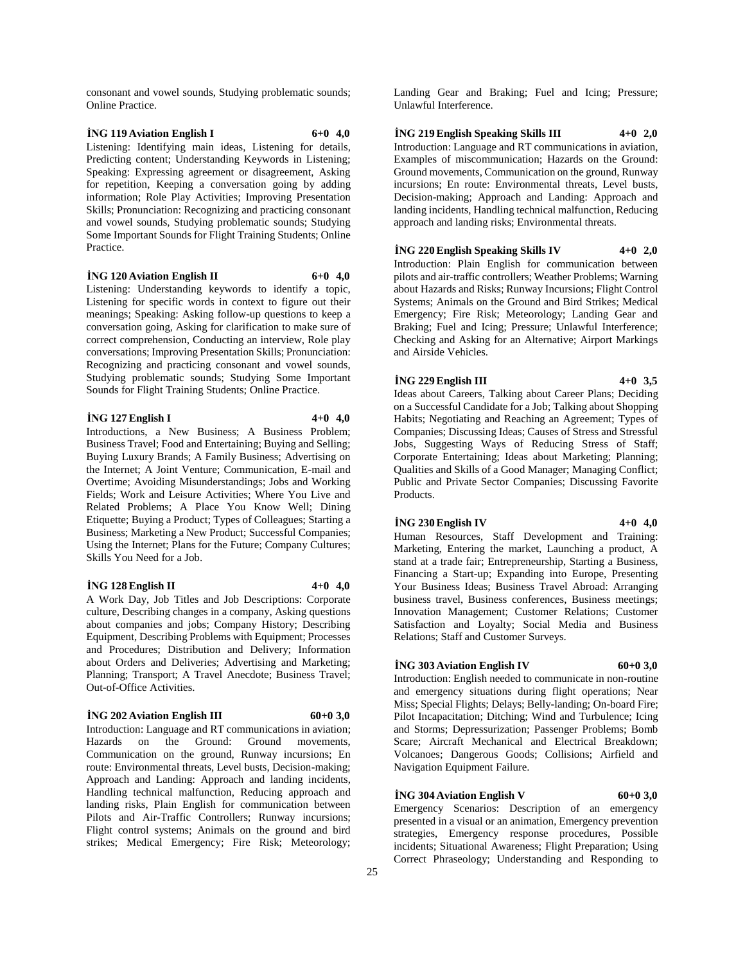consonant and vowel sounds, Studying problematic sounds; Online Practice.

# **İNG 119 Aviation English I 6+0 4,0**

Listening: Identifying main ideas, Listening for details, Predicting content; Understanding Keywords in Listening; Speaking: Expressing agreement or disagreement, Asking for repetition, Keeping a conversation going by adding information; Role Play Activities; Improving Presentation Skills; Pronunciation: Recognizing and practicing consonant and vowel sounds, Studying problematic sounds; Studying Some Important Sounds for Flight Training Students; Online Practice.

#### **İNG 120 Aviation English II 6+0 4,0**

Listening: Understanding keywords to identify a topic, Listening for specific words in context to figure out their meanings; Speaking: Asking follow-up questions to keep a conversation going, Asking for clarification to make sure of correct comprehension, Conducting an interview, Role play conversations; Improving Presentation Skills; Pronunciation: Recognizing and practicing consonant and vowel sounds, Studying problematic sounds; Studying Some Important Sounds for Flight Training Students; Online Practice.

## **İNG 127 English I 4+0 4,0**

Introductions, a New Business; A Business Problem; Business Travel; Food and Entertaining; Buying and Selling; Buying Luxury Brands; A Family Business; Advertising on the Internet; A Joint Venture; Communication, E-mail and Overtime; Avoiding Misunderstandings; Jobs and Working Fields; Work and Leisure Activities; Where You Live and Related Problems; A Place You Know Well; Dining Etiquette; Buying a Product; Types of Colleagues; Starting a Business; Marketing a New Product; Successful Companies; Using the Internet; Plans for the Future; Company Cultures; Skills You Need for a Job.

#### **İNG 128 English II 4+0 4,0**

A Work Day, Job Titles and Job Descriptions: Corporate culture, Describing changes in a company, Asking questions about companies and jobs; Company History; Describing Equipment, Describing Problems with Equipment; Processes and Procedures; Distribution and Delivery; Information about Orders and Deliveries; Advertising and Marketing; Planning; Transport; A Travel Anecdote; Business Travel; Out-of-Office Activities.

#### **i**NG 202 Aviation English III 60+0 **3,0**

Introduction: Language and RT communications in aviation; Hazards on the Ground: Ground movements, Communication on the ground, Runway incursions; En route: Environmental threats, Level busts, Decision-making; Approach and Landing: Approach and landing incidents, Handling technical malfunction, Reducing approach and landing risks, Plain English for communication between Pilots and Air-Traffic Controllers; Runway incursions; Flight control systems; Animals on the ground and bird strikes; Medical Emergency; Fire Risk; Meteorology;

Landing Gear and Braking; Fuel and Icing; Pressure; Unlawful Interference.

# **İNG 219 English Speaking Skills III 4+0 2,0**

Introduction: Language and RT communications in aviation, Examples of miscommunication; Hazards on the Ground: Ground movements, Communication on the ground, Runway incursions; En route: Environmental threats, Level busts, Decision-making; Approach and Landing: Approach and landing incidents, Handling technical malfunction, Reducing approach and landing risks; Environmental threats.

# **İNG 220 English Speaking Skills IV 4+0 2,0**

Introduction: Plain English for communication between pilots and air-traffic controllers; Weather Problems; Warning about Hazards and Risks; Runway Incursions; Flight Control Systems; Animals on the Ground and Bird Strikes; Medical Emergency; Fire Risk; Meteorology; Landing Gear and Braking; Fuel and Icing; Pressure; Unlawful Interference; Checking and Asking for an Alternative; Airport Markings and Airside Vehicles.

# **İNG 229 English III 4+0 3,5**

Ideas about Careers, Talking about Career Plans; Deciding on a Successful Candidate for a Job; Talking about Shopping Habits; Negotiating and Reaching an Agreement; Types of Companies; Discussing Ideas; Causes of Stress and Stressful Jobs, Suggesting Ways of Reducing Stress of Staff; Corporate Entertaining; Ideas about Marketing; Planning; Qualities and Skills of a Good Manager; Managing Conflict; Public and Private Sector Companies; Discussing Favorite Products.

# **İNG 230 English IV 4+0 4,0**

Human Resources, Staff Development and Training: Marketing, Entering the market, Launching a product, A stand at a trade fair; Entrepreneurship, Starting a Business, Financing a Start-up; Expanding into Europe, Presenting Your Business Ideas; Business Travel Abroad: Arranging business travel, Business conferences, Business meetings; Innovation Management; Customer Relations; Customer Satisfaction and Loyalty; Social Media and Business Relations; Staff and Customer Surveys.

# **i**NG 303 Aviation English IV 60+0 **3.0**

Introduction: English needed to communicate in non-routine and emergency situations during flight operations; Near Miss; Special Flights; Delays; Belly-landing; On-board Fire; Pilot Incapacitation; Ditching; Wind and Turbulence; Icing and Storms; Depressurization; Passenger Problems; Bomb Scare; Aircraft Mechanical and Electrical Breakdown; Volcanoes; Dangerous Goods; Collisions; Airfield and Navigation Equipment Failure.

# **İNG 304 Aviation English V 60+0 3,0**

Emergency Scenarios: Description of an emergency presented in a visual or an animation, Emergency prevention strategies, Emergency response procedures, Possible incidents; Situational Awareness; Flight Preparation; Using Correct Phraseology; Understanding and Responding to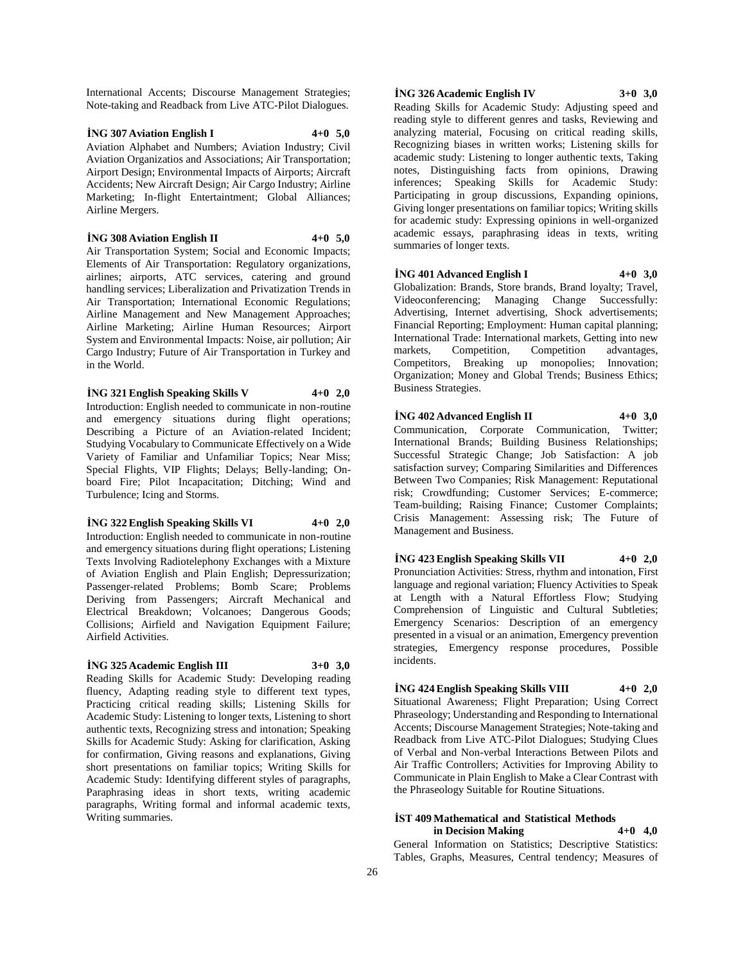International Accents; Discourse Management Strategies; Note-taking and Readback from Live ATC-Pilot Dialogues.

# **İNG 307 Aviation English I 4+0 5,0** Aviation Alphabet and Numbers; Aviation Industry; Civil Aviation Organizatios and Associations; Air Transportation; Airport Design; Environmental Impacts of Airports; Aircraft Accidents; New Aircraft Design; Air Cargo Industry; Airline Marketing; In-flight Entertaintment; Global Alliances; Airline Mergers.

**İNG 308 Aviation English II 4+0 5,0**

Air Transportation System: Social and Economic Impacts: Elements of Air Transportation: Regulatory organizations, airlines; airports, ATC services, catering and ground handling services; Liberalization and Privatization Trends in Air Transportation; International Economic Regulations; Airline Management and New Management Approaches; Airline Marketing; Airline Human Resources; Airport System and Environmental Impacts: Noise, air pollution; Air Cargo Industry; Future of Air Transportation in Turkey and in the World.

**İNG 321 English Speaking Skills V 4+0 2,0**

Introduction: English needed to communicate in non-routine and emergency situations during flight operations; Describing a Picture of an Aviation-related Incident; Studying Vocabulary to Communicate Effectively on a Wide Variety of Familiar and Unfamiliar Topics; Near Miss; Special Flights, VIP Flights; Delays; Belly-landing; Onboard Fire; Pilot Incapacitation; Ditching; Wind and Turbulence; Icing and Storms.

**İNG 322 English Speaking Skills VI 4+0 2,0**

Introduction: English needed to communicate in non-routine and emergency situations during flight operations; Listening Texts Involving Radiotelephony Exchanges with a Mixture of Aviation English and Plain English; Depressurization; Passenger-related Problems; Bomb Scare; Problems Deriving from Passengers; Aircraft Mechanical and Electrical Breakdown; Volcanoes; Dangerous Goods; Collisions; Airfield and Navigation Equipment Failure; Airfield Activities.

#### **İNG 325 Academic English III 3+0 3,0**

Reading Skills for Academic Study: Developing reading fluency, Adapting reading style to different text types, Practicing critical reading skills; Listening Skills for Academic Study: Listening to longer texts, Listening to short authentic texts, Recognizing stress and intonation; Speaking Skills for Academic Study: Asking for clarification, Asking for confirmation, Giving reasons and explanations, Giving short presentations on familiar topics; Writing Skills for Academic Study: Identifying different styles of paragraphs, Paraphrasing ideas in short texts, writing academic paragraphs, Writing formal and informal academic texts, Writing summaries.

# **İNG 326 Academic English IV 3+0 3,0**

Reading Skills for Academic Study: Adjusting speed and reading style to different genres and tasks, Reviewing and analyzing material, Focusing on critical reading skills, Recognizing biases in written works; Listening skills for academic study: Listening to longer authentic texts, Taking notes, Distinguishing facts from opinions, Drawing inferences; Speaking Skills for Academic Study: Participating in group discussions, Expanding opinions, Giving longer presentations on familiar topics; Writing skills for academic study: Expressing opinions in well-organized academic essays, paraphrasing ideas in texts, writing summaries of longer texts.

**İNG 401 Advanced English I 4+0 3,0**

Globalization: Brands, Store brands, Brand loyalty; Travel, Videoconferencing; Managing Change Successfully: Advertising, Internet advertising, Shock advertisements; Financial Reporting; Employment: Human capital planning; International Trade: International markets, Getting into new markets, Competition, Competition advantages, Competitors, Breaking up monopolies; Innovation; Organization; Money and Global Trends; Business Ethics; Business Strategies.

**İNG 402 Advanced English II 4+0 3,0** Communication, Corporate Communication, Twitter; International Brands; Building Business Relationships; Successful Strategic Change; Job Satisfaction: A job satisfaction survey; Comparing Similarities and Differences Between Two Companies; Risk Management: Reputational risk; Crowdfunding; Customer Services; E-commerce; Team-building; Raising Finance; Customer Complaints; Crisis Management: Assessing risk; The Future of Management and Business.

**İNG 423 English Speaking Skills VII 4+0 2,0** Pronunciation Activities: Stress, rhythm and intonation, First language and regional variation; Fluency Activities to Speak at Length with a Natural Effortless Flow; Studying Comprehension of Linguistic and Cultural Subtleties; Emergency Scenarios: Description of an emergency presented in a visual or an animation, Emergency prevention strategies, Emergency response procedures, Possible incidents.

**İNG 424 English Speaking Skills VIII 4+0 2,0** Situational Awareness; Flight Preparation; Using Correct Phraseology; Understanding and Responding to International Accents; Discourse Management Strategies; Note-taking and Readback from Live ATC-Pilot Dialogues; Studying Clues of Verbal and Non-verbal Interactions Between Pilots and Air Traffic Controllers; Activities for Improving Ability to Communicate in Plain English to Make a Clear Contrast with the Phraseology Suitable for Routine Situations.

#### **İST 409 Mathematical and Statistical Methods in Decision Making 4+0 4,0**

General Information on Statistics; Descriptive Statistics: Tables, Graphs, Measures, Central tendency; Measures of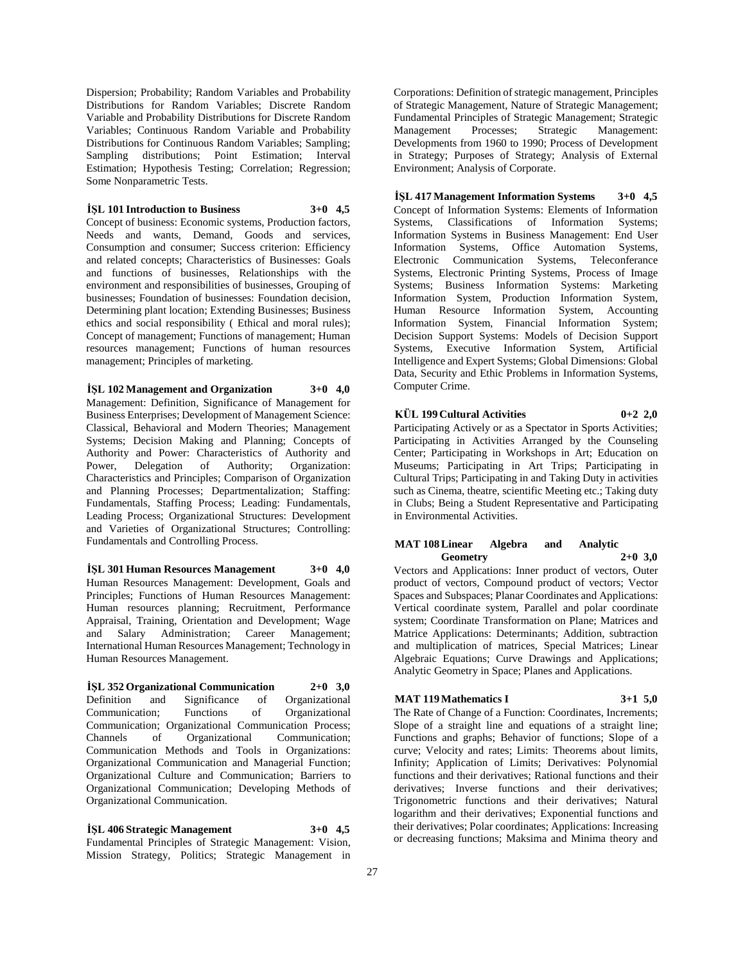Dispersion; Probability; Random Variables and Probability Distributions for Random Variables; Discrete Random Variable and Probability Distributions for Discrete Random Variables; Continuous Random Variable and Probability Distributions for Continuous Random Variables; Sampling; Sampling distributions; Point Estimation; Interval Estimation; Hypothesis Testing; Correlation; Regression; Some Nonparametric Tests.

# **İŞL 101 Introduction to Business 3+0 4,5**

Concept of business: Economic systems, Production factors, Needs and wants, Demand, Goods and services, Consumption and consumer; Success criterion: Efficiency and related concepts; Characteristics of Businesses: Goals and functions of businesses, Relationships with the environment and responsibilities of businesses, Grouping of businesses; Foundation of businesses: Foundation decision, Determining plant location; Extending Businesses; Business ethics and social responsibility ( Ethical and moral rules); Concept of management; Functions of management; Human resources management; Functions of human resources management; Principles of marketing.

**İŞL 102 Management and Organization 3+0 4,0** Management: Definition, Significance of Management for Business Enterprises; Development of Management Science: Classical, Behavioral and Modern Theories; Management Systems; Decision Making and Planning; Concepts of Authority and Power: Characteristics of Authority and Power, Delegation of Authority; Organization: Characteristics and Principles; Comparison of Organization and Planning Processes; Departmentalization; Staffing: Fundamentals, Staffing Process; Leading: Fundamentals, Leading Process; Organizational Structures: Development and Varieties of Organizational Structures; Controlling: Fundamentals and Controlling Process.

**İŞL 301 Human Resources Management 3+0 4,0** Human Resources Management: Development, Goals and Principles; Functions of Human Resources Management: Human resources planning; Recruitment, Performance Appraisal, Training, Orientation and Development; Wage and Salary Administration; Career Management; International Human Resources Management; Technology in Human Resources Management.

**İŞL 352 Organizational Communication 2+0 3,0** Definition and Significance of Organizational Communication; Functions of Organizational Communication; Organizational Communication Process; Channels of Organizational Communication; Communication Methods and Tools in Organizations: Organizational Communication and Managerial Function; Organizational Culture and Communication; Barriers to Organizational Communication; Developing Methods of Organizational Communication.

**İŞL 406 Strategic Management 3+0 4,5** Fundamental Principles of Strategic Management: Vision, Mission Strategy, Politics; Strategic Management in

Corporations: Definition of strategic management, Principles of Strategic Management, Nature of Strategic Management; Fundamental Principles of Strategic Management; Strategic Management Processes; Strategic Management: Developments from 1960 to 1990; Process of Development in Strategy; Purposes of Strategy; Analysis of External Environment; Analysis of Corporate.

**İŞL 417 Management Information Systems 3+0 4,5** Concept of Information Systems: Elements of Information Systems, Classifications of Information Systems; Information Systems in Business Management: End User Information Systems, Office Automation Systems, Electronic Communication Systems, Teleconferance Systems, Electronic Printing Systems, Process of Image Systems; Business Information Systems: Marketing Information System, Production Information System, Human Resource Information System, Accounting Information System, Financial Information System; Decision Support Systems: Models of Decision Support Systems, Executive Information System, Artificial Intelligence and Expert Systems; Global Dimensions: Global Data, Security and Ethic Problems in Information Systems, Computer Crime.

# **KÜL 199 Cultural Activities 0+2 2,0**

Participating Actively or as a Spectator in Sports Activities; Participating in Activities Arranged by the Counseling Center; Participating in Workshops in Art; Education on Museums; Participating in Art Trips; Participating in Cultural Trips; Participating in and Taking Duty in activities such as Cinema, theatre, scientific Meeting etc.; Taking duty in Clubs; Being a Student Representative and Participating in Environmental Activities.

## **MAT 108 Linear Algebra and Analytic Geometry 2+0 3,0**

Vectors and Applications: Inner product of vectors, Outer product of vectors, Compound product of vectors; Vector Spaces and Subspaces; Planar Coordinates and Applications: Vertical coordinate system, Parallel and polar coordinate system; Coordinate Transformation on Plane; Matrices and Matrice Applications: Determinants; Addition, subtraction and multiplication of matrices, Special Matrices; Linear Algebraic Equations; Curve Drawings and Applications; Analytic Geometry in Space; Planes and Applications.

# **MAT 119 Mathematics I 3+1 5,0**

The Rate of Change of a Function: Coordinates, Increments; Slope of a straight line and equations of a straight line; Functions and graphs; Behavior of functions; Slope of a curve; Velocity and rates; Limits: Theorems about limits, Infinity; Application of Limits; Derivatives: Polynomial functions and their derivatives; Rational functions and their derivatives; Inverse functions and their derivatives; Trigonometric functions and their derivatives; Natural logarithm and their derivatives; Exponential functions and their derivatives; Polar coordinates; Applications: Increasing or decreasing functions; Maksima and Minima theory and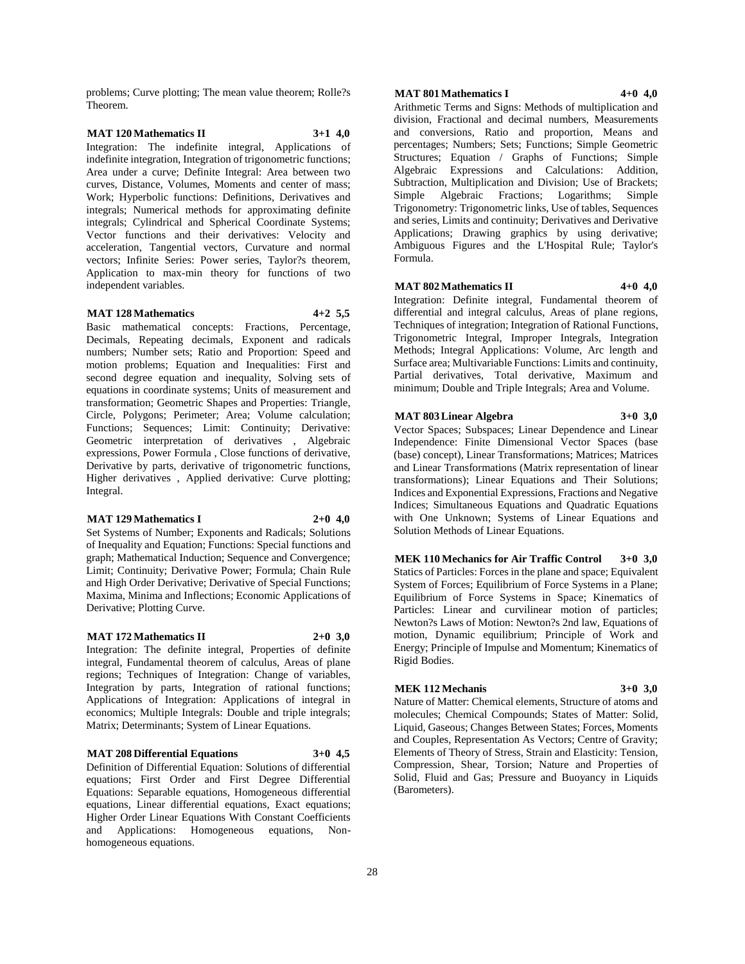problems; Curve plotting; The mean value theorem; Rolle?s Theorem.

# **MAT 120 Mathematics II 3+1 4,0**

Integration: The indefinite integral, Applications of indefinite integration, Integration of trigonometric functions; Area under a curve; Definite Integral: Area between two curves, Distance, Volumes, Moments and center of mass; Work; Hyperbolic functions: Definitions, Derivatives and integrals; Numerical methods for approximating definite integrals; Cylindrical and Spherical Coordinate Systems; Vector functions and their derivatives: Velocity and acceleration, Tangential vectors, Curvature and normal vectors; Infinite Series: Power series, Taylor?s theorem, Application to max-min theory for functions of two independent variables.

# **MAT 128 Mathematics 4+2 5,5**

Basic mathematical concepts: Fractions, Percentage, Decimals, Repeating decimals, Exponent and radicals numbers; Number sets; Ratio and Proportion: Speed and motion problems; Equation and Inequalities: First and second degree equation and inequality, Solving sets of equations in coordinate systems; Units of measurement and transformation; Geometric Shapes and Properties: Triangle, Circle, Polygons; Perimeter; Area; Volume calculation; Functions; Sequences; Limit: Continuity; Derivative: Geometric interpretation of derivatives , Algebraic expressions, Power Formula , Close functions of derivative, Derivative by parts, derivative of trigonometric functions, Higher derivatives , Applied derivative: Curve plotting; Integral.

# **MAT 129 Mathematics I 2+0 4,0**

Set Systems of Number; Exponents and Radicals; Solutions of Inequality and Equation; Functions: Special functions and graph; Mathematical Induction; Sequence and Convergence; Limit; Continuity; Derivative Power; Formula; Chain Rule and High Order Derivative; Derivative of Special Functions; Maxima, Minima and Inflections; Economic Applications of Derivative; Plotting Curve.

# **MAT 172 Mathematics II 2+0 3,0**

Integration: The definite integral, Properties of definite integral, Fundamental theorem of calculus, Areas of plane regions; Techniques of Integration: Change of variables, Integration by parts, Integration of rational functions; Applications of Integration: Applications of integral in economics; Multiple Integrals: Double and triple integrals; Matrix; Determinants; System of Linear Equations.

# **MAT 208 Differential Equations 3+0 4,5**

Definition of Differential Equation: Solutions of differential equations; First Order and First Degree Differential Equations: Separable equations, Homogeneous differential equations, Linear differential equations, Exact equations; Higher Order Linear Equations With Constant Coefficients and Applications: Homogeneous equations, Nonhomogeneous equations.

# **MAT 801 Mathematics I 4+0 4,0**

Arithmetic Terms and Signs: Methods of multiplication and division, Fractional and decimal numbers, Measurements and conversions, Ratio and proportion, Means and

percentages; Numbers; Sets; Functions; Simple Geometric Structures; Equation / Graphs of Functions; Simple Algebraic Expressions and Calculations: Addition, Subtraction, Multiplication and Division; Use of Brackets; Simple Algebraic Fractions; Logarithms; Simple Trigonometry: Trigonometric links, Use of tables, Sequences and series, Limits and continuity; Derivatives and Derivative Applications; Drawing graphics by using derivative; Ambiguous Figures and the L'Hospital Rule; Taylor's Formula.

# **MAT 802 Mathematics II 4+0 4,0**

Integration: Definite integral, Fundamental theorem of differential and integral calculus, Areas of plane regions, Techniques of integration; Integration of Rational Functions, Trigonometric Integral, Improper Integrals, Integration Methods; Integral Applications: Volume, Arc length and Surface area; Multivariable Functions: Limits and continuity, Partial derivatives, Total derivative, Maximum and minimum; Double and Triple Integrals; Area and Volume.

## **MAT 803 Linear Algebra 3+0 3,0**

Vector Spaces; Subspaces; Linear Dependence and Linear Independence: Finite Dimensional Vector Spaces (base (base) concept), Linear Transformations; Matrices; Matrices and Linear Transformations (Matrix representation of linear transformations); Linear Equations and Their Solutions; Indices and Exponential Expressions, Fractions and Negative Indices; Simultaneous Equations and Quadratic Equations with One Unknown; Systems of Linear Equations and Solution Methods of Linear Equations.

**MEK 110 Mechanics for Air Traffic Control 3+0 3,0** Statics of Particles: Forces in the plane and space; Equivalent System of Forces; Equilibrium of Force Systems in a Plane; Equilibrium of Force Systems in Space; Kinematics of Particles: Linear and curvilinear motion of particles; Newton?s Laws of Motion: Newton?s 2nd law, Equations of motion, Dynamic equilibrium; Principle of Work and Energy; Principle of Impulse and Momentum; Kinematics of Rigid Bodies.

# **MEK 112 Mechanis 3+0 3,0**

Nature of Matter: Chemical elements, Structure of atoms and molecules; Chemical Compounds; States of Matter: Solid, Liquid, Gaseous; Changes Between States; Forces, Moments and Couples, Representation As Vectors; Centre of Gravity; Elements of Theory of Stress, Strain and Elasticity: Tension, Compression, Shear, Torsion; Nature and Properties of Solid, Fluid and Gas; Pressure and Buoyancy in Liquids (Barometers).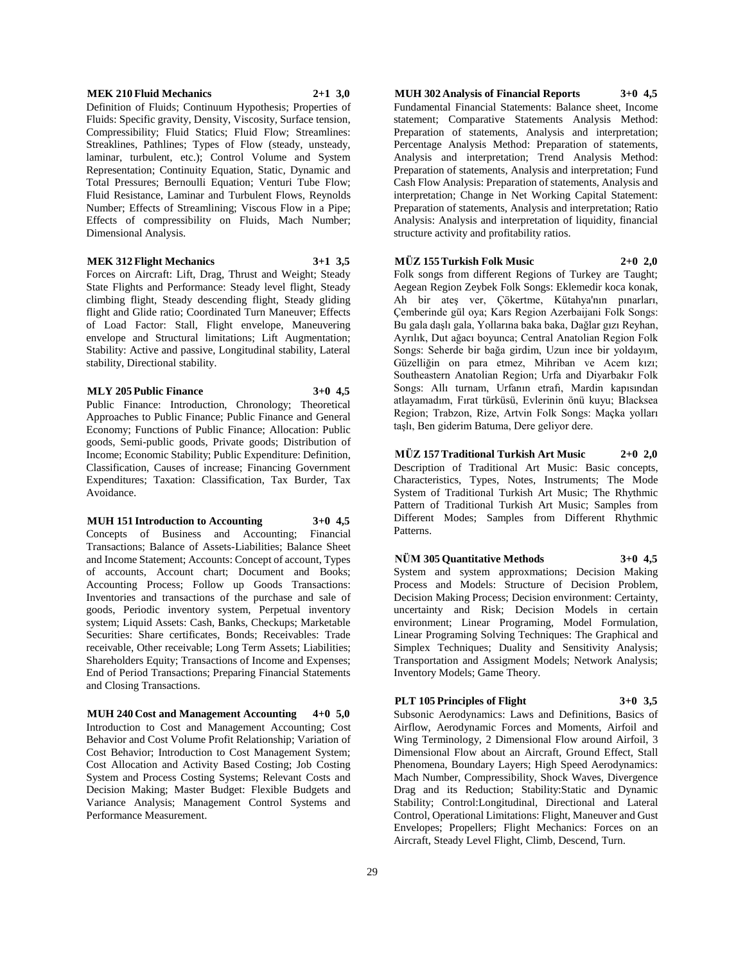#### **MEK 210 Fluid Mechanics 2+1 3,0**

Definition of Fluids; Continuum Hypothesis; Properties of Fluids: Specific gravity, Density, Viscosity, Surface tension, Compressibility; Fluid Statics; Fluid Flow; Streamlines: Streaklines, Pathlines; Types of Flow (steady, unsteady, laminar, turbulent, etc.); Control Volume and System Representation; Continuity Equation, Static, Dynamic and Total Pressures; Bernoulli Equation; Venturi Tube Flow; Fluid Resistance, Laminar and Turbulent Flows, Reynolds Number; Effects of Streamlining; Viscous Flow in a Pipe; Effects of compressibility on Fluids, Mach Number; Dimensional Analysis.

# **MEK 312 Flight Mechanics 3+1 3,5**

Forces on Aircraft: Lift, Drag, Thrust and Weight; Steady State Flights and Performance: Steady level flight, Steady climbing flight, Steady descending flight, Steady gliding flight and Glide ratio; Coordinated Turn Maneuver; Effects of Load Factor: Stall, Flight envelope, Maneuvering envelope and Structural limitations; Lift Augmentation; Stability: Active and passive, Longitudinal stability, Lateral stability, Directional stability.

#### **MLY 205 Public Finance 3+0 4,5**

Public Finance: Introduction, Chronology; Theoretical Approaches to Public Finance; Public Finance and General Economy; Functions of Public Finance; Allocation: Public goods, Semi-public goods, Private goods; Distribution of Income; Economic Stability; Public Expenditure: Definition, Classification, Causes of increase; Financing Government Expenditures; Taxation: Classification, Tax Burder, Tax Avoidance.

**MUH 151 Introduction to Accounting 3+0 4,5** Concepts of Business and Accounting; Financial Transactions; Balance of Assets-Liabilities; Balance Sheet and Income Statement; Accounts: Concept of account, Types of accounts, Account chart; Document and Books; Accounting Process; Follow up Goods Transactions: Inventories and transactions of the purchase and sale of goods, Periodic inventory system, Perpetual inventory system; Liquid Assets: Cash, Banks, Checkups; Marketable Securities: Share certificates, Bonds; Receivables: Trade receivable, Other receivable; Long Term Assets; Liabilities; Shareholders Equity; Transactions of Income and Expenses; End of Period Transactions; Preparing Financial Statements and Closing Transactions.

**MUH 240 Cost and Management Accounting 4+0 5,0** Introduction to Cost and Management Accounting; Cost Behavior and Cost Volume Profit Relationship; Variation of Cost Behavior; Introduction to Cost Management System; Cost Allocation and Activity Based Costing; Job Costing System and Process Costing Systems; Relevant Costs and Decision Making; Master Budget: Flexible Budgets and Variance Analysis; Management Control Systems and Performance Measurement.

**MUH 302 Analysis of Financial Reports 3+0 4,5**

Fundamental Financial Statements: Balance sheet, Income statement; Comparative Statements Analysis Method: Preparation of statements, Analysis and interpretation; Percentage Analysis Method: Preparation of statements, Analysis and interpretation; Trend Analysis Method: Preparation of statements, Analysis and interpretation; Fund Cash Flow Analysis: Preparation of statements, Analysis and interpretation; Change in Net Working Capital Statement: Preparation of statements, Analysis and interpretation; Ratio Analysis: Analysis and interpretation of liquidity, financial structure activity and profitability ratios.

# **MÜZ 155 Turkish Folk Music 2+0 2,0**

Folk songs from different Regions of Turkey are Taught; Aegean Region Zeybek Folk Songs: Eklemedir koca konak, Ah bir ateş ver, Çökertme, Kütahya'nın pınarları, Çemberinde gül oya; Kars Region Azerbaijani Folk Songs: Bu gala daşlı gala, Yollarına baka baka, Dağlar gızı Reyhan, Ayrılık, Dut ağacı boyunca; Central Anatolian Region Folk Songs: Seherde bir bağa girdim, Uzun ince bir yoldayım, Güzelliğin on para etmez, Mihriban ve Acem kızı; Southeastern Anatolian Region; Urfa and Diyarbakır Folk Songs: Allı turnam, Urfanın etrafı, Mardin kapısından atlayamadım, Fırat türküsü, Evlerinin önü kuyu; Blacksea Region; Trabzon, Rize, Artvin Folk Songs: Maçka yolları taşlı, Ben giderim Batuma, Dere geliyor dere.

**MÜZ 157 Traditional Turkish Art Music 2+0 2,0** Description of Traditional Art Music: Basic concepts, Characteristics, Types, Notes, Instruments; The Mode System of Traditional Turkish Art Music; The Rhythmic Pattern of Traditional Turkish Art Music; Samples from Different Modes; Samples from Different Rhythmic Patterns.

#### **NÜM 305 Quantitative Methods 3+0 4,5**

System and system approxmations; Decision Making Process and Models: Structure of Decision Problem, Decision Making Process; Decision environment: Certainty, uncertainty and Risk; Decision Models in certain environment; Linear Programing, Model Formulation, Linear Programing Solving Techniques: The Graphical and Simplex Techniques; Duality and Sensitivity Analysis; Transportation and Assigment Models; Network Analysis; Inventory Models; Game Theory.

# **PLT 105 Principles of Flight 3+0 3,5**

Subsonic Aerodynamics: Laws and Definitions, Basics of Airflow, Aerodynamic Forces and Moments, Airfoil and Wing Terminology, 2 Dimensional Flow around Airfoil, 3 Dimensional Flow about an Aircraft, Ground Effect, Stall Phenomena, Boundary Layers; High Speed Aerodynamics: Mach Number, Compressibility, Shock Waves, Divergence Drag and its Reduction; Stability:Static and Dynamic Stability; Control:Longitudinal, Directional and Lateral Control, Operational Limitations: Flight, Maneuver and Gust Envelopes; Propellers; Flight Mechanics: Forces on an Aircraft, Steady Level Flight, Climb, Descend, Turn.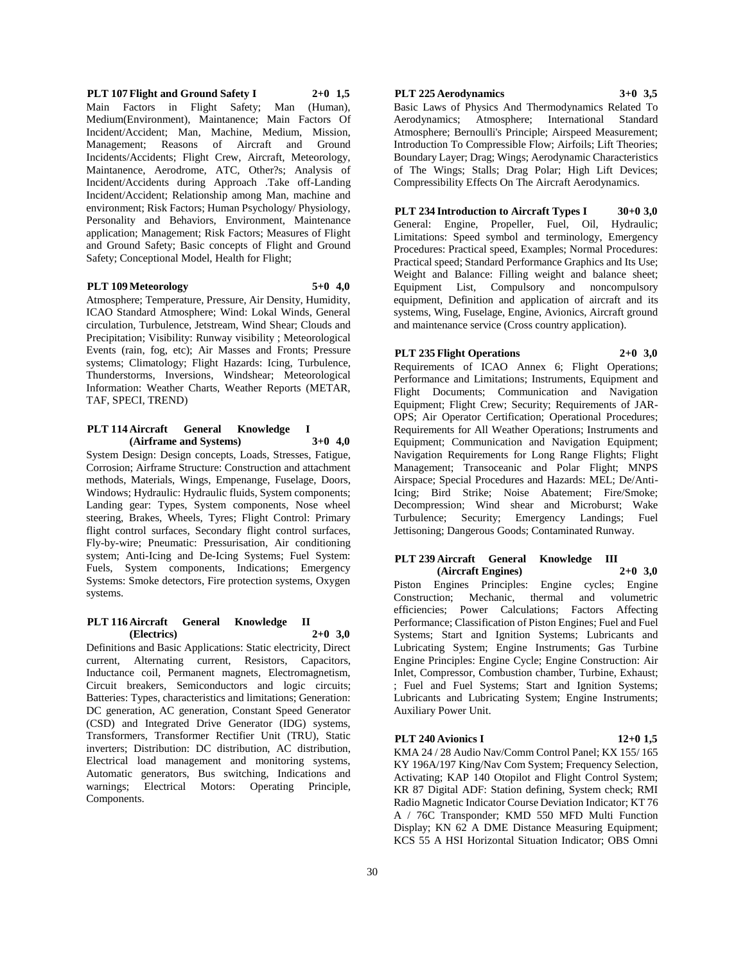**PLT 107 Flight and Ground Safety I 2+0 1,5** Main Factors in Flight Safety; Man (Human), Medium(Environment), Maintanence; Main Factors Of Incident/Accident; Man, Machine, Medium, Mission, Management; Reasons of Aircraft and Ground Incidents/Accidents; Flight Crew, Aircraft, Meteorology, Maintanence, Aerodrome, ATC, Other?s; Analysis of Incident/Accidents during Approach .Take off-Landing Incident/Accident; Relationship among Man, machine and environment; Risk Factors; Human Psychology/ Physiology, Personality and Behaviors, Environment, Maintenance application; Management; Risk Factors; Measures of Flight and Ground Safety; Basic concepts of Flight and Ground Safety; Conceptional Model, Health for Flight;

#### **PLT 109 Meteorology 5+0 4,0**

Atmosphere; Temperature, Pressure, Air Density, Humidity, ICAO Standard Atmosphere; Wind: Lokal Winds, General circulation, Turbulence, Jetstream, Wind Shear; Clouds and Precipitation; Visibility: Runway visibility ; Meteorological Events (rain, fog, etc); Air Masses and Fronts; Pressure systems; Climatology; Flight Hazards: Icing, Turbulence, Thunderstorms, Inversions, Windshear; Meteorological Information: Weather Charts, Weather Reports (METAR, TAF, SPECI, TREND)

# **PLT** 114 Aircraft General Knowledge **(Airframe and Systems) 3+0 4,0**

System Design: Design concepts, Loads, Stresses, Fatigue, Corrosion; Airframe Structure: Construction and attachment methods, Materials, Wings, Empenange, Fuselage, Doors, Windows; Hydraulic: Hydraulic fluids, System components; Landing gear: Types, System components, Nose wheel steering, Brakes, Wheels, Tyres; Flight Control: Primary flight control surfaces, Secondary flight control surfaces, Fly-by-wire; Pneumatic: Pressurisation, Air conditioning system; Anti-Icing and De-Icing Systems; Fuel System: Fuels, System components, Indications; Emergency Systems: Smoke detectors, Fire protection systems, Oxygen systems.

#### **PLT 116 Aircraft General Knowledge II (Electrics) 2+0 3,0**

Definitions and Basic Applications: Static electricity, Direct current, Alternating current, Resistors, Capacitors, Inductance coil, Permanent magnets, Electromagnetism, Circuit breakers, Semiconductors and logic circuits; Batteries: Types, characteristics and limitations; Generation: DC generation, AC generation, Constant Speed Generator (CSD) and Integrated Drive Generator (IDG) systems, Transformers, Transformer Rectifier Unit (TRU), Static inverters; Distribution: DC distribution, AC distribution, Electrical load management and monitoring systems, Automatic generators, Bus switching, Indications and warnings; Electrical Motors: Operating Principle, Components.

# **PLT 225 Aerodynamics 3+0 3,5**

Basic Laws of Physics And Thermodynamics Related To Aerodynamics; Atmosphere; International Standard Atmosphere; Bernoulli's Principle; Airspeed Measurement; Introduction To Compressible Flow; Airfoils; Lift Theories; Boundary Layer; Drag; Wings; Aerodynamic Characteristics of The Wings; Stalls; Drag Polar; High Lift Devices; Compressibility Effects On The Aircraft Aerodynamics.

#### **PLT 234 Introduction to Aircraft Types I 30+0 3,0**

General: Engine, Propeller, Fuel, Oil, Hydraulic; Limitations: Speed symbol and terminology, Emergency Procedures: Practical speed, Examples; Normal Procedures: Practical speed; Standard Performance Graphics and Its Use; Weight and Balance: Filling weight and balance sheet; Equipment List, Compulsory and noncompulsory equipment, Definition and application of aircraft and its systems, Wing, Fuselage, Engine, Avionics, Aircraft ground and maintenance service (Cross country application).

# **PLT 235 Flight Operations 2+0 3,0**

Requirements of ICAO Annex 6; Flight Operations; Performance and Limitations; Instruments, Equipment and Flight Documents; Communication and Navigation Equipment; Flight Crew; Security; Requirements of JAR-OPS; Air Operator Certification; Operational Procedures; Requirements for All Weather Operations; Instruments and Equipment; Communication and Navigation Equipment; Navigation Requirements for Long Range Flights; Flight Management; Transoceanic and Polar Flight; MNPS Airspace; Special Procedures and Hazards: MEL; De/Anti-Icing; Bird Strike; Noise Abatement; Fire/Smoke; Decompression; Wind shear and Microburst; Wake Turbulence; Security; Emergency Landings; Fuel Jettisoning; Dangerous Goods; Contaminated Runway.

#### **PLT 239 Aircraft General Knowledge III (Aircraft Engines) 2+0 3,0**

Piston Engines Principles: Engine cycles; Engine Construction; Mechanic, thermal and volumetric efficiencies; Power Calculations; Factors Affecting Performance; Classification of Piston Engines; Fuel and Fuel Systems; Start and Ignition Systems; Lubricants and Lubricating System; Engine Instruments; Gas Turbine Engine Principles: Engine Cycle; Engine Construction: Air Inlet, Compressor, Combustion chamber, Turbine, Exhaust; ; Fuel and Fuel Systems; Start and Ignition Systems; Lubricants and Lubricating System; Engine Instruments; Auxiliary Power Unit.

# **PLT 240 Avionics I 12+0 1,5**

KMA 24 / 28 Audio Nav/Comm Control Panel; KX 155/ 165 KY 196A/197 King/Nav Com System; Frequency Selection, Activating; KAP 140 Otopilot and Flight Control System; KR 87 Digital ADF: Station defining, System check; RMI Radio Magnetic Indicator Course Deviation Indicator; KT 76 A / 76C Transponder; KMD 550 MFD Multi Function Display; KN 62 A DME Distance Measuring Equipment; KCS 55 A HSI Horizontal Situation Indicator; OBS Omni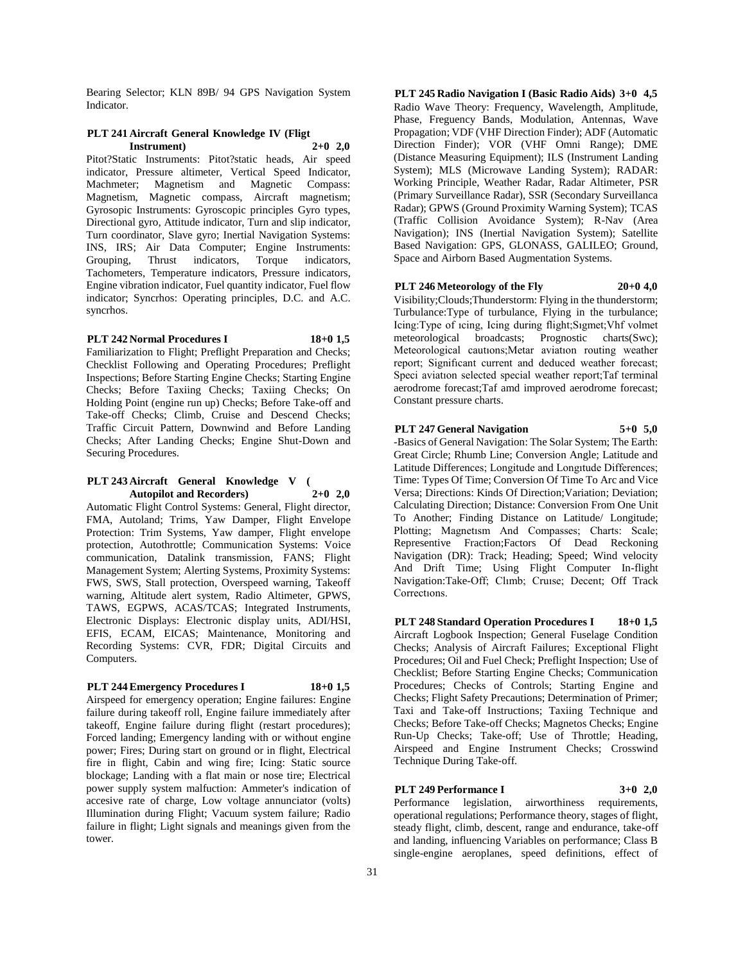Bearing Selector; KLN 89B/ 94 GPS Navigation System Indicator.

#### **PLT 241 Aircraft General Knowledge IV (Fligt Instrument) 2+0 2,0**

Pitot?Static Instruments: Pitot?static heads, Air speed indicator, Pressure altimeter, Vertical Speed Indicator, Machmeter; Magnetism and Magnetic Compass: Magnetism, Magnetic compass, Aircraft magnetism; Gyrosopic Instruments: Gyroscopic principles Gyro types, Directional gyro, Attitude indicator, Turn and slip indicator, Turn coordinator, Slave gyro; Inertial Navigation Systems: INS, IRS; Air Data Computer; Engine Instruments: Grouping, Thrust indicators, Torque indicators, Tachometers, Temperature indicators, Pressure indicators, Engine vibration indicator, Fuel quantity indicator, Fuel flow indicator; Syncrhos: Operating principles, D.C. and A.C. syncrhos.

# **PLT 242 Normal Procedures I 18+0 1,5**

Familiarization to Flight; Preflight Preparation and Checks; Checklist Following and Operating Procedures; Preflight Inspections; Before Starting Engine Checks; Starting Engine Checks; Before Taxiing Checks; Taxiing Checks; On Holding Point (engine run up) Checks; Before Take-off and Take-off Checks; Climb, Cruise and Descend Checks; Traffic Circuit Pattern, Downwind and Before Landing Checks; After Landing Checks; Engine Shut-Down and Securing Procedures.

# **PLT 243 Aircraft General Knowledge V ( Autopilot and Recorders) 2+0 2,0**

Automatic Flight Control Systems: General, Flight director, FMA, Autoland; Trims, Yaw Damper, Flight Envelope Protection: Trim Systems, Yaw damper, Flight envelope protection, Autothrottle; Communication Systems: Voice communication, Datalink transmission, FANS; Flight Management System; Alerting Systems, Proximity Systems: FWS, SWS, Stall protection, Overspeed warning, Takeoff warning, Altitude alert system, Radio Altimeter, GPWS, TAWS, EGPWS, ACAS/TCAS; Integrated Instruments, Electronic Displays: Electronic display units, ADI/HSI, EFIS, ECAM, EICAS; Maintenance, Monitoring and Recording Systems: CVR, FDR; Digital Circuits and Computers.

# **PLT 244 Emergency Procedures I 18+0 1,5**

Airspeed for emergency operation; Engine failures: Engine failure during takeoff roll, Engine failure immediately after takeoff, Engine failure during flight (restart procedures); Forced landing; Emergency landing with or without engine power; Fires; During start on ground or in flight, Electrical fire in flight, Cabin and wing fire; Icing: Static source blockage; Landing with a flat main or nose tire; Electrical power supply system malfuction: Ammeter's indication of accesive rate of charge, Low voltage annunciator (volts) Illumination during Flight; Vacuum system failure; Radio failure in flight; Light signals and meanings given from the tower.

**PLT 245 Radio Navigation I (Basic Radio Aids) 3+0 4,5** Radio Wave Theory: Frequency, Wavelength, Amplitude, Phase, Freguency Bands, Modulation, Antennas, Wave Propagation; VDF (VHF Direction Finder); ADF (Automatic Direction Finder); VOR (VHF Omni Range); DME (Distance Measuring Equipment); ILS (Instrument Landing System); MLS (Microwave Landing System); RADAR: Working Principle, Weather Radar, Radar Altimeter, PSR (Primary Surveillance Radar), SSR (Secondary Surveillanca Radar); GPWS (Ground Proximity Warning System); TCAS (Traffic Collision Avoidance System); R-Nav (Area Navigation); INS (Inertial Navigation System); Satellite Based Navigation: GPS, GLONASS, GALILEO; Ground, Space and Airborn Based Augmentation Systems.

#### **PLT 246 Meteorology of the Fly 20+0 4,0**

Visibility;Clouds;Thunderstorm: Flying in the thunderstorm; Turbulance:Type of turbulance, Flying in the turbulance; Icing:Type of ıcing, Icing during flight;Sıgmet;Vhf volmet meteorological broadcasts; Prognostic charts(Swc); Meteorological cautıons;Metar aviatıon routing weather report; Signifıcant current and deduced weather forecast; Speci aviatıon selected special weather report;Taf terminal aerodrome forecast;Taf amd improved aerodrome forecast; Constant pressure charts.

# **PLT 247 General Navigation 5+0 5,0**

-Basics of General Navigation: The Solar System; The Earth: Great Circle; Rhumb Line; Conversion Angle; Latitude and Latitude Differences; Longitude and Longıtude Differences; Time: Types Of Time; Conversion Of Time To Arc and Vice Versa; Directions: Kinds Of Direction;Variation; Deviation; Calculating Direction; Distance: Conversion From One Unit To Another; Finding Distance on Latitude/ Longitude; Plotting; Magnetısm And Compasses; Charts: Scale; Representive Fraction;Factors Of Dead Reckoning Navigation (DR): Track; Heading; Speed; Wind velocity And Drift Time; Using Flight Computer In-flight Navigation:Take-Off; Clımb; Cruıse; Decent; Off Track Correctıons.

**PLT 248 Standard Operation Procedures I 18+0 1,5** Aircraft Logbook Inspection; General Fuselage Condition Checks; Analysis of Aircraft Failures; Exceptional Flight Procedures; Oil and Fuel Check; Preflight Inspection; Use of Checklist; Before Starting Engine Checks; Communication Procedures; Checks of Controls; Starting Engine and Checks; Flight Safety Precautions; Determination of Primer; Taxi and Take-off Instructions; Taxiing Technique and Checks; Before Take-off Checks; Magnetos Checks; Engine Run-Up Checks; Take-off; Use of Throttle; Heading, Airspeed and Engine Instrument Checks; Crosswind Technique During Take-off.

# **PLT 249 Performance I 3+0 2,0**

Performance legislation, airworthiness requirements, operational regulations; Performance theory, stages of flight, steady flight, climb, descent, range and endurance, take-off and landing, influencing Variables on performance; Class B single-engine aeroplanes, speed definitions, effect of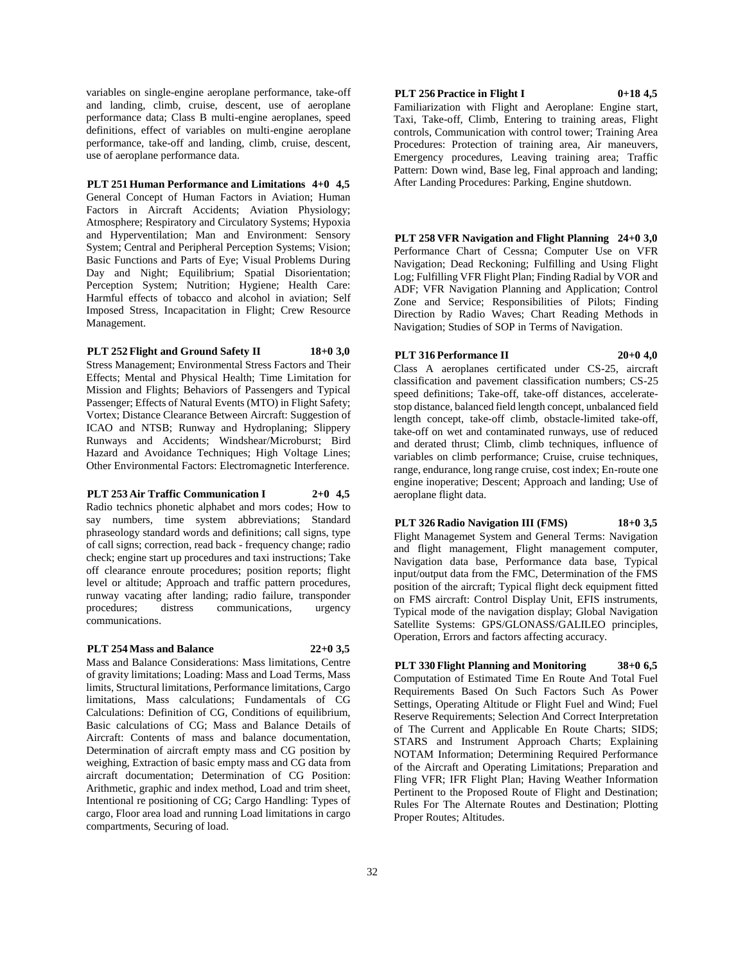variables on single-engine aeroplane performance, take-off and landing, climb, cruise, descent, use of aeroplane performance data; Class B multi-engine aeroplanes, speed definitions, effect of variables on multi-engine aeroplane performance, take-off and landing, climb, cruise, descent, use of aeroplane performance data.

**PLT 251 Human Performance and Limitations 4+0 4,5** General Concept of Human Factors in Aviation; Human Factors in Aircraft Accidents; Aviation Physiology; Atmosphere; Respiratory and Circulatory Systems; Hypoxia and Hyperventilation; Man and Environment: Sensory System; Central and Peripheral Perception Systems; Vision; Basic Functions and Parts of Eye; Visual Problems During Day and Night; Equilibrium; Spatial Disorientation; Perception System; Nutrition; Hygiene; Health Care: Harmful effects of tobacco and alcohol in aviation; Self Imposed Stress, Incapacitation in Flight; Crew Resource Management.

# **PLT 252 Flight and Ground Safety II 18+0 3,0**

Stress Management; Environmental Stress Factors and Their Effects; Mental and Physical Health; Time Limitation for Mission and Flights; Behaviors of Passengers and Typical Passenger; Effects of Natural Events (MTO) in Flight Safety; Vortex; Distance Clearance Between Aircraft: Suggestion of ICAO and NTSB; Runway and Hydroplaning; Slippery Runways and Accidents; Windshear/Microburst; Bird Hazard and Avoidance Techniques; High Voltage Lines; Other Environmental Factors: Electromagnetic Interference.

#### **PLT 253 Air Traffic Communication I 2+0 4,5**

Radio technics phonetic alphabet and mors codes; How to say numbers, time system abbreviations; Standard phraseology standard words and definitions; call signs, type of call signs; correction, read back - frequency change; radio check; engine start up procedures and taxi instructions; Take off clearance enroute procedures; position reports; flight level or altitude; Approach and traffic pattern procedures, runway vacating after landing; radio failure, transponder procedures; distress communications, urgency communications.

#### **PLT 254 Mass and Balance 22+0 3,5**

Mass and Balance Considerations: Mass limitations, Centre of gravity limitations; Loading: Mass and Load Terms, Mass limits, Structural limitations, Performance limitations, Cargo limitations, Mass calculations; Fundamentals of CG Calculations: Definition of CG, Conditions of equilibrium, Basic calculations of CG; Mass and Balance Details of Aircraft: Contents of mass and balance documentation, Determination of aircraft empty mass and CG position by weighing, Extraction of basic empty mass and CG data from aircraft documentation; Determination of CG Position: Arithmetic, graphic and index method, Load and trim sheet, Intentional re positioning of CG; Cargo Handling: Types of cargo, Floor area load and running Load limitations in cargo compartments, Securing of load.

# **PLT 256 Practice in Flight I 0+18 4,5**

Familiarization with Flight and Aeroplane: Engine start, Taxi, Take-off, Climb, Entering to training areas, Flight controls, Communication with control tower; Training Area Procedures: Protection of training area, Air maneuvers, Emergency procedures, Leaving training area; Traffic Pattern: Down wind, Base leg, Final approach and landing; After Landing Procedures: Parking, Engine shutdown.

**PLT 258 VFR Navigation and Flight Planning 24+0 3,0** Performance Chart of Cessna; Computer Use on VFR Navigation; Dead Reckoning; Fulfilling and Using Flight Log; Fulfilling VFR Flight Plan; Finding Radial by VOR and ADF; VFR Navigation Planning and Application; Control Zone and Service; Responsibilities of Pilots; Finding Direction by Radio Waves; Chart Reading Methods in Navigation; Studies of SOP in Terms of Navigation.

# **PLT 316 Performance II 20+0 4,0**

Class A aeroplanes certificated under CS-25, aircraft classification and pavement classification numbers; CS-25 speed definitions; Take-off, take-off distances, acceleratestop distance, balanced field length concept, unbalanced field length concept, take-off climb, obstacle-limited take-off, take-off on wet and contaminated runways, use of reduced and derated thrust; Climb, climb techniques, influence of variables on climb performance; Cruise, cruise techniques, range, endurance, long range cruise, cost index; En-route one engine inoperative; Descent; Approach and landing; Use of aeroplane flight data.

**PLT 326 Radio Navigation III (FMS) 18+0 3,5** Flight Managemet System and General Terms: Navigation and flight management, Flight management computer, Navigation data base, Performance data base, Typical input/output data from the FMC, Determination of the FMS position of the aircraft; Typical flight deck equipment fitted on FMS aircraft: Control Display Unit, EFIS instruments, Typical mode of the navigation display; Global Navigation Satellite Systems: GPS/GLONASS/GALILEO principles, Operation, Errors and factors affecting accuracy.

**PLT 330 Flight Planning and Monitoring 38+0 6,5** Computation of Estimated Time En Route And Total Fuel Requirements Based On Such Factors Such As Power Settings, Operating Altitude or Flight Fuel and Wind; Fuel Reserve Requirements; Selection And Correct Interpretation of The Current and Applicable En Route Charts; SIDS; STARS and Instrument Approach Charts; Explaining NOTAM Information; Determining Required Performance of the Aircraft and Operating Limitations; Preparation and Fling VFR; IFR Flight Plan; Having Weather Information Pertinent to the Proposed Route of Flight and Destination; Rules For The Alternate Routes and Destination; Plotting Proper Routes; Altitudes.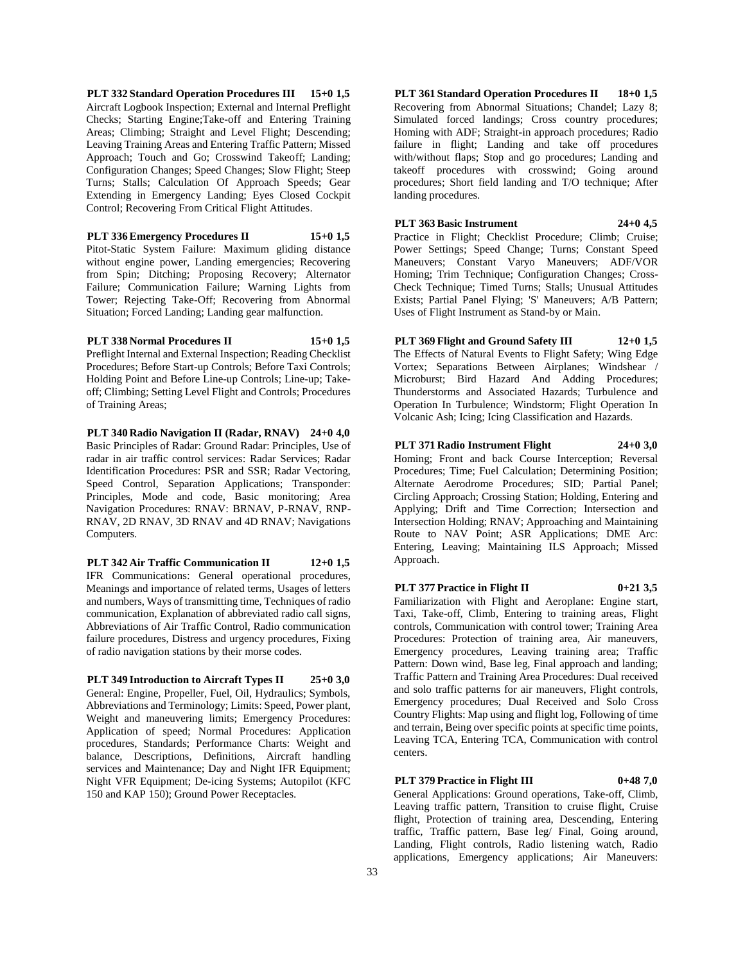**PLT 332 Standard Operation Procedures III 15+0 1,5** Aircraft Logbook Inspection; External and Internal Preflight Checks; Starting Engine;Take-off and Entering Training Areas; Climbing; Straight and Level Flight; Descending; Leaving Training Areas and Entering Traffic Pattern; Missed Approach; Touch and Go; Crosswind Takeoff; Landing; Configuration Changes; Speed Changes; Slow Flight; Steep Turns; Stalls; Calculation Of Approach Speeds; Gear Extending in Emergency Landing; Eyes Closed Cockpit Control; Recovering From Critical Flight Attitudes.

**PLT 336 Emergency Procedures II 15+0 1,5**

Pitot-Static System Failure: Maximum gliding distance without engine power, Landing emergencies; Recovering from Spin; Ditching; Proposing Recovery; Alternator Failure; Communication Failure; Warning Lights from Tower; Rejecting Take-Off; Recovering from Abnormal Situation; Forced Landing; Landing gear malfunction.

**PLT 338 Normal Procedures II 15+0 1,5**

Preflight Internal and External Inspection; Reading Checklist Procedures; Before Start-up Controls; Before Taxi Controls; Holding Point and Before Line-up Controls; Line-up; Takeoff; Climbing; Setting Level Flight and Controls; Procedures of Training Areas;

**PLT 340 Radio Navigation II (Radar, RNAV) 24+0 4,0** Basic Principles of Radar: Ground Radar: Principles, Use of radar in air traffic control services: Radar Services; Radar Identification Procedures: PSR and SSR; Radar Vectoring, Speed Control, Separation Applications; Transponder: Principles, Mode and code, Basic monitoring; Area Navigation Procedures: RNAV: BRNAV, P-RNAV, RNP-RNAV, 2D RNAV, 3D RNAV and 4D RNAV; Navigations Computers.

**PLT 342 Air Traffic Communication II 12+0 1,5**

IFR Communications: General operational procedures, Meanings and importance of related terms, Usages of letters and numbers, Ways of transmitting time, Techniques of radio communication, Explanation of abbreviated radio call signs, Abbreviations of Air Traffic Control, Radio communication failure procedures, Distress and urgency procedures, Fixing of radio navigation stations by their morse codes.

**PLT 349 Introduction to Aircraft Types II 25+0 3,0** General: Engine, Propeller, Fuel, Oil, Hydraulics; Symbols, Abbreviations and Terminology; Limits: Speed, Power plant, Weight and maneuvering limits; Emergency Procedures: Application of speed; Normal Procedures: Application procedures, Standards; Performance Charts: Weight and balance, Descriptions, Definitions, Aircraft handling services and Maintenance; Day and Night IFR Equipment; Night VFR Equipment; De-icing Systems; Autopilot (KFC 150 and KAP 150); Ground Power Receptacles.

**PLT 361 Standard Operation Procedures II 18+0 1,5** Recovering from Abnormal Situations; Chandel; Lazy 8; Simulated forced landings; Cross country procedures; Homing with ADF; Straight-in approach procedures; Radio failure in flight; Landing and take off procedures with/without flaps; Stop and go procedures; Landing and takeoff procedures with crosswind; Going around procedures; Short field landing and T/O technique; After landing procedures.

**PLT 363 Basic Instrument 24+0 4,5**

Practice in Flight; Checklist Procedure; Climb; Cruise; Power Settings; Speed Change; Turns; Constant Speed Maneuvers; Constant Varyo Maneuvers; ADF/VOR Homing; Trim Technique; Configuration Changes; Cross-Check Technique; Timed Turns; Stalls; Unusual Attitudes Exists; Partial Panel Flying; 'S' Maneuvers; A/B Pattern; Uses of Flight Instrument as Stand-by or Main.

**PLT 369 Flight and Ground Safety III 12+0 1,5** The Effects of Natural Events to Flight Safety; Wing Edge Vortex; Separations Between Airplanes; Windshear / Microburst; Bird Hazard And Adding Procedures; Thunderstorms and Associated Hazards; Turbulence and Operation In Turbulence; Windstorm; Flight Operation In Volcanic Ash; Icing; Icing Classification and Hazards.

**PLT 371 Radio Instrument Flight 24+0 3,0** Homing; Front and back Course Interception; Reversal Procedures; Time; Fuel Calculation; Determining Position; Alternate Aerodrome Procedures; SID; Partial Panel; Circling Approach; Crossing Station; Holding, Entering and Applying; Drift and Time Correction; Intersection and Intersection Holding; RNAV; Approaching and Maintaining Route to NAV Point; ASR Applications; DME Arc: Entering, Leaving; Maintaining ILS Approach; Missed Approach.

**PLT 377 Practice in Flight II 0+21 3,5** Familiarization with Flight and Aeroplane: Engine start, Taxi, Take-off, Climb, Entering to training areas, Flight controls, Communication with control tower; Training Area Procedures: Protection of training area, Air maneuvers, Emergency procedures, Leaving training area; Traffic Pattern: Down wind, Base leg, Final approach and landing; Traffic Pattern and Training Area Procedures: Dual received and solo traffic patterns for air maneuvers, Flight controls, Emergency procedures; Dual Received and Solo Cross Country Flights: Map using and flight log, Following of time and terrain, Being over specific points at specific time points, Leaving TCA, Entering TCA, Communication with control centers.

**PLT 379 Practice in Flight III 0+48 7,0** General Applications: Ground operations, Take-off, Climb, Leaving traffic pattern, Transition to cruise flight, Cruise flight, Protection of training area, Descending, Entering traffic, Traffic pattern, Base leg/ Final, Going around, Landing, Flight controls, Radio listening watch, Radio applications, Emergency applications; Air Maneuvers: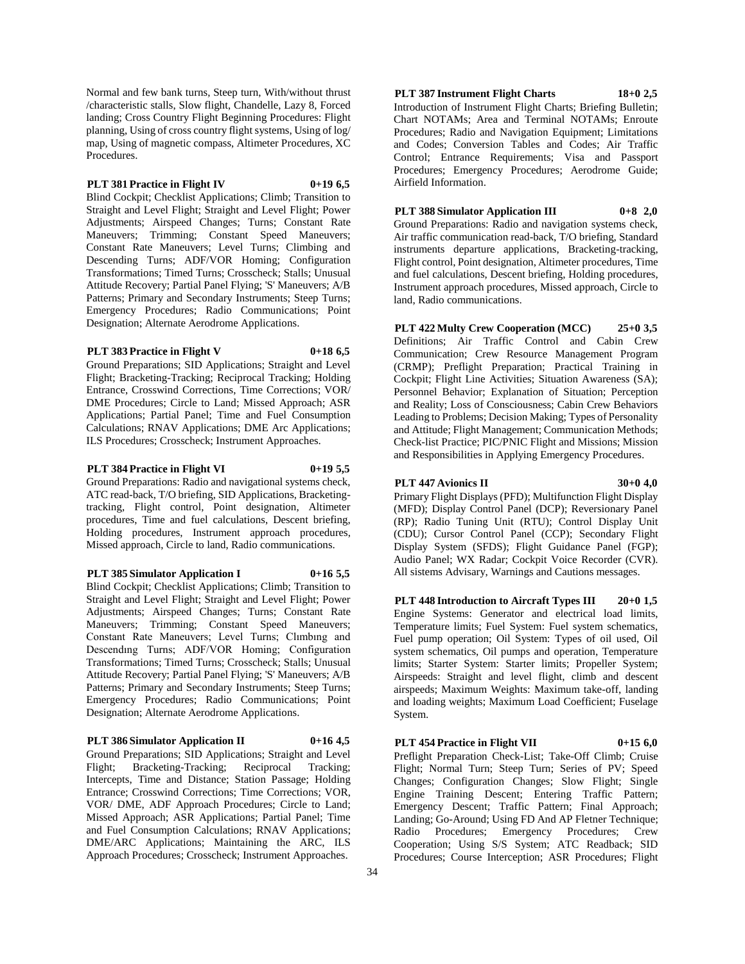Normal and few bank turns, Steep turn, With/without thrust /characteristic stalls, Slow flight, Chandelle, Lazy 8, Forced landing; Cross Country Flight Beginning Procedures: Flight planning, Using of cross country flight systems, Using of log/ map, Using of magnetic compass, Altimeter Procedures, XC Procedures.

# **PLT 381 Practice in Flight IV 0+19 6,5**

Blind Cockpit; Checklist Applications; Climb; Transition to Straight and Level Flight; Straight and Level Flight; Power Adjustments; Airspeed Changes; Turns; Constant Rate Maneuvers; Trimming; Constant Speed Maneuvers; Constant Rate Maneuvers; Level Turns; Climbing and Descending Turns; ADF/VOR Homing; Configuration Transformations; Timed Turns; Crosscheck; Stalls; Unusual Attitude Recovery; Partial Panel Flying; 'S' Maneuvers; A/B Patterns; Primary and Secondary Instruments; Steep Turns; Emergency Procedures; Radio Communications; Point Designation; Alternate Aerodrome Applications.

# **PLT 383 Practice in Flight V 0+18 6,5**

Ground Preparations; SID Applications; Straight and Level Flight; Bracketing-Tracking; Reciprocal Tracking; Holding Entrance, Crosswind Corrections, Time Corrections; VOR/ DME Procedures; Circle to Land; Missed Approach; ASR Applications; Partial Panel; Time and Fuel Consumption Calculations; RNAV Applications; DME Arc Applications; ILS Procedures; Crosscheck; Instrument Approaches.

# **PLT 384 Practice in Flight VI 0+19 5,5**

Ground Preparations: Radio and navigational systems check,

ATC read-back, T/O briefing, SID Applications, Bracketingtracking, Flight control, Point designation, Altimeter procedures, Time and fuel calculations, Descent briefing, Holding procedures, Instrument approach procedures, Missed approach, Circle to land, Radio communications.

#### **PLT 385 Simulator Application I 0+16 5,5**

Blind Cockpit; Checklist Applications; Climb; Transition to Straight and Level Flight; Straight and Level Flight; Power Adjustments; Airspeed Changes; Turns; Constant Rate Maneuvers; Trimming; Constant Speed Maneuvers; Constant Rate Maneuvers; Level Turns; Clımbıng and Descendıng Turns; ADF/VOR Homing; Configuration Transformations; Timed Turns; Crosscheck; Stalls; Unusual Attitude Recovery; Partial Panel Flying; 'S' Maneuvers; A/B Patterns; Primary and Secondary Instruments; Steep Turns; Emergency Procedures; Radio Communications; Point Designation; Alternate Aerodrome Applications.

**PLT 386 Simulator Application II 0+16 4,5**

Ground Preparations; SID Applications; Straight and Level Flight; Bracketing-Tracking; Reciprocal Tracking; Intercepts, Time and Distance; Station Passage; Holding Entrance; Crosswind Corrections; Time Corrections; VOR, VOR/ DME, ADF Approach Procedures; Circle to Land; Missed Approach; ASR Applications; Partial Panel; Time and Fuel Consumption Calculations; RNAV Applications; DME/ARC Applications; Maintaining the ARC, ILS Approach Procedures; Crosscheck; Instrument Approaches.

# **PLT 387 Instrument Flight Charts 18+0 2,5**

Introduction of Instrument Flight Charts; Briefing Bulletin; Chart NOTAMs; Area and Terminal NOTAMs; Enroute Procedures; Radio and Navigation Equipment; Limitations and Codes; Conversion Tables and Codes; Air Traffic Control; Entrance Requirements; Visa and Passport Procedures; Emergency Procedures; Aerodrome Guide; Airfield Information.

# **PLT 388 Simulator Application III 0+8 2,0**

Ground Preparations: Radio and navigation systems check, Air traffic communication read-back, T/O briefing, Standard instruments departure applications, Bracketing-tracking, Flight control, Point designation, Altimeter procedures, Time and fuel calculations, Descent briefing, Holding procedures, Instrument approach procedures, Missed approach, Circle to land, Radio communications.

**PLT 422 Multy Crew Cooperation (MCC) 25+0 3,5** Definitions; Air Traffic Control and Cabin Crew Communication; Crew Resource Management Program (CRMP); Preflight Preparation; Practical Training in Cockpit; Flight Line Activities; Situation Awareness (SA); Personnel Behavior; Explanation of Situation; Perception and Reality; Loss of Consciousness; Cabin Crew Behaviors Leading to Problems; Decision Making; Types of Personality and Attitude; Flight Management; Communication Methods; Check-list Practice; PIC/PNIC Flight and Missions; Mission and Responsibilities in Applying Emergency Procedures.

# **PLT 447 Avionics II 30+0 4,0**

Primary Flight Displays (PFD); Multifunction Flight Display (MFD); Display Control Panel (DCP); Reversionary Panel (RP); Radio Tuning Unit (RTU); Control Display Unit (CDU); Cursor Control Panel (CCP); Secondary Flight Display System (SFDS); Flight Guidance Panel (FGP); Audio Panel; WX Radar; Cockpit Voice Recorder (CVR). All sistems Advisary, Warnings and Cautions messages.

**PLT 448 Introduction to Aircraft Types III 20+0 1,5** Engine Systems: Generator and electrical load limits, Temperature limits; Fuel System: Fuel system schematics, Fuel pump operation; Oil System: Types of oil used, Oil system schematics, Oil pumps and operation, Temperature limits; Starter System: Starter limits; Propeller System; Airspeeds: Straight and level flight, climb and descent airspeeds; Maximum Weights: Maximum take-off, landing and loading weights; Maximum Load Coefficient; Fuselage System.

**PLT 454 Practice in Flight VII 0+15 6,0** Preflight Preparation Check-List; Take-Off Climb; Cruise Flight; Normal Turn; Steep Turn; Series of PV; Speed Changes; Configuration Changes; Slow Flight; Single Engine Training Descent; Entering Traffic Pattern; Emergency Descent; Traffic Pattern; Final Approach; Landing; Go-Around; Using FD And AP Fletner Technique; Radio Procedures; Emergency Procedures; Crew Cooperation; Using S/S System; ATC Readback; SID Procedures; Course Interception; ASR Procedures; Flight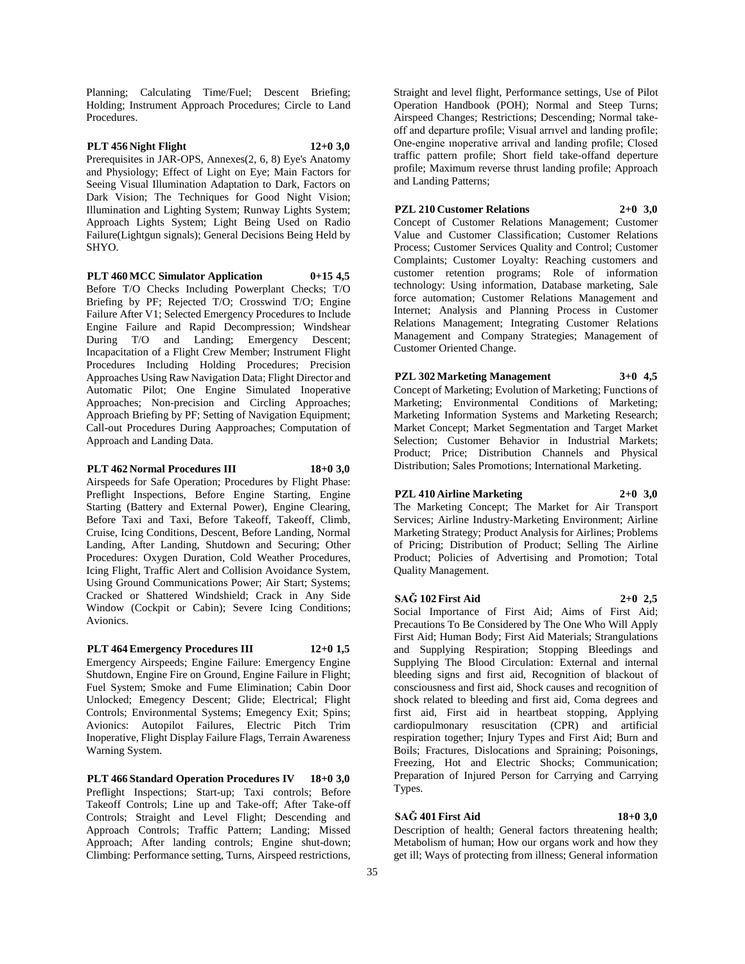Planning; Calculating Time/Fuel; Descent Briefing; Holding; Instrument Approach Procedures; Circle to Land Procedures.

# **PLT 456 Night Flight 12+0 3,0**

Prerequisites in JAR-OPS, Annexes(2, 6, 8) Eye's Anatomy and Physiology; Effect of Light on Eye; Main Factors for Seeing Visual Illumination Adaptation to Dark, Factors on Dark Vision; The Techniques for Good Night Vision; Illumination and Lighting System; Runway Lights System; Approach Lights System; Light Being Used on Radio Failure(Lightgun signals); General Decisions Being Held by SHYO.

**PLT 460 MCC Simulator Application 0+15 4,5**

Before T/O Checks Including Powerplant Checks; T/O Briefing by PF; Rejected T/O; Crosswind T/O; Engine Failure After V1; Selected Emergency Procedures to Include Engine Failure and Rapid Decompression; Windshear During T/O and Landing; Emergency Descent; Incapacitation of a Flight Crew Member; Instrument Flight Procedures Including Holding Procedures; Precision Approaches Using Raw Navigation Data; Flight Director and Automatic Pilot; One Engine Simulated Inoperative Approaches; Non-precision and Circling Approaches; Approach Briefing by PF; Setting of Navigation Equipment; Call-out Procedures During Aapproaches; Computation of Approach and Landing Data.

# **PLT 462 Normal Procedures III 18+0 3,0**

Airspeeds for Safe Operation; Procedures by Flight Phase: Preflight Inspections, Before Engine Starting, Engine Starting (Battery and External Power), Engine Clearing, Before Taxi and Taxi, Before Takeoff, Takeoff, Climb, Cruise, Icing Conditions, Descent, Before Landing, Normal Landing, After Landing, Shutdown and Securing; Other Procedures: Oxygen Duration, Cold Weather Procedures, Icing Flight, Traffic Alert and Collision Avoidance System, Using Ground Communications Power; Air Start; Systems; Cracked or Shattered Windshield; Crack in Any Side Window (Cockpit or Cabin); Severe Icing Conditions; Avionics.

# **PLT 464 Emergency Procedures III 12+0 1,5**

Emergency Airspeeds; Engine Failure: Emergency Engine Shutdown, Engine Fire on Ground, Engine Failure in Flight; Fuel System; Smoke and Fume Elimination; Cabin Door Unlocked; Emegency Descent; Glide; Electrical; Flight Controls; Environmental Systems; Emegency Exit; Spins; Avionics: Autopilot Failures, Electric Pitch Trim Inoperative, Flight Display Failure Flags, Terrain Awareness Warning System.

**PLT 466 Standard Operation Procedures IV 18+0 3,0** Preflight Inspections; Start-up; Taxi controls; Before Takeoff Controls; Line up and Take-off; After Take-off Controls; Straight and Level Flight; Descending and Approach Controls; Traffic Pattern; Landing; Missed Approach; After landing controls; Engine shut-down; Climbing: Performance setting, Turns, Airspeed restrictions,

Straight and level flight, Performance settings, Use of Pilot Operation Handbook (POH); Normal and Steep Turns; Airspeed Changes; Restrictions; Descending; Normal takeoff and departure profile; Visual arrıvel and landing profile; One-engine ınoperative arrival and landing profile; Closed traffic pattern profile; Short field take-offand deperture profile; Maximum reverse thrust landing profile; Approach and Landing Patterns;

# **PZL 210 Customer Relations 2+0 3,0**

Concept of Customer Relations Management; Customer Value and Customer Classification; Customer Relations Process; Customer Services Quality and Control; Customer Complaints; Customer Loyalty: Reaching customers and customer retention programs; Role of information technology: Using information, Database marketing, Sale force automation; Customer Relations Management and Internet; Analysis and Planning Process in Customer Relations Management; Integrating Customer Relations Management and Company Strategies; Management of Customer Oriented Change.

# **PZL 302 Marketing Management 3+0 4,5**

Concept of Marketing; Evolution of Marketing; Functions of Marketing; Environmental Conditions of Marketing; Marketing Information Systems and Marketing Research; Market Concept; Market Segmentation and Target Market Selection; Customer Behavior in Industrial Markets; Product; Price; Distribution Channels and Physical Distribution; Sales Promotions; International Marketing.

# **PZL 410 Airline Marketing 2+0 3,0**

The Marketing Concept; The Market for Air Transport Services; Airline Industry-Marketing Environment; Airline Marketing Strategy; Product Analysis for Airlines; Problems of Pricing; Distribution of Product; Selling The Airline Product; Policies of Advertising and Promotion; Total Quality Management.

#### **SAĞ 102 First Aid 2+0 2,5**

Social Importance of First Aid; Aims of First Aid; Precautions To Be Considered by The One Who Will Apply First Aid; Human Body; First Aid Materials; Strangulations and Supplying Respiration; Stopping Bleedings and Supplying The Blood Circulation: External and internal bleeding signs and first aid, Recognition of blackout of consciousness and first aid, Shock causes and recognition of shock related to bleeding and first aid, Coma degrees and first aid, First aid in heartbeat stopping, Applying cardiopulmonary resuscitation (CPR) and artificial respiration together; Injury Types and First Aid; Burn and Boils; Fractures, Dislocations and Spraining; Poisonings, Freezing, Hot and Electric Shocks; Communication; Preparation of Injured Person for Carrying and Carrying Types.

#### **SAĞ 401 First Aid 18+0 3,0**

Description of health; General factors threatening health; Metabolism of human; How our organs work and how they get ill; Ways of protecting from illness; General information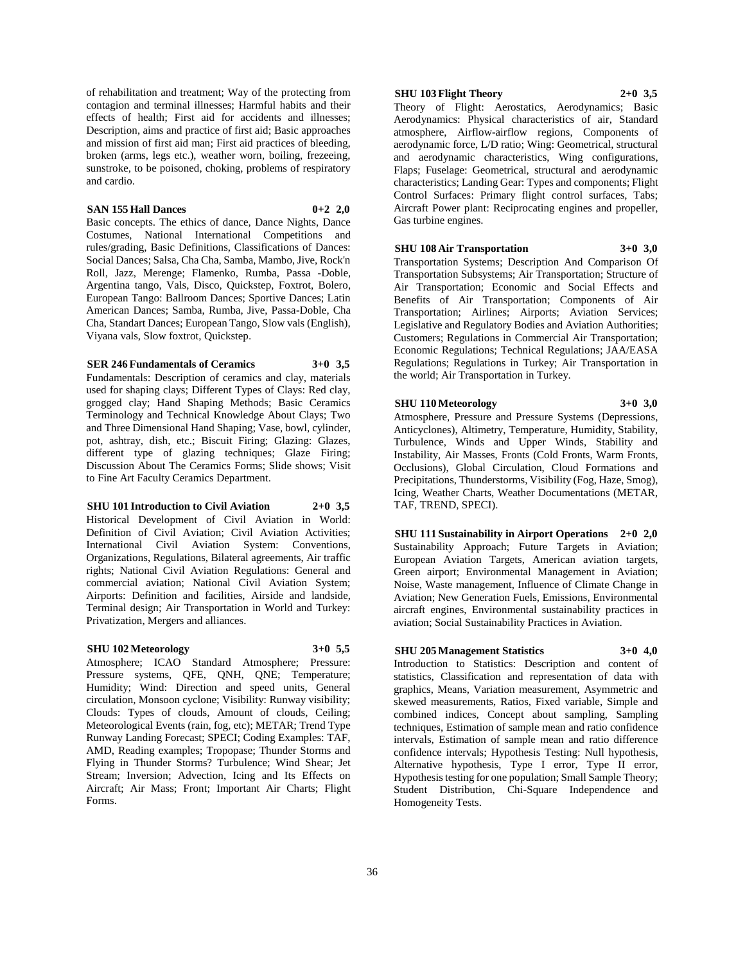of rehabilitation and treatment; Way of the protecting from contagion and terminal illnesses; Harmful habits and their effects of health; First aid for accidents and illnesses; Description, aims and practice of first aid; Basic approaches and mission of first aid man; First aid practices of bleeding, broken (arms, legs etc.), weather worn, boiling, frezeeing, sunstroke, to be poisoned, choking, problems of respiratory and cardio.

# **SAN 155 Hall Dances 0+2 2,0**

Basic concepts. The ethics of dance, Dance Nights, Dance Costumes, National International Competitions and rules/grading, Basic Definitions, Classifications of Dances: Social Dances; Salsa, Cha Cha, Samba, Mambo, Jive, Rock'n Roll, Jazz, Merenge; Flamenko, Rumba, Passa -Doble, Argentina tango, Vals, Disco, Quickstep, Foxtrot, Bolero, European Tango: Ballroom Dances; Sportive Dances; Latin American Dances; Samba, Rumba, Jive, Passa-Doble, Cha Cha, Standart Dances; European Tango, Slow vals (English), Viyana vals, Slow foxtrot, Quickstep.

# **SER 246 Fundamentals of Ceramics 3+0 3,5**

Fundamentals: Description of ceramics and clay, materials used for shaping clays; Different Types of Clays: Red clay, grogged clay; Hand Shaping Methods; Basic Ceramics Terminology and Technical Knowledge About Clays; Two and Three Dimensional Hand Shaping; Vase, bowl, cylinder, pot, ashtray, dish, etc.; Biscuit Firing; Glazing: Glazes, different type of glazing techniques; Glaze Firing; Discussion About The Ceramics Forms; Slide shows; Visit to Fine Art Faculty Ceramics Department.

#### **SHU 101 Introduction to Civil Aviation 2+0 3,5**

Historical Development of Civil Aviation in World: Definition of Civil Aviation; Civil Aviation Activities; International Civil Aviation System: Conventions, Organizations, Regulations, Bilateral agreements, Air traffic rights; National Civil Aviation Regulations: General and commercial aviation; National Civil Aviation System; Airports: Definition and facilities, Airside and landside, Terminal design; Air Transportation in World and Turkey: Privatization, Mergers and alliances.

#### **SHU 102 Meteorology 3+0 5,5**

Atmosphere; ICAO Standard Atmosphere; Pressure: Pressure systems, QFE, QNH, QNE; Temperature; Humidity; Wind: Direction and speed units, General circulation, Monsoon cyclone; Visibility: Runway visibility; Clouds: Types of clouds, Amount of clouds, Ceiling; Meteorological Events (rain, fog, etc); METAR; Trend Type Runway Landing Forecast; SPECI; Coding Examples: TAF, AMD, Reading examples; Tropopase; Thunder Storms and Flying in Thunder Storms? Turbulence; Wind Shear; Jet Stream; Inversion; Advection, Icing and Its Effects on Aircraft; Air Mass; Front; Important Air Charts; Flight Forms.

# **SHU 103 Flight Theory 2+0 3,5**

Theory of Flight: Aerostatics, Aerodynamics; Basic Aerodynamics: Physical characteristics of air, Standard atmosphere, Airflow-airflow regions, Components of aerodynamic force, L/D ratio; Wing: Geometrical, structural and aerodynamic characteristics, Wing configurations, Flaps; Fuselage: Geometrical, structural and aerodynamic characteristics; Landing Gear: Types and components; Flight Control Surfaces: Primary flight control surfaces, Tabs; Aircraft Power plant: Reciprocating engines and propeller, Gas turbine engines.

# **SHU 108 Air Transportation 3+0 3,0**

Transportation Systems; Description And Comparison Of Transportation Subsystems; Air Transportation; Structure of Air Transportation; Economic and Social Effects and Benefits of Air Transportation; Components of Air Transportation; Airlines; Airports; Aviation Services; Legislative and Regulatory Bodies and Aviation Authorities; Customers; Regulations in Commercial Air Transportation; Economic Regulations; Technical Regulations; JAA/EASA Regulations; Regulations in Turkey; Air Transportation in the world; Air Transportation in Turkey.

# **SHU 110 Meteorology 3+0 3,0**

Atmosphere, Pressure and Pressure Systems (Depressions, Anticyclones), Altimetry, Temperature, Humidity, Stability, Turbulence, Winds and Upper Winds, Stability and Instability, Air Masses, Fronts (Cold Fronts, Warm Fronts, Occlusions), Global Circulation, Cloud Formations and Precipitations, Thunderstorms, Visibility (Fog, Haze, Smog), Icing, Weather Charts, Weather Documentations (METAR, TAF, TREND, SPECI).

**SHU 111 Sustainability in Airport Operations 2+0 2,0** Sustainability Approach; Future Targets in Aviation; European Aviation Targets, American aviation targets, Green airport; Environmental Management in Aviation; Noise, Waste management, Influence of Climate Change in Aviation; New Generation Fuels, Emissions, Environmental aircraft engines, Environmental sustainability practices in aviation; Social Sustainability Practices in Aviation.

# **SHU 205 Management Statistics 3+0 4,0**

Introduction to Statistics: Description and content of statistics, Classification and representation of data with graphics, Means, Variation measurement, Asymmetric and skewed measurements, Ratios, Fixed variable, Simple and combined indices, Concept about sampling, Sampling techniques, Estimation of sample mean and ratio confidence intervals, Estimation of sample mean and ratio difference confidence intervals; Hypothesis Testing: Null hypothesis, Alternative hypothesis, Type I error, Type II error, Hypothesis testing for one population; Small Sample Theory; Student Distribution, Chi-Square Independence and Homogeneity Tests.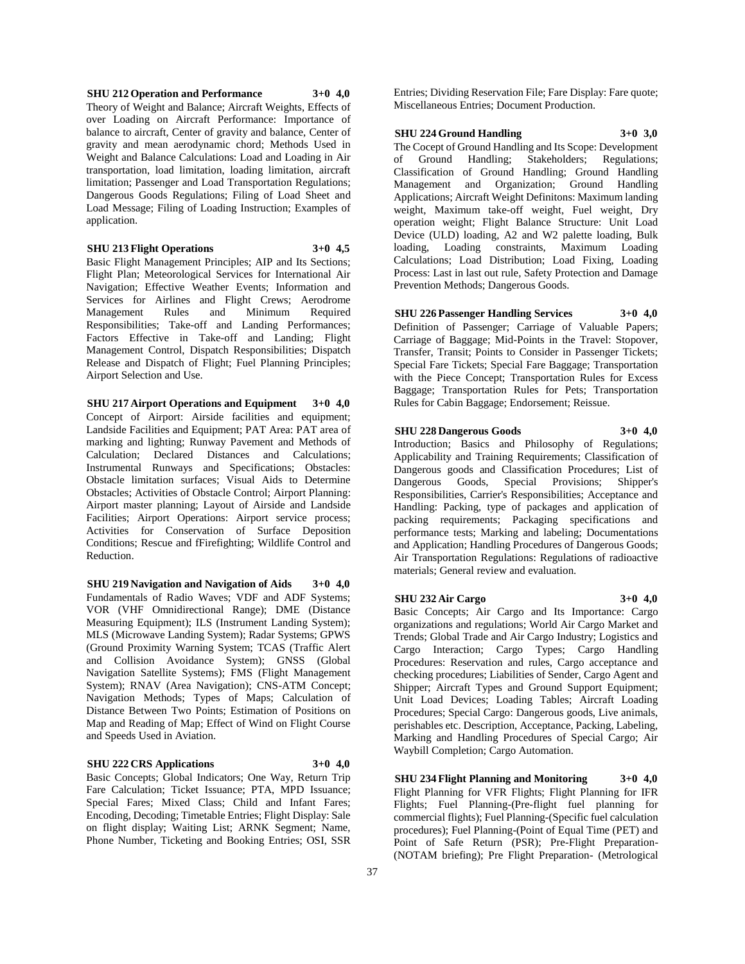# **SHU 212 Operation and Performance 3+0 4,0** Theory of Weight and Balance; Aircraft Weights, Effects of over Loading on Aircraft Performance: Importance of balance to aircraft, Center of gravity and balance, Center of gravity and mean aerodynamic chord; Methods Used in Weight and Balance Calculations: Load and Loading in Air transportation, load limitation, loading limitation, aircraft limitation; Passenger and Load Transportation Regulations; Dangerous Goods Regulations; Filing of Load Sheet and Load Message; Filing of Loading Instruction; Examples of application.

# **SHU 213 Flight Operations 3+0 4,5**

Basic Flight Management Principles; AIP and Its Sections; Flight Plan; Meteorological Services for International Air Navigation; Effective Weather Events; Information and Services for Airlines and Flight Crews; Aerodrome Management Rules and Minimum Required Responsibilities; Take-off and Landing Performances; Factors Effective in Take-off and Landing; Flight Management Control, Dispatch Responsibilities; Dispatch Release and Dispatch of Flight; Fuel Planning Principles; Airport Selection and Use.

**SHU 217 Airport Operations and Equipment 3+0 4,0** Concept of Airport: Airside facilities and equipment; Landside Facilities and Equipment; PAT Area: PAT area of marking and lighting; Runway Pavement and Methods of Calculation; Declared Distances and Calculations; Instrumental Runways and Specifications; Obstacles: Obstacle limitation surfaces; Visual Aids to Determine Obstacles; Activities of Obstacle Control; Airport Planning: Airport master planning; Layout of Airside and Landside Facilities; Airport Operations: Airport service process; Activities for Conservation of Surface Deposition Conditions; Rescue and fFirefighting; Wildlife Control and Reduction.

**SHU 219 Navigation and Navigation of Aids 3+0 4,0** Fundamentals of Radio Waves; VDF and ADF Systems; VOR (VHF Omnidirectional Range); DME (Distance Measuring Equipment); ILS (Instrument Landing System); MLS (Microwave Landing System); Radar Systems; GPWS (Ground Proximity Warning System; TCAS (Traffic Alert and Collision Avoidance System); GNSS (Global Navigation Satellite Systems); FMS (Flight Management System); RNAV (Area Navigation); CNS-ATM Concept; Navigation Methods; Types of Maps; Calculation of Distance Between Two Points; Estimation of Positions on Map and Reading of Map; Effect of Wind on Flight Course and Speeds Used in Aviation.

# **SHU 222 CRS Applications 3+0 4,0**

Basic Concepts; Global Indicators; One Way, Return Trip Fare Calculation; Ticket Issuance; PTA, MPD Issuance; Special Fares; Mixed Class; Child and Infant Fares; Encoding, Decoding; Timetable Entries; Flight Display: Sale on flight display; Waiting List; ARNK Segment; Name, Phone Number, Ticketing and Booking Entries; OSI, SSR

Entries; Dividing Reservation File; Fare Display: Fare quote; Miscellaneous Entries; Document Production.

#### **SHU 224 Ground Handling 3+0 3,0**

The Cocept of Ground Handling and Its Scope: Development of Ground Handling; Stakeholders; Regulations; Classification of Ground Handling; Ground Handling Management and Organization; Ground Handling Applications; Aircraft Weight Definitons: Maximum landing weight, Maximum take-off weight, Fuel weight, Dry operation weight; Flight Balance Structure: Unit Load Device (ULD) loading, A2 and W2 palette loading, Bulk loading, Loading constraints, Maximum Loading Calculations; Load Distribution; Load Fixing, Loading Process: Last in last out rule, Safety Protection and Damage Prevention Methods; Dangerous Goods.

# **SHU 226 Passenger Handling Services 3+0 4,0**

Definition of Passenger; Carriage of Valuable Papers; Carriage of Baggage; Mid-Points in the Travel: Stopover, Transfer, Transit; Points to Consider in Passenger Tickets; Special Fare Tickets; Special Fare Baggage; Transportation with the Piece Concept; Transportation Rules for Excess Baggage; Transportation Rules for Pets; Transportation Rules for Cabin Baggage; Endorsement; Reissue.

# **SHU 228 Dangerous Goods 3+0 4,0**

Introduction; Basics and Philosophy of Regulations; Applicability and Training Requirements; Classification of Dangerous goods and Classification Procedures; List of Dangerous Goods, Special Provisions; Shipper's Responsibilities, Carrier's Responsibilities; Acceptance and Handling: Packing, type of packages and application of packing requirements; Packaging specifications and

performance tests; Marking and labeling; Documentations and Application; Handling Procedures of Dangerous Goods; Air Transportation Regulations: Regulations of radioactive materials; General review and evaluation.

# **SHU 232 Air Cargo 3+0 4,0**

Basic Concepts; Air Cargo and Its Importance: Cargo organizations and regulations; World Air Cargo Market and Trends; Global Trade and Air Cargo Industry; Logistics and Cargo Interaction; Cargo Types; Cargo Handling Procedures: Reservation and rules, Cargo acceptance and checking procedures; Liabilities of Sender, Cargo Agent and Shipper; Aircraft Types and Ground Support Equipment; Unit Load Devices; Loading Tables; Aircraft Loading Procedures; Special Cargo: Dangerous goods, Live animals, perishables etc. Description, Acceptance, Packing, Labeling, Marking and Handling Procedures of Special Cargo; Air Waybill Completion; Cargo Automation.

**SHU 234 Flight Planning and Monitoring 3+0 4,0** Flight Planning for VFR Flights; Flight Planning for IFR Flights; Fuel Planning-(Pre-flight fuel planning for commercial flights); Fuel Planning-(Specific fuel calculation procedures); Fuel Planning-(Point of Equal Time (PET) and Point of Safe Return (PSR); Pre-Flight Preparation-(NOTAM briefing); Pre Flight Preparation- (Metrological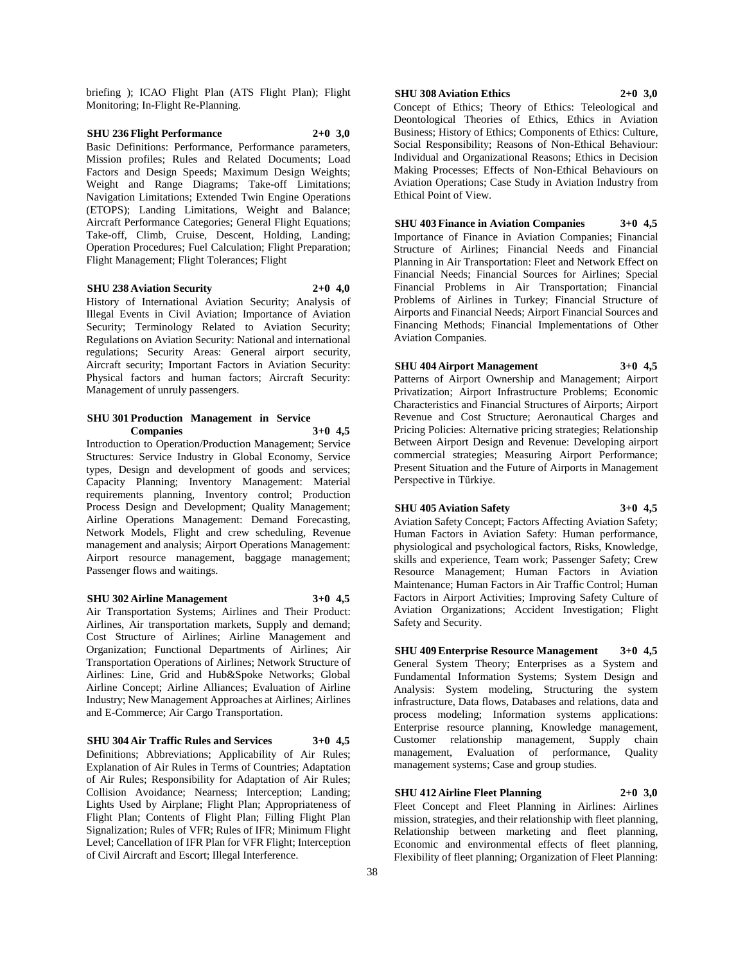briefing ); ICAO Flight Plan (ATS Flight Plan); Flight Monitoring; In-Flight Re-Planning.

# **SHU 236 Flight Performance 2+0 3,0** Basic Definitions: Performance, Performance parameters,

Mission profiles; Rules and Related Documents; Load Factors and Design Speeds; Maximum Design Weights; Weight and Range Diagrams; Take-off Limitations; Navigation Limitations; Extended Twin Engine Operations (ETOPS); Landing Limitations, Weight and Balance; Aircraft Performance Categories; General Flight Equations; Take-off, Climb, Cruise, Descent, Holding, Landing; Operation Procedures; Fuel Calculation; Flight Preparation; Flight Management; Flight Tolerances; Flight

#### **SHU 238 Aviation Security 2+0 4,0**

History of International Aviation Security; Analysis of Illegal Events in Civil Aviation; Importance of Aviation Security; Terminology Related to Aviation Security; Regulations on Aviation Security: National and international regulations; Security Areas: General airport security, Aircraft security; Important Factors in Aviation Security: Physical factors and human factors; Aircraft Security: Management of unruly passengers.

#### **SHU 301 Production Management in Service Companies 3+0 4,5**

Introduction to Operation/Production Management; Service Structures: Service Industry in Global Economy, Service types, Design and development of goods and services; Capacity Planning; Inventory Management: Material requirements planning, Inventory control; Production Process Design and Development; Quality Management; Airline Operations Management: Demand Forecasting, Network Models, Flight and crew scheduling, Revenue management and analysis; Airport Operations Management: Airport resource management, baggage management; Passenger flows and waitings.

# **SHU 302 Airline Management 3+0 4,5**

Air Transportation Systems; Airlines and Their Product: Airlines, Air transportation markets, Supply and demand; Cost Structure of Airlines; Airline Management and Organization; Functional Departments of Airlines; Air Transportation Operations of Airlines; Network Structure of Airlines: Line, Grid and Hub&Spoke Networks; Global Airline Concept; Airline Alliances; Evaluation of Airline Industry; New Management Approaches at Airlines; Airlines and E-Commerce; Air Cargo Transportation.

**SHU 304 Air Traffic Rules and Services 3+0 4,5** Definitions; Abbreviations; Applicability of Air Rules; Explanation of Air Rules in Terms of Countries; Adaptation of Air Rules; Responsibility for Adaptation of Air Rules; Collision Avoidance; Nearness; Interception; Landing; Lights Used by Airplane; Flight Plan; Appropriateness of Flight Plan; Contents of Flight Plan; Filling Flight Plan Signalization; Rules of VFR; Rules of IFR; Minimum Flight Level; Cancellation of IFR Plan for VFR Flight; Interception of Civil Aircraft and Escort; Illegal Interference.

# **SHU 308 Aviation Ethics 2+0 3,0**

Concept of Ethics; Theory of Ethics: Teleological and Deontological Theories of Ethics, Ethics in Aviation Business; History of Ethics; Components of Ethics: Culture, Social Responsibility; Reasons of Non-Ethical Behaviour: Individual and Organizational Reasons; Ethics in Decision Making Processes; Effects of Non-Ethical Behaviours on Aviation Operations; Case Study in Aviation Industry from Ethical Point of View.

**SHU 403 Finance in Aviation Companies 3+0 4,5** Importance of Finance in Aviation Companies; Financial Structure of Airlines; Financial Needs and Financial Planning in Air Transportation: Fleet and Network Effect on Financial Needs; Financial Sources for Airlines; Special Financial Problems in Air Transportation; Financial Problems of Airlines in Turkey; Financial Structure of Airports and Financial Needs; Airport Financial Sources and Financing Methods; Financial Implementations of Other Aviation Companies.

#### **SHU 404 Airport Management 3+0 4,5**

Patterns of Airport Ownership and Management; Airport Privatization; Airport Infrastructure Problems; Economic Characteristics and Financial Structures of Airports; Airport Revenue and Cost Structure; Aeronautical Charges and Pricing Policies: Alternative pricing strategies; Relationship Between Airport Design and Revenue: Developing airport commercial strategies; Measuring Airport Performance; Present Situation and the Future of Airports in Management Perspective in Türkiye.

# **SHU 405 Aviation Safety 3+0 4,5**

Aviation Safety Concept; Factors Affecting Aviation Safety; Human Factors in Aviation Safety: Human performance, physiological and psychological factors, Risks, Knowledge, skills and experience, Team work; Passenger Safety; Crew Resource Management; Human Factors in Aviation Maintenance; Human Factors in Air Traffic Control; Human Factors in Airport Activities; Improving Safety Culture of Aviation Organizations; Accident Investigation; Flight Safety and Security.

**SHU 409 Enterprise Resource Management 3+0 4,5** General System Theory; Enterprises as a System and Fundamental Information Systems; System Design and Analysis: System modeling, Structuring the system infrastructure, Data flows, Databases and relations, data and process modeling; Information systems applications: Enterprise resource planning, Knowledge management, Customer relationship management, Supply chain management, Evaluation of performance, Quality management systems; Case and group studies.

# **SHU 412 Airline Fleet Planning 2+0 3,0**

Fleet Concept and Fleet Planning in Airlines: Airlines mission, strategies, and their relationship with fleet planning, Relationship between marketing and fleet planning, Economic and environmental effects of fleet planning, Flexibility of fleet planning; Organization of Fleet Planning: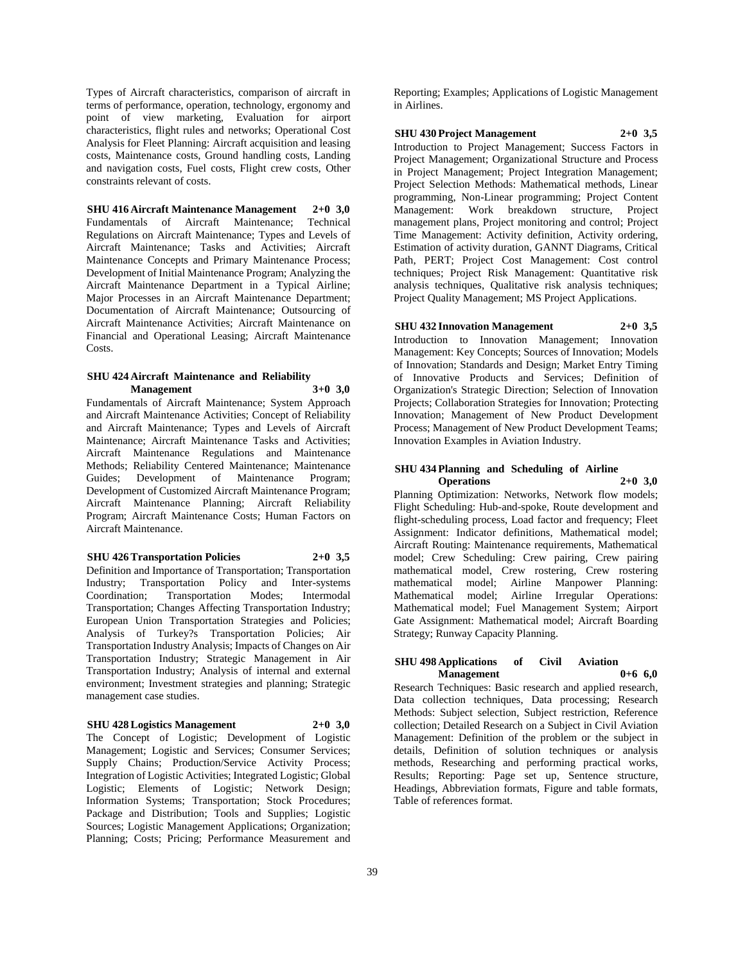Types of Aircraft characteristics, comparison of aircraft in terms of performance, operation, technology, ergonomy and point of view marketing, Evaluation for airport characteristics, flight rules and networks; Operational Cost Analysis for Fleet Planning: Aircraft acquisition and leasing costs, Maintenance costs, Ground handling costs, Landing and navigation costs, Fuel costs, Flight crew costs, Other constraints relevant of costs.

**SHU 416 Aircraft Maintenance Management 2+0 3,0** Fundamentals of Aircraft Maintenance; Technical Regulations on Aircraft Maintenance; Types and Levels of Aircraft Maintenance; Tasks and Activities; Aircraft Maintenance Concepts and Primary Maintenance Process; Development of Initial Maintenance Program; Analyzing the Aircraft Maintenance Department in a Typical Airline; Major Processes in an Aircraft Maintenance Department; Documentation of Aircraft Maintenance; Outsourcing of Aircraft Maintenance Activities; Aircraft Maintenance on Financial and Operational Leasing; Aircraft Maintenance Costs.

#### **SHU 424 Aircraft Maintenance and Reliability Management 3+0 3,0**

Fundamentals of Aircraft Maintenance; System Approach and Aircraft Maintenance Activities; Concept of Reliability and Aircraft Maintenance; Types and Levels of Aircraft Maintenance; Aircraft Maintenance Tasks and Activities; Aircraft Maintenance Regulations and Maintenance Methods; Reliability Centered Maintenance; Maintenance Guides; Development of Maintenance Program; Development of Customized Aircraft Maintenance Program; Aircraft Maintenance Planning; Aircraft Reliability Program; Aircraft Maintenance Costs; Human Factors on Aircraft Maintenance.

#### **SHU 426 Transportation Policies 2+0 3,5**

Definition and Importance of Transportation; Transportation Industry; Transportation Policy and Inter-systems Coordination; Transportation Modes; Intermodal Transportation; Changes Affecting Transportation Industry; European Union Transportation Strategies and Policies; Analysis of Turkey?s Transportation Policies; Air Transportation Industry Analysis; Impacts of Changes on Air Transportation Industry; Strategic Management in Air Transportation Industry; Analysis of internal and external environment; Investment strategies and planning; Strategic management case studies.

# **SHU 428 Logistics Management 2+0 3,0**

The Concept of Logistic; Development of Logistic Management; Logistic and Services; Consumer Services; Supply Chains; Production/Service Activity Process; Integration of Logistic Activities; Integrated Logistic; Global Logistic; Elements of Logistic; Network Design; Information Systems; Transportation; Stock Procedures; Package and Distribution; Tools and Supplies; Logistic Sources; Logistic Management Applications; Organization; Planning; Costs; Pricing; Performance Measurement and

Reporting; Examples; Applications of Logistic Management in Airlines.

#### **SHU 430 Project Management 2+0 3,5**

Introduction to Project Management; Success Factors in Project Management; Organizational Structure and Process in Project Management; Project Integration Management; Project Selection Methods: Mathematical methods, Linear programming, Non-Linear programming; Project Content Management: Work breakdown structure, Project management plans, Project monitoring and control; Project Time Management: Activity definition, Activity ordering, Estimation of activity duration, GANNT Diagrams, Critical Path, PERT; Project Cost Management: Cost control techniques; Project Risk Management: Quantitative risk analysis techniques, Qualitative risk analysis techniques; Project Quality Management; MS Project Applications.

# **SHU 432 Innovation Management 2+0 3,5**

Introduction to Innovation Management; Innovation Management: Key Concepts; Sources of Innovation; Models of Innovation; Standards and Design; Market Entry Timing of Innovative Products and Services; Definition of Organization's Strategic Direction; Selection of Innovation Projects; Collaboration Strategies for Innovation; Protecting Innovation; Management of New Product Development Process; Management of New Product Development Teams; Innovation Examples in Aviation Industry.

#### **SHU 434 Planning and Scheduling of Airline Operations 2+0 3,0**

Planning Optimization: Networks, Network flow models; Flight Scheduling: Hub-and-spoke, Route development and flight-scheduling process, Load factor and frequency; Fleet Assignment: Indicator definitions, Mathematical model; Aircraft Routing: Maintenance requirements, Mathematical model; Crew Scheduling: Crew pairing, Crew pairing mathematical model, Crew rostering, Crew rostering mathematical model; Airline Manpower Planning: Mathematical model; Airline Irregular Operations: Mathematical model; Fuel Management System; Airport Gate Assignment: Mathematical model; Aircraft Boarding Strategy; Runway Capacity Planning.

#### **SHU 498 Applications of Civil Aviation Management 0+6 6,0**

Research Techniques: Basic research and applied research, Data collection techniques, Data processing; Research Methods: Subject selection, Subject restriction, Reference collection; Detailed Research on a Subject in Civil Aviation Management: Definition of the problem or the subject in details, Definition of solution techniques or analysis methods, Researching and performing practical works, Results; Reporting: Page set up, Sentence structure, Headings, Abbreviation formats, Figure and table formats, Table of references format.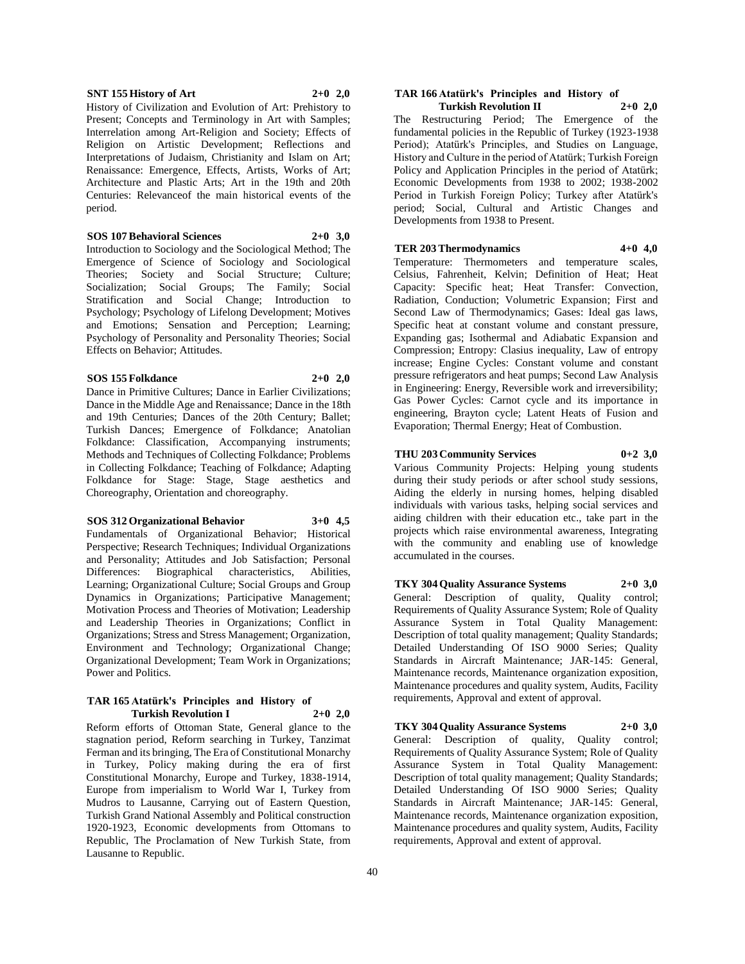#### **SNT 155 History of Art 2+0 2,0**

History of Civilization and Evolution of Art: Prehistory to Present; Concepts and Terminology in Art with Samples; Interrelation among Art-Religion and Society; Effects of Religion on Artistic Development; Reflections and Interpretations of Judaism, Christianity and Islam on Art; Renaissance: Emergence, Effects, Artists, Works of Art; Architecture and Plastic Arts; Art in the 19th and 20th Centuries: Relevanceof the main historical events of the period.

# **SOS 107 Behavioral Sciences 2+0 3,0**

Introduction to Sociology and the Sociological Method; The Emergence of Science of Sociology and Sociological Theories; Society and Social Structure; Culture; Socialization; Social Groups; The Family; Social Stratification and Social Change; Introduction to Psychology; Psychology of Lifelong Development; Motives and Emotions; Sensation and Perception; Learning; Psychology of Personality and Personality Theories; Social Effects on Behavior; Attitudes.

#### **SOS 155 Folkdance 2+0 2,0**

Dance in Primitive Cultures; Dance in Earlier Civilizations; Dance in the Middle Age and Renaissance; Dance in the 18th and 19th Centuries; Dances of the 20th Century; Ballet; Turkish Dances; Emergence of Folkdance; Anatolian Folkdance: Classification, Accompanying instruments; Methods and Techniques of Collecting Folkdance; Problems in Collecting Folkdance; Teaching of Folkdance; Adapting Folkdance for Stage: Stage, Stage aesthetics and Choreography, Orientation and choreography.

# **SOS 312 Organizational Behavior 3+0 4,5**

Fundamentals of Organizational Behavior; Historical Perspective; Research Techniques; Individual Organizations and Personality; Attitudes and Job Satisfaction; Personal Differences: Biographical characteristics, Abilities, Learning; Organizational Culture; Social Groups and Group Dynamics in Organizations; Participative Management; Motivation Process and Theories of Motivation; Leadership and Leadership Theories in Organizations; Conflict in Organizations; Stress and Stress Management; Organization, Environment and Technology; Organizational Change; Organizational Development; Team Work in Organizations; Power and Politics.

#### **TAR 165 Atatürk's Principles and History of Turkish Revolution I 2+0 2,0**

Reform efforts of Ottoman State, General glance to the stagnation period, Reform searching in Turkey, Tanzimat Ferman and its bringing, The Era of Constitutional Monarchy in Turkey, Policy making during the era of first Constitutional Monarchy, Europe and Turkey, 1838-1914, Europe from imperialism to World War I, Turkey from Mudros to Lausanne, Carrying out of Eastern Question, Turkish Grand National Assembly and Political construction 1920-1923, Economic developments from Ottomans to Republic, The Proclamation of New Turkish State, from Lausanne to Republic.

#### **TAR 166 Atatürk's Principles and History of Turkish Revolution II 2+0 2,0**

The Restructuring Period; The Emergence of the fundamental policies in the Republic of Turkey (1923-1938 Period); Atatürk's Principles, and Studies on Language, History and Culture in the period of Atatürk; Turkish Foreign Policy and Application Principles in the period of Atatürk; Economic Developments from 1938 to 2002; 1938-2002 Period in Turkish Foreign Policy; Turkey after Atatürk's period; Social, Cultural and Artistic Changes and Developments from 1938 to Present.

# **TER 203 Thermodynamics 4+0 4,0**

Temperature: Thermometers and temperature scales, Celsius, Fahrenheit, Kelvin; Definition of Heat; Heat Capacity: Specific heat; Heat Transfer: Convection, Radiation, Conduction; Volumetric Expansion; First and Second Law of Thermodynamics; Gases: Ideal gas laws, Specific heat at constant volume and constant pressure, Expanding gas; Isothermal and Adiabatic Expansion and Compression; Entropy: Clasius inequality, Law of entropy increase; Engine Cycles: Constant volume and constant pressure refrigerators and heat pumps; Second Law Analysis in Engineering: Energy, Reversible work and irreversibility; Gas Power Cycles: Carnot cycle and its importance in engineering, Brayton cycle; Latent Heats of Fusion and Evaporation; Thermal Energy; Heat of Combustion.

# **THU 203 Community Services 0+2 3,0**

Various Community Projects: Helping young students during their study periods or after school study sessions, Aiding the elderly in nursing homes, helping disabled individuals with various tasks, helping social services and aiding children with their education etc., take part in the projects which raise environmental awareness, Integrating with the community and enabling use of knowledge accumulated in the courses.

**TKY 304 Quality Assurance Systems 2+0 3,0** General: Description of quality, Quality control; Requirements of Quality Assurance System; Role of Quality Assurance System in Total Quality Management: Description of total quality management; Quality Standards; Detailed Understanding Of ISO 9000 Series; Quality Standards in Aircraft Maintenance; JAR-145: General, Maintenance records, Maintenance organization exposition, Maintenance procedures and quality system, Audits, Facility requirements, Approval and extent of approval.

**TKY 304 Quality Assurance Systems 2+0 3,0** General: Description of quality, Quality control; Requirements of Quality Assurance System; Role of Quality Assurance System in Total Quality Management: Description of total quality management; Quality Standards; Detailed Understanding Of ISO 9000 Series; Quality Standards in Aircraft Maintenance; JAR-145: General, Maintenance records, Maintenance organization exposition, Maintenance procedures and quality system, Audits, Facility requirements, Approval and extent of approval.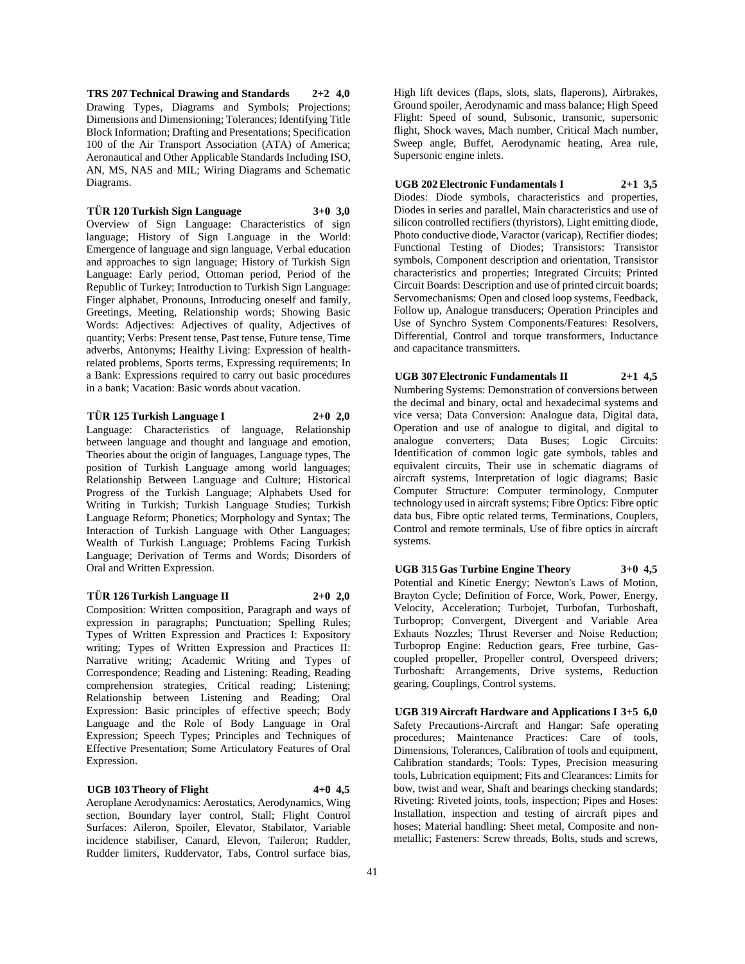**TRS 207 Technical Drawing and Standards 2+2 4,0** Drawing Types, Diagrams and Symbols; Projections; Dimensions and Dimensioning; Tolerances; Identifying Title Block Information; Drafting and Presentations; Specification 100 of the Air Transport Association (ATA) of America; Aeronautical and Other Applicable Standards Including ISO, AN, MS, NAS and MIL; Wiring Diagrams and Schematic Diagrams.

# **TÜR 120 Turkish Sign Language 3+0 3,0**

Overview of Sign Language: Characteristics of sign language; History of Sign Language in the World: Emergence of language and sign language, Verbal education and approaches to sign language; History of Turkish Sign Language: Early period, Ottoman period, Period of the Republic of Turkey; Introduction to Turkish Sign Language: Finger alphabet, Pronouns, Introducing oneself and family, Greetings, Meeting, Relationship words; Showing Basic Words: Adjectives: Adjectives of quality, Adjectives of quantity; Verbs: Present tense, Past tense, Future tense, Time adverbs, Antonyms; Healthy Living: Expression of healthrelated problems, Sports terms, Expressing requirements; In a Bank: Expressions required to carry out basic procedures in a bank; Vacation: Basic words about vacation.

**TÜR 125 Turkish Language I 2+0 2,0** Language: Characteristics of language, Relationship

between language and thought and language and emotion, Theories about the origin of languages, Language types, The position of Turkish Language among world languages; Relationship Between Language and Culture; Historical Progress of the Turkish Language; Alphabets Used for Writing in Turkish; Turkish Language Studies; Turkish Language Reform; Phonetics; Morphology and Syntax; The Interaction of Turkish Language with Other Languages; Wealth of Turkish Language; Problems Facing Turkish Language; Derivation of Terms and Words; Disorders of Oral and Written Expression.

# **TÜR 126 Turkish Language II 2+0 2,0**

Composition: Written composition, Paragraph and ways of expression in paragraphs; Punctuation; Spelling Rules; Types of Written Expression and Practices I: Expository writing; Types of Written Expression and Practices II: Narrative writing; Academic Writing and Types of Correspondence; Reading and Listening: Reading, Reading comprehension strategies, Critical reading; Listening; Relationship between Listening and Reading; Oral Expression: Basic principles of effective speech; Body Language and the Role of Body Language in Oral Expression; Speech Types; Principles and Techniques of Effective Presentation; Some Articulatory Features of Oral Expression.

# **UGB 103 Theory of Flight 4+0 4,5**

Aeroplane Aerodynamics: Aerostatics, Aerodynamics, Wing section, Boundary layer control, Stall; Flight Control Surfaces: Aileron, Spoiler, Elevator, Stabilator, Variable incidence stabiliser, Canard, Elevon, Taileron; Rudder, Rudder limiters, Ruddervator, Tabs, Control surface bias, High lift devices (flaps, slots, slats, flaperons), Airbrakes, Ground spoiler, Aerodynamic and mass balance; High Speed Flight: Speed of sound, Subsonic, transonic, supersonic flight, Shock waves, Mach number, Critical Mach number, Sweep angle, Buffet, Aerodynamic heating, Area rule, Supersonic engine inlets.

# **UGB 202 Electronic Fundamentals I 2+1 3,5**

Diodes: Diode symbols, characteristics and properties, Diodes in series and parallel, Main characteristics and use of silicon controlled rectifiers (thyristors), Light emitting diode, Photo conductive diode, Varactor (varicap), Rectifier diodes; Functional Testing of Diodes; Transistors: Transistor symbols, Component description and orientation, Transistor characteristics and properties; Integrated Circuits; Printed Circuit Boards: Description and use of printed circuit boards; Servomechanisms: Open and closed loop systems, Feedback, Follow up, Analogue transducers; Operation Principles and Use of Synchro System Components/Features: Resolvers, Differential, Control and torque transformers, Inductance and capacitance transmitters.

**UGB 307 Electronic Fundamentals II 2+1 4,5** Numbering Systems: Demonstration of conversions between the decimal and binary, octal and hexadecimal systems and vice versa; Data Conversion: Analogue data, Digital data, Operation and use of analogue to digital, and digital to analogue converters; Data Buses; Logic Circuits: Identification of common logic gate symbols, tables and equivalent circuits, Their use in schematic diagrams of aircraft systems, Interpretation of logic diagrams; Basic Computer Structure: Computer terminology, Computer technology used in aircraft systems; Fibre Optics: Fibre optic data bus, Fibre optic related terms, Terminations, Couplers, Control and remote terminals, Use of fibre optics in aircraft systems.

**UGB 315 Gas Turbine Engine Theory 3+0 4,5** Potential and Kinetic Energy; Newton's Laws of Motion, Brayton Cycle; Definition of Force, Work, Power, Energy, Velocity, Acceleration; Turbojet, Turbofan, Turboshaft, Turboprop; Convergent, Divergent and Variable Area Exhauts Nozzles; Thrust Reverser and Noise Reduction; Turboprop Engine: Reduction gears, Free turbine, Gascoupled propeller, Propeller control, Overspeed drivers; Turboshaft: Arrangements, Drive systems, Reduction gearing, Couplings, Control systems.

**UGB 319 Aircraft Hardware and Applications I 3+5 6,0** Safety Precautions-Aircraft and Hangar: Safe operating procedures; Maintenance Practices: Care of tools, Dimensions, Tolerances, Calibration of tools and equipment, Calibration standards; Tools: Types, Precision measuring tools, Lubrication equipment; Fits and Clearances: Limits for bow, twist and wear, Shaft and bearings checking standards; Riveting: Riveted joints, tools, inspection; Pipes and Hoses: Installation, inspection and testing of aircraft pipes and hoses; Material handling: Sheet metal, Composite and nonmetallic; Fasteners: Screw threads, Bolts, studs and screws,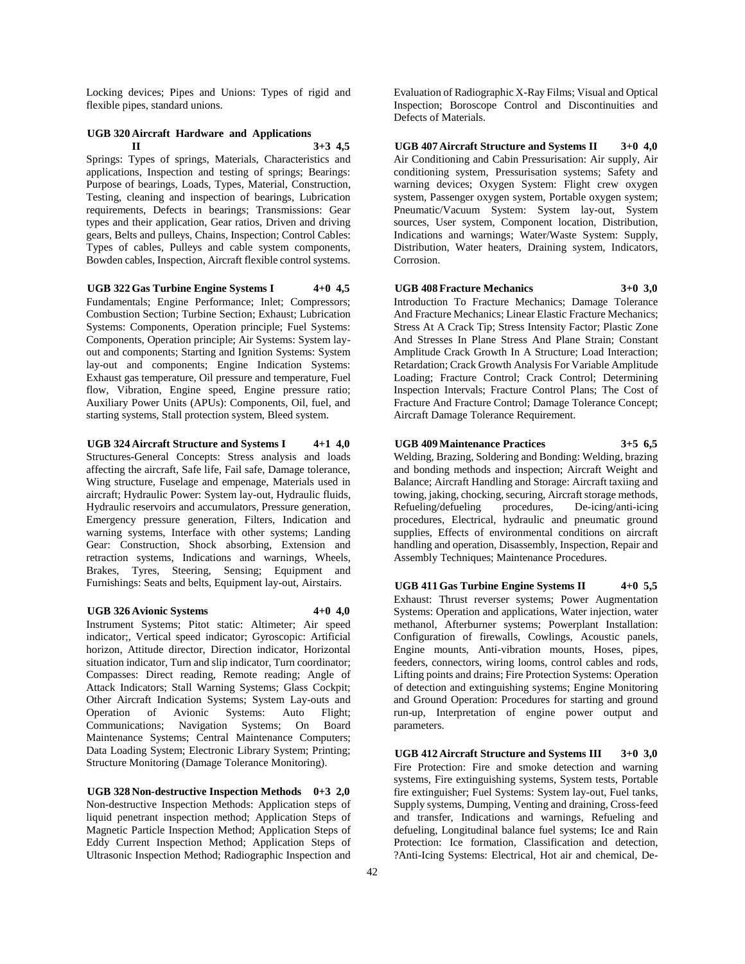Locking devices; Pipes and Unions: Types of rigid and flexible pipes, standard unions.

# **UGB 320 Aircraft Hardware and Applications II 3+3 4,5**

Springs: Types of springs, Materials, Characteristics and applications, Inspection and testing of springs; Bearings: Purpose of bearings, Loads, Types, Material, Construction, Testing, cleaning and inspection of bearings, Lubrication requirements, Defects in bearings; Transmissions: Gear types and their application, Gear ratios, Driven and driving gears, Belts and pulleys, Chains, Inspection; Control Cables: Types of cables, Pulleys and cable system components, Bowden cables, Inspection, Aircraft flexible control systems.

#### **UGB 322 Gas Turbine Engine Systems I 4+0 4,5**

Fundamentals; Engine Performance; Inlet; Compressors; Combustion Section; Turbine Section; Exhaust; Lubrication Systems: Components, Operation principle; Fuel Systems: Components, Operation principle; Air Systems: System layout and components; Starting and Ignition Systems: System lay-out and components; Engine Indication Systems: Exhaust gas temperature, Oil pressure and temperature, Fuel flow, Vibration, Engine speed, Engine pressure ratio; Auxiliary Power Units (APUs): Components, Oil, fuel, and starting systems, Stall protection system, Bleed system.

# **UGB 324 Aircraft Structure and Systems I 4+1 4,0**

Structures-General Concepts: Stress analysis and loads affecting the aircraft, Safe life, Fail safe, Damage tolerance, Wing structure, Fuselage and empenage, Materials used in aircraft; Hydraulic Power: System lay-out, Hydraulic fluids, Hydraulic reservoirs and accumulators, Pressure generation, Emergency pressure generation, Filters, Indication and warning systems, Interface with other systems; Landing Gear: Construction, Shock absorbing, Extension and retraction systems, Indications and warnings, Wheels, Brakes, Tyres, Steering, Sensing; Equipment and Furnishings: Seats and belts, Equipment lay-out, Airstairs.

#### **UGB 326 Avionic Systems 4+0 4,0**

Instrument Systems; Pitot static: Altimeter; Air speed indicator;, Vertical speed indicator; Gyroscopic: Artificial horizon, Attitude director, Direction indicator, Horizontal situation indicator, Turn and slip indicator, Turn coordinator; Compasses: Direct reading, Remote reading; Angle of Attack Indicators; Stall Warning Systems; Glass Cockpit; Other Aircraft Indication Systems; System Lay-outs and Operation of Avionic Systems: Auto Flight; Communications; Navigation Systems; On Board Maintenance Systems; Central Maintenance Computers; Data Loading System; Electronic Library System; Printing; Structure Monitoring (Damage Tolerance Monitoring).

**UGB 328 Non-destructive Inspection Methods 0+3 2,0** Non-destructive Inspection Methods: Application steps of liquid penetrant inspection method; Application Steps of Magnetic Particle Inspection Method; Application Steps of Eddy Current Inspection Method; Application Steps of Ultrasonic Inspection Method; Radiographic Inspection and

Evaluation of Radiographic X-Ray Films; Visual and Optical Inspection; Boroscope Control and Discontinuities and Defects of Materials.

**UGB 407 Aircraft Structure and Systems II 3+0 4,0** Air Conditioning and Cabin Pressurisation: Air supply, Air conditioning system, Pressurisation systems; Safety and warning devices; Oxygen System: Flight crew oxygen system, Passenger oxygen system, Portable oxygen system; Pneumatic/Vacuum System: System lay-out, System sources, User system, Component location, Distribution, Indications and warnings; Water/Waste System: Supply, Distribution, Water heaters, Draining system, Indicators, Corrosion.

# **UGB 408 Fracture Mechanics 3+0 3,0**

Introduction To Fracture Mechanics; Damage Tolerance And Fracture Mechanics; Linear Elastic Fracture Mechanics; Stress At A Crack Tip; Stress Intensity Factor; Plastic Zone And Stresses In Plane Stress And Plane Strain; Constant Amplitude Crack Growth In A Structure; Load Interaction; Retardation; Crack Growth Analysis For Variable Amplitude Loading; Fracture Control; Crack Control; Determining Inspection Intervals; Fracture Control Plans; The Cost of Fracture And Fracture Control; Damage Tolerance Concept; Aircraft Damage Tolerance Requirement.

#### **UGB 409 Maintenance Practices 3+5 6,5**

Welding, Brazing, Soldering and Bonding: Welding, brazing and bonding methods and inspection; Aircraft Weight and Balance; Aircraft Handling and Storage: Aircraft taxiing and towing, jaking, chocking, securing, Aircraft storage methods, Refueling/defueling procedures, De-icing/anti-icing procedures, Electrical, hydraulic and pneumatic ground supplies, Effects of environmental conditions on aircraft handling and operation, Disassembly, Inspection, Repair and Assembly Techniques; Maintenance Procedures.

**UGB 411 Gas Turbine Engine Systems II 4+0 5,5** Exhaust: Thrust reverser systems; Power Augmentation Systems: Operation and applications, Water injection, water methanol, Afterburner systems; Powerplant Installation: Configuration of firewalls, Cowlings, Acoustic panels, Engine mounts, Anti-vibration mounts, Hoses, pipes, feeders, connectors, wiring looms, control cables and rods, Lifting points and drains; Fire Protection Systems: Operation of detection and extinguishing systems; Engine Monitoring and Ground Operation: Procedures for starting and ground run-up, Interpretation of engine power output and parameters.

**UGB 412 Aircraft Structure and Systems III 3+0 3,0** Fire Protection: Fire and smoke detection and warning systems, Fire extinguishing systems, System tests, Portable fire extinguisher; Fuel Systems: System lay-out, Fuel tanks, Supply systems, Dumping, Venting and draining, Cross-feed and transfer, Indications and warnings, Refueling and defueling, Longitudinal balance fuel systems; Ice and Rain Protection: Ice formation, Classification and detection, ?Anti-Icing Systems: Electrical, Hot air and chemical, De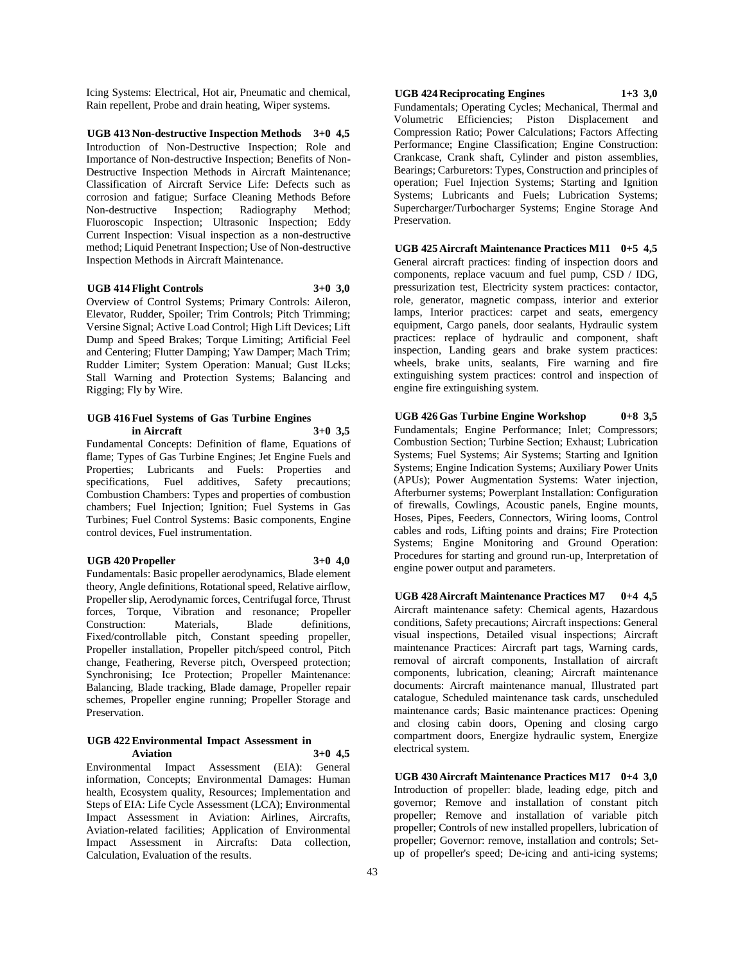Icing Systems: Electrical, Hot air, Pneumatic and chemical, Rain repellent, Probe and drain heating, Wiper systems.

**UGB 413 Non-destructive Inspection Methods 3+0 4,5** Introduction of Non-Destructive Inspection; Role and Importance of Non-destructive Inspection; Benefits of Non-Destructive Inspection Methods in Aircraft Maintenance; Classification of Aircraft Service Life: Defects such as corrosion and fatigue; Surface Cleaning Methods Before Non-destructive Inspection; Radiography Method; Fluoroscopic Inspection; Ultrasonic Inspection; Eddy Current Inspection: Visual inspection as a non-destructive method; Liquid Penetrant Inspection; Use of Non-destructive Inspection Methods in Aircraft Maintenance.

#### **UGB 414 Flight Controls 3+0 3,0**

Overview of Control Systems; Primary Controls: Aileron, Elevator, Rudder, Spoiler; Trim Controls; Pitch Trimming; Versine Signal; Active Load Control; High Lift Devices; Lift Dump and Speed Brakes; Torque Limiting; Artificial Feel and Centering; Flutter Damping; Yaw Damper; Mach Trim; Rudder Limiter; System Operation: Manual; Gust lLcks; Stall Warning and Protection Systems; Balancing and Rigging; Fly by Wire.

#### **UGB 416 Fuel Systems of Gas Turbine Engines in Aircraft 3+0 3,5**

Fundamental Concepts: Definition of flame, Equations of flame; Types of Gas Turbine Engines; Jet Engine Fuels and Properties; Lubricants and Fuels: Properties and specifications, Fuel additives, Safety precautions; Combustion Chambers: Types and properties of combustion chambers; Fuel Injection; Ignition; Fuel Systems in Gas Turbines; Fuel Control Systems: Basic components, Engine control devices, Fuel instrumentation.

# **UGB 420 Propeller 3+0 4,0**

Fundamentals: Basic propeller aerodynamics, Blade element theory, Angle definitions, Rotational speed, Relative airflow, Propeller slip, Aerodynamic forces, Centrifugal force, Thrust forces, Torque, Vibration and resonance; Propeller Construction: Materials, Blade definitions, Fixed/controllable pitch, Constant speeding propeller, Propeller installation, Propeller pitch/speed control, Pitch change, Feathering, Reverse pitch, Overspeed protection; Synchronising; Ice Protection; Propeller Maintenance: Balancing, Blade tracking, Blade damage, Propeller repair schemes, Propeller engine running; Propeller Storage and Preservation.

#### **UGB 422 Environmental Impact Assessment in Aviation 3+0 4,5**

Environmental Impact Assessment (EIA): General information, Concepts; Environmental Damages: Human health, Ecosystem quality, Resources; Implementation and Steps of EIA: Life Cycle Assessment (LCA); Environmental Impact Assessment in Aviation: Airlines, Aircrafts, Aviation-related facilities; Application of Environmental Impact Assessment in Aircrafts: Data collection, Calculation, Evaluation of the results.

**UGB 424 Reciprocating Engines 1+3 3,0** Fundamentals; Operating Cycles; Mechanical, Thermal and

Volumetric Efficiencies; Piston Displacement and Compression Ratio; Power Calculations; Factors Affecting Performance; Engine Classification; Engine Construction: Crankcase, Crank shaft, Cylinder and piston assemblies, Bearings; Carburetors: Types, Construction and principles of operation; Fuel Injection Systems; Starting and Ignition Systems; Lubricants and Fuels; Lubrication Systems; Supercharger/Turbocharger Systems; Engine Storage And Preservation.

**UGB 425 Aircraft Maintenance Practices M11 0+5 4,5** General aircraft practices: finding of inspection doors and components, replace vacuum and fuel pump, CSD / IDG, pressurization test, Electricity system practices: contactor, role, generator, magnetic compass, interior and exterior lamps, Interior practices: carpet and seats, emergency equipment, Cargo panels, door sealants, Hydraulic system practices: replace of hydraulic and component, shaft inspection, Landing gears and brake system practices: wheels, brake units, sealants, Fire warning and fire extinguishing system practices: control and inspection of engine fire extinguishing system.

**UGB 426 Gas Turbine Engine Workshop 0+8 3,5** Fundamentals; Engine Performance; Inlet; Compressors; Combustion Section; Turbine Section; Exhaust; Lubrication Systems; Fuel Systems; Air Systems; Starting and Ignition Systems; Engine Indication Systems; Auxiliary Power Units (APUs); Power Augmentation Systems: Water injection, Afterburner systems; Powerplant Installation: Configuration of firewalls, Cowlings, Acoustic panels, Engine mounts, Hoses, Pipes, Feeders, Connectors, Wiring looms, Control cables and rods, Lifting points and drains; Fire Protection Systems; Engine Monitoring and Ground Operation: Procedures for starting and ground run-up, Interpretation of engine power output and parameters.

**UGB 428 Aircraft Maintenance Practices M7 0+4 4,5** Aircraft maintenance safety: Chemical agents, Hazardous conditions, Safety precautions; Aircraft inspections: General visual inspections, Detailed visual inspections; Aircraft maintenance Practices: Aircraft part tags, Warning cards, removal of aircraft components, Installation of aircraft components, lubrication, cleaning; Aircraft maintenance documents: Aircraft maintenance manual, Illustrated part catalogue, Scheduled maintenance task cards, unscheduled maintenance cards; Basic maintenance practices: Opening and closing cabin doors, Opening and closing cargo compartment doors, Energize hydraulic system, Energize electrical system.

**UGB 430 Aircraft Maintenance Practices M17 0+4 3,0** Introduction of propeller: blade, leading edge, pitch and governor; Remove and installation of constant pitch propeller; Remove and installation of variable pitch propeller; Controls of new installed propellers, lubrication of propeller; Governor: remove, installation and controls; Setup of propeller's speed; De-icing and anti-icing systems;